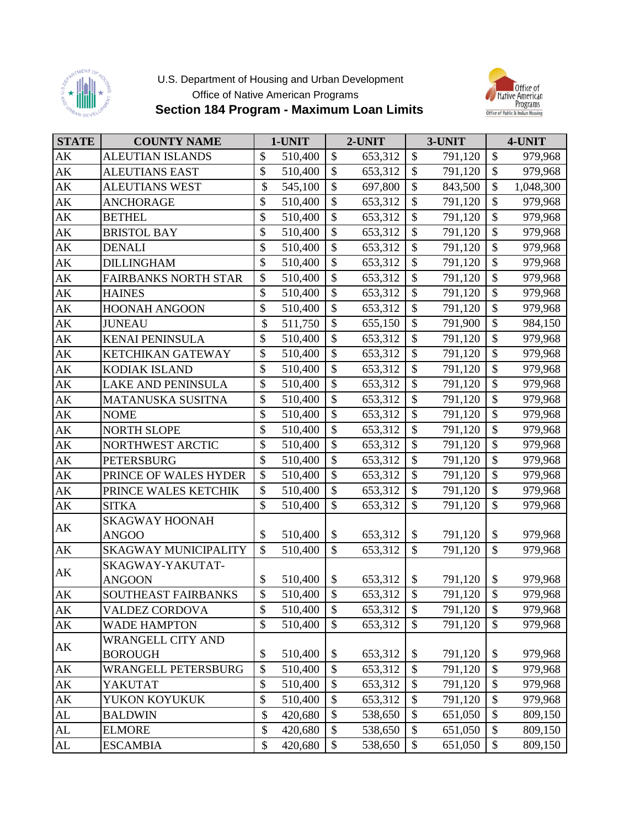

## U.S. Department of Housing and Urban Development Office of Native American Programs **Section 184 Program - Maximum Loan Limits**



| <b>STATE</b>           | <b>COUNTY NAME</b>          | 1-UNIT        |                           | 2-UNIT  |                           | 3-UNIT  |                           | 4-UNIT    |
|------------------------|-----------------------------|---------------|---------------------------|---------|---------------------------|---------|---------------------------|-----------|
| $\mathbf{A}\mathbf{K}$ | <b>ALEUTIAN ISLANDS</b>     | \$<br>510,400 | \$                        | 653,312 | \$                        | 791,120 | \$                        | 979,968   |
| $\mathbf{A}\mathbf{K}$ | <b>ALEUTIANS EAST</b>       | \$<br>510,400 | \$                        | 653,312 | \$                        | 791,120 | \$                        | 979,968   |
| $\mathbf{AK}$          | <b>ALEUTIANS WEST</b>       | \$<br>545,100 | $\mathcal{S}$             | 697,800 | \$                        | 843,500 | \$                        | 1,048,300 |
| $\mathbf{A}\mathbf{K}$ | <b>ANCHORAGE</b>            | \$<br>510,400 | $\mathcal{S}$             | 653,312 | \$                        | 791,120 | $\boldsymbol{\$}$         | 979,968   |
| $\mathbf{A}\mathbf{K}$ | <b>BETHEL</b>               | \$<br>510,400 | $\mathcal{S}$             | 653,312 | \$                        | 791,120 | $\boldsymbol{\$}$         | 979,968   |
| $\mathbf{A}\mathbf{K}$ | <b>BRISTOL BAY</b>          | \$<br>510,400 | $\mathbb{S}$              | 653,312 | $\mathcal{S}$             | 791,120 | $\boldsymbol{\mathsf{S}}$ | 979,968   |
| $\mathbf{A}\mathbf{K}$ | <b>DENALI</b>               | \$<br>510,400 | \$                        | 653,312 | \$                        | 791,120 | \$                        | 979,968   |
| $\mathbf{A}\mathbf{K}$ | <b>DILLINGHAM</b>           | \$<br>510,400 | $\mathcal{S}$             | 653,312 | \$                        | 791,120 | $\mathcal{S}$             | 979,968   |
| $\mathbf{A}\mathbf{K}$ | <b>FAIRBANKS NORTH STAR</b> | \$<br>510,400 | \$                        | 653,312 | $\mathcal{S}$             | 791,120 | \$                        | 979,968   |
| $\mathbf{A}\mathbf{K}$ | <b>HAINES</b>               | \$<br>510,400 | $\mathcal{S}$             | 653,312 | \$                        | 791,120 | $\boldsymbol{\$}$         | 979,968   |
| $\mathbf{A}\mathbf{K}$ | <b>HOONAH ANGOON</b>        | \$<br>510,400 | $\boldsymbol{\mathsf{S}}$ | 653,312 | \$                        | 791,120 | $\boldsymbol{\$}$         | 979,968   |
| $\mathbf{A}\mathbf{K}$ | <b>JUNEAU</b>               | \$<br>511,750 | \$                        | 655,150 | \$                        | 791,900 | \$                        | 984,150   |
| $\mathbf{A}\mathbf{K}$ | <b>KENAI PENINSULA</b>      | \$<br>510,400 | $\mathcal{S}$             | 653,312 | \$                        | 791,120 | \$                        | 979,968   |
| $\mathbf{A}\mathbf{K}$ | KETCHIKAN GATEWAY           | \$<br>510,400 | \$                        | 653,312 | \$                        | 791,120 | $\$\,$                    | 979,968   |
| $\mathbf{A}\mathbf{K}$ | KODIAK ISLAND               | \$<br>510,400 | $\mathcal{S}$             | 653,312 | \$                        | 791,120 | \$                        | 979,968   |
| $\mathbf{A}\mathbf{K}$ | <b>LAKE AND PENINSULA</b>   | \$<br>510,400 | $\mathbb{S}$              | 653,312 | $\boldsymbol{\mathsf{S}}$ | 791,120 | $\overline{\$}$           | 979,968   |
| $\mathbf{A}\mathbf{K}$ | MATANUSKA SUSITNA           | \$<br>510,400 | $\mathcal{S}$             | 653,312 | \$                        | 791,120 | \$                        | 979,968   |
| $\mathbf{A}\mathbf{K}$ | <b>NOME</b>                 | \$<br>510,400 | $\mathcal{S}$             | 653,312 | \$                        | 791,120 | \$                        | 979,968   |
| $\mathbf{A}\mathbf{K}$ | <b>NORTH SLOPE</b>          | \$<br>510,400 | $\mathbb{S}$              | 653,312 | \$                        | 791,120 | $\overline{\$}$           | 979,968   |
| $\mathbf{A}\mathbf{K}$ | NORTHWEST ARCTIC            | \$<br>510,400 | $\mathcal{S}$             | 653,312 | \$                        | 791,120 | \$                        | 979,968   |
| $\mathbf{A}\mathbf{K}$ | <b>PETERSBURG</b>           | \$<br>510,400 | \$                        | 653,312 | $\boldsymbol{\mathsf{S}}$ | 791,120 | \$                        | 979,968   |
| $\mathbf{A}\mathbf{K}$ | PRINCE OF WALES HYDER       | \$<br>510,400 | $\mathcal{S}$             | 653,312 | $\mathcal{S}$             | 791,120 | \$                        | 979,968   |
| $\mathbf{A}\mathbf{K}$ | PRINCE WALES KETCHIK        | \$<br>510,400 | $\mathcal{S}$             | 653,312 | $\mathcal{S}$             | 791,120 | \$                        | 979,968   |
| $\mathbf{A}\mathbf{K}$ | <b>SITKA</b>                | \$<br>510,400 | \$                        | 653,312 | \$                        | 791,120 | \$                        | 979,968   |
| AK                     | <b>SKAGWAY HOONAH</b>       |               |                           |         |                           |         |                           |           |
|                        | <b>ANGOO</b>                | \$<br>510,400 | \$                        | 653,312 | \$                        | 791,120 | $\$$                      | 979,968   |
| $\mathbf{A}\mathbf{K}$ | <b>SKAGWAY MUNICIPALITY</b> | \$<br>510,400 | \$                        | 653,312 | \$                        | 791,120 | \$                        | 979,968   |
| AK                     | SKAGWAY-YAKUTAT-            |               |                           |         |                           |         |                           |           |
|                        | <b>ANGOON</b>               | \$<br>510,400 | \$                        | 653,312 | \$                        | 791,120 | $\$$                      | 979,968   |
| AK                     | SOUTHEAST FAIRBANKS         | \$<br>510,400 | $\mathcal{S}$             | 653,312 | \$                        | 791,120 | $\mathcal{S}$             | 979,968   |
| AK                     | <b>VALDEZ CORDOVA</b>       | \$<br>510,400 | \$                        | 653,312 | \$                        | 791,120 | \$                        | 979,968   |
| AK                     | <b>WADE HAMPTON</b>         | \$<br>510,400 | $\mathcal{S}$             | 653,312 | \$                        | 791,120 | $\mathcal{S}$             | 979,968   |
| AK                     | <b>WRANGELL CITY AND</b>    |               |                           |         |                           |         |                           |           |
|                        | <b>BOROUGH</b>              | \$<br>510,400 | \$                        | 653,312 | \$                        | 791,120 | \$                        | 979,968   |
| AK                     | <b>WRANGELL PETERSBURG</b>  | \$<br>510,400 | $\mathcal{S}$             | 653,312 | \$                        | 791,120 | \$                        | 979,968   |
| $\mathbf{A}\mathbf{K}$ | YAKUTAT                     | \$<br>510,400 | $\mathcal{S}$             | 653,312 | \$                        | 791,120 | \$                        | 979,968   |
| AK                     | YUKON KOYUKUK               | \$<br>510,400 | \$                        | 653,312 | \$                        | 791,120 | $\boldsymbol{\mathsf{S}}$ | 979,968   |
| $\mathbf{AL}$          | <b>BALDWIN</b>              | \$<br>420,680 | \$                        | 538,650 | \$                        | 651,050 | \$                        | 809,150   |
| $\mathbf{AL}$          | <b>ELMORE</b>               | \$<br>420,680 | \$                        | 538,650 | \$                        | 651,050 | $\boldsymbol{\$}$         | 809,150   |
| ${\rm AL}$             | <b>ESCAMBIA</b>             | \$<br>420,680 | \$                        | 538,650 | \$                        | 651,050 | $\boldsymbol{\mathsf{S}}$ | 809,150   |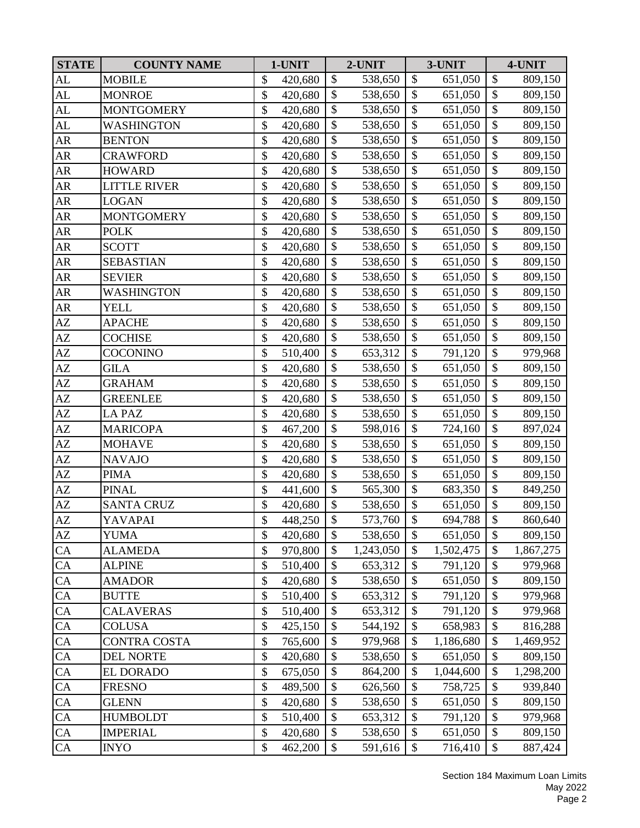| <b>STATE</b>           | <b>COUNTY NAME</b>  | 1-UNIT        |                           | 2-UNIT    |                           | 3-UNIT    |                           | 4-UNIT    |
|------------------------|---------------------|---------------|---------------------------|-----------|---------------------------|-----------|---------------------------|-----------|
| ${\rm AL}$             | <b>MOBILE</b>       | \$<br>420,680 | \$                        | 538,650   | $\boldsymbol{\mathsf{S}}$ | 651,050   | $\boldsymbol{\$}$         | 809,150   |
| AL                     | <b>MONROE</b>       | \$<br>420,680 | $\mathbb{S}$              | 538,650   | $\mathcal{S}$             | 651,050   | $\mathcal{S}$             | 809,150   |
| ${\rm AL}$             | <b>MONTGOMERY</b>   | \$<br>420,680 | $\mathcal{S}$             | 538,650   | \$                        | 651,050   | \$                        | 809,150   |
| AL                     | WASHINGTON          | \$<br>420,680 | \$                        | 538,650   | \$                        | 651,050   | \$                        | 809,150   |
| AR                     | <b>BENTON</b>       | \$<br>420,680 | $\mathcal{S}$             | 538,650   | \$                        | 651,050   | $\mathcal{S}$             | 809,150   |
| ${\sf AR}$             | <b>CRAWFORD</b>     | \$<br>420,680 | \$                        | 538,650   | $\mathcal{S}$             | 651,050   | \$                        | 809,150   |
| ${\sf AR}$             | <b>HOWARD</b>       | \$<br>420,680 | \$                        | 538,650   | \$                        | 651,050   | $\boldsymbol{\$}$         | 809,150   |
| ${\sf AR}$             | <b>LITTLE RIVER</b> | \$<br>420,680 | $\mathcal{S}$             | 538,650   | \$                        | 651,050   | $\mathcal{S}$             | 809,150   |
| AR                     | <b>LOGAN</b>        | \$<br>420,680 | \$                        | 538,650   | $\boldsymbol{\mathsf{S}}$ | 651,050   | $\overline{\$}$           | 809,150   |
| ${\sf AR}$             | <b>MONTGOMERY</b>   | \$<br>420,680 | \$                        | 538,650   | \$                        | 651,050   | \$                        | 809,150   |
| ${\sf AR}$             | <b>POLK</b>         | \$<br>420,680 | \$                        | 538,650   | $\mathcal{S}$             | 651,050   | \$                        | 809,150   |
| ${\sf AR}$             | <b>SCOTT</b>        | \$<br>420,680 | \$                        | 538,650   | \$                        | 651,050   | \$                        | 809,150   |
| ${\sf AR}$             | <b>SEBASTIAN</b>    | \$<br>420,680 | $\mathcal{S}$             | 538,650   | $\mathcal{S}$             | 651,050   | $\boldsymbol{\$}$         | 809,150   |
| AR                     | <b>SEVIER</b>       | \$<br>420,680 | \$                        | 538,650   | \$                        | 651,050   | \$                        | 809,150   |
| ${\sf AR}$             | WASHINGTON          | \$<br>420,680 | $\mathbb{S}$              | 538,650   | $\mathcal{S}$             | 651,050   | $\overline{\$}$           | 809,150   |
| ${\sf AR}$             | <b>YELL</b>         | \$<br>420,680 | \$                        | 538,650   | $\boldsymbol{\mathsf{S}}$ | 651,050   | $\overline{\$}$           | 809,150   |
| $\mathbf{A}\mathbf{Z}$ | <b>APACHE</b>       | \$<br>420,680 | \$                        | 538,650   | \$                        | 651,050   | \$                        | 809,150   |
| $\mathbf{A}\mathbf{Z}$ | <b>COCHISE</b>      | \$<br>420,680 | $\mathbb{S}$              | 538,650   | $\mathcal{S}$             | 651,050   | $\overline{\$}$           | 809,150   |
| $\mathbf{A}\mathbf{Z}$ | <b>COCONINO</b>     | \$<br>510,400 | \$                        | 653,312   | \$                        | 791,120   | $\boldsymbol{\$}$         | 979,968   |
| $\mathbf{A}\mathbf{Z}$ | <b>GILA</b>         | \$<br>420,680 | \$                        | 538,650   | \$                        | 651,050   | \$                        | 809,150   |
| AZ                     | <b>GRAHAM</b>       | \$<br>420,680 | \$                        | 538,650   | $\mathcal{S}$             | 651,050   | \$                        | 809,150   |
| AZ                     | <b>GREENLEE</b>     | \$<br>420,680 | $\boldsymbol{\mathsf{S}}$ | 538,650   | \$                        | 651,050   | \$                        | 809,150   |
| AZ                     | <b>LA PAZ</b>       | \$<br>420,680 | \$                        | 538,650   | $\mathcal{S}$             | 651,050   | \$                        | 809,150   |
| $\mathbf{A}\mathbf{Z}$ | <b>MARICOPA</b>     | \$<br>467,200 | \$                        | 598,016   | \$                        | 724,160   | \$                        | 897,024   |
| $\mathbf{A}\mathbf{Z}$ | <b>MOHAVE</b>       | \$<br>420,680 | \$                        | 538,650   | $\mathcal{S}$             | 651,050   | \$                        | 809,150   |
| $\mathbf{A}\mathbf{Z}$ | <b>NAVAJO</b>       | \$<br>420,680 | $\mathcal{S}$             | 538,650   | \$                        | 651,050   | \$                        | 809,150   |
| $\mathbf{A}\mathbf{Z}$ | <b>PIMA</b>         | \$<br>420,680 | $\mathbb{S}$              | 538,650   | $\mathcal{S}$             | 651,050   | $\mathcal{S}$             | 809,150   |
| AZ                     | <b>PINAL</b>        | \$<br>441,600 | \$                        | 565,300   | $\mathcal{S}$             | 683,350   | \$                        | 849,250   |
| $\mathbf{A}\mathbf{Z}$ | <b>SANTA CRUZ</b>   | \$<br>420,680 | \$                        | 538,650   | \$                        | 651,050   | \$                        | 809,150   |
| AZ                     | YAVAPAI             | \$<br>448,250 | \$                        | 573,760   | \$                        | 694,788   | $\overline{\$}$           | 860,640   |
| $\mathbf{A}\mathbf{Z}$ | <b>YUMA</b>         | \$<br>420,680 | \$                        | 538,650   | \$                        | 651,050   | \$                        | 809,150   |
| CA                     | <b>ALAMEDA</b>      | \$<br>970,800 | \$                        | 1,243,050 | \$                        | 1,502,475 | \$                        | 1,867,275 |
| ${\rm CA}$             | <b>ALPINE</b>       | \$<br>510,400 | \$                        | 653,312   | \$                        | 791,120   | \$                        | 979,968   |
| CA                     | <b>AMADOR</b>       | \$<br>420,680 | $\mathcal{S}$             | 538,650   | \$                        | 651,050   | \$                        | 809,150   |
| CA                     | <b>BUTTE</b>        | \$<br>510,400 | \$                        | 653,312   | \$                        | 791,120   | $\boldsymbol{\$}$         | 979,968   |
| CA                     | <b>CALAVERAS</b>    | \$<br>510,400 | \$                        | 653,312   | \$                        | 791,120   | \$                        | 979,968   |
| CA                     | <b>COLUSA</b>       | \$<br>425,150 | $\mathcal{S}$             | 544,192   | $\boldsymbol{\mathsf{S}}$ | 658,983   | \$                        | 816,288   |
| CA                     | <b>CONTRA COSTA</b> | \$<br>765,600 | \$                        | 979,968   | \$                        | 1,186,680 | \$                        | 1,469,952 |
| CA                     | <b>DEL NORTE</b>    | \$<br>420,680 | $\mathcal{S}$             | 538,650   | \$                        | 651,050   | \$                        | 809,150   |
| CA                     | <b>EL DORADO</b>    | \$<br>675,050 | \$                        | 864,200   | \$                        | 1,044,600 | \$                        | 1,298,200 |
| CA                     | <b>FRESNO</b>       | \$<br>489,500 | \$                        | 626,560   | \$                        | 758,725   | \$                        | 939,840   |
| CA                     | <b>GLENN</b>        | \$<br>420,680 | \$                        | 538,650   | \$                        | 651,050   | $\boldsymbol{\$}$         | 809,150   |
| CA                     | <b>HUMBOLDT</b>     | \$<br>510,400 | \$                        | 653,312   | \$                        | 791,120   | \$                        | 979,968   |
| ${\rm CA}$             | <b>IMPERIAL</b>     | \$<br>420,680 | $\boldsymbol{\mathsf{S}}$ | 538,650   | \$                        | 651,050   | $\boldsymbol{\$}$         | 809,150   |
| ${\rm CA}$             | <b>INYO</b>         | \$<br>462,200 | \$                        | 591,616   | \$                        | 716,410   | $\boldsymbol{\mathsf{S}}$ | 887,424   |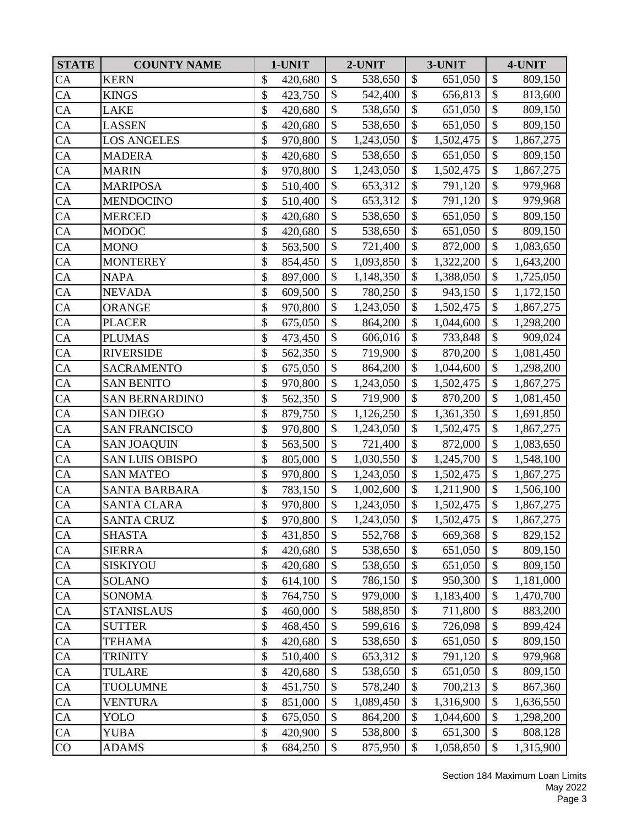| <b>STATE</b>    | <b>COUNTY NAME</b>     | 1-UNIT        |               | 2-UNIT    |                           | 3-UNIT    |                           | 4-UNIT    |
|-----------------|------------------------|---------------|---------------|-----------|---------------------------|-----------|---------------------------|-----------|
| CA              | <b>KERN</b>            | \$<br>420,680 | \$            | 538,650   | \$                        | 651,050   | $\boldsymbol{\$}$         | 809,150   |
| $\overline{CA}$ | <b>KINGS</b>           | \$<br>423,750 | $\mathbb{S}$  | 542,400   | $\mathcal{S}$             | 656,813   | $\boldsymbol{\mathsf{S}}$ | 813,600   |
| CA              | <b>LAKE</b>            | \$<br>420,680 | \$            | 538,650   | \$                        | 651,050   | \$                        | 809,150   |
| CA              | <b>LASSEN</b>          | \$<br>420,680 | \$            | 538,650   | $\boldsymbol{\mathsf{S}}$ | 651,050   | \$                        | 809,150   |
| CA              | <b>LOS ANGELES</b>     | \$<br>970,800 | $\mathcal{S}$ | 1,243,050 | \$                        | 1,502,475 | \$                        | 1,867,275 |
| CA              | <b>MADERA</b>          | \$<br>420,680 | \$            | 538,650   | $\boldsymbol{\mathsf{S}}$ | 651,050   | \$                        | 809,150   |
| CA              | <b>MARIN</b>           | \$<br>970,800 | \$            | 1,243,050 | \$                        | 1,502,475 | $\boldsymbol{\$}$         | 1,867,275 |
| CA              | <b>MARIPOSA</b>        | \$<br>510,400 | $\mathcal{S}$ | 653,312   | \$                        | 791,120   | \$                        | 979,968   |
| CA              | <b>MENDOCINO</b>       | \$<br>510,400 | \$            | 653,312   | $\boldsymbol{\mathsf{S}}$ | 791,120   | $\overline{\$}$           | 979,968   |
| CA              | <b>MERCED</b>          | \$<br>420,680 | \$            | 538,650   | \$                        | 651,050   | \$                        | 809,150   |
| CA              | <b>MODOC</b>           | \$<br>420,680 | \$            | 538,650   | $\boldsymbol{\mathsf{S}}$ | 651,050   | \$                        | 809,150   |
| CA              | <b>MONO</b>            | \$<br>563,500 | \$            | 721,400   | \$                        | 872,000   | $\boldsymbol{\$}$         | 1,083,650 |
| CA              | <b>MONTEREY</b>        | \$<br>854,450 | $\mathcal{S}$ | 1,093,850 | \$                        | 1,322,200 | $\boldsymbol{\$}$         | 1,643,200 |
| CA              | <b>NAPA</b>            | \$<br>897,000 | \$            | 1,148,350 | \$                        | 1,388,050 | $\boldsymbol{\$}$         | 1,725,050 |
| CA              | <b>NEVADA</b>          | \$<br>609,500 | $\mathbb{S}$  | 780,250   | $\mathcal{S}$             | 943,150   | $\boldsymbol{\mathsf{S}}$ | 1,172,150 |
| CA              | <b>ORANGE</b>          | \$<br>970,800 | \$            | 1,243,050 | $\boldsymbol{\mathsf{S}}$ | 1,502,475 | \$                        | 1,867,275 |
| CA              | <b>PLACER</b>          | \$<br>675,050 | \$            | 864,200   | \$                        | 1,044,600 | \$                        | 1,298,200 |
| $\overline{CA}$ | <b>PLUMAS</b>          | \$<br>473,450 | \$            | 606,016   | $\boldsymbol{\mathsf{S}}$ | 733,848   | $\overline{\$}$           | 909,024   |
| CA              | <b>RIVERSIDE</b>       | \$<br>562,350 | \$            | 719,900   | \$                        | 870,200   | $\$$                      | 1,081,450 |
| CA              | <b>SACRAMENTO</b>      | \$<br>675,050 | $\mathcal{S}$ | 864,200   | \$                        | 1,044,600 | \$                        | 1,298,200 |
| $\overline{CA}$ | <b>SAN BENITO</b>      | \$<br>970,800 | $\mathcal{S}$ | 1,243,050 | $\mathcal{S}$             | 1,502,475 | $\boldsymbol{\mathsf{S}}$ | 1,867,275 |
| CA              | <b>SAN BERNARDINO</b>  | \$<br>562,350 | \$            | 719,900   | \$                        | 870,200   | \$                        | 1,081,450 |
| CA              | <b>SAN DIEGO</b>       | \$<br>879,750 | \$            | 1,126,250 | $\boldsymbol{\mathsf{S}}$ | 1,361,350 | \$                        | 1,691,850 |
| CA              | <b>SAN FRANCISCO</b>   | \$<br>970,800 | $\mathcal{S}$ | 1,243,050 | $\mathcal{S}$             | 1,502,475 | \$                        | 1,867,275 |
| CA              | <b>SAN JOAQUIN</b>     | \$<br>563,500 | \$            | 721,400   | $\boldsymbol{\mathsf{S}}$ | 872,000   | $\boldsymbol{\$}$         | 1,083,650 |
| CA              | <b>SAN LUIS OBISPO</b> | \$<br>805,000 | \$            | 1,030,550 | \$                        | 1,245,700 | $\$$                      | 1,548,100 |
| CA              | <b>SAN MATEO</b>       | \$<br>970,800 | $\mathcal{S}$ | 1,243,050 | $\mathcal{S}$             | 1,502,475 | $\boldsymbol{\mathsf{S}}$ | 1,867,275 |
| CA              | <b>SANTA BARBARA</b>   | \$<br>783,150 | \$            | 1,002,600 | $\mathcal{S}$             | 1,211,900 | \$                        | 1,506,100 |
| CA              | <b>SANTA CLARA</b>     | \$<br>970,800 | \$            | 1,243,050 | \$                        | 1,502,475 | \$                        | 1,867,275 |
| CA              | <b>SANTA CRUZ</b>      | \$<br>970,800 | \$            | 1,243,050 | \$                        | 1,502,475 | \$                        | 1,867,275 |
| CA              | <b>SHASTA</b>          | \$<br>431,850 | \$            | 552,768   | \$                        | 669,368   | \$                        | 829,152   |
| CA              | <b>SIERRA</b>          | \$<br>420,680 | \$            | 538,650   | \$                        | 651,050   | \$                        | 809,150   |
| ${\rm CA}$      | <b>SISKIYOU</b>        | \$<br>420,680 | \$            | 538,650   | \$                        | 651,050   | \$                        | 809,150   |
| CA              | <b>SOLANO</b>          | \$<br>614,100 | \$            | 786,150   | \$                        | 950,300   | \$                        | 1,181,000 |
| CA              | <b>SONOMA</b>          | \$<br>764,750 | \$            | 979,000   | \$                        | 1,183,400 | \$                        | 1,470,700 |
| ${\rm CA}$      | <b>STANISLAUS</b>      | \$<br>460,000 | \$            | 588,850   | \$                        | 711,800   | \$                        | 883,200   |
| CA              | <b>SUTTER</b>          | \$<br>468,450 | \$            | 599,616   | $\boldsymbol{\mathsf{S}}$ | 726,098   | \$                        | 899,424   |
| CA              | <b>TEHAMA</b>          | \$<br>420,680 | \$            | 538,650   | \$                        | 651,050   | \$                        | 809,150   |
| ${\rm CA}$      | <b>TRINITY</b>         | \$<br>510,400 | $\mathcal{S}$ | 653,312   | \$                        | 791,120   | \$                        | 979,968   |
| CA              | <b>TULARE</b>          | \$<br>420,680 | \$            | 538,650   | \$                        | 651,050   | \$                        | 809,150   |
| CA              | <b>TUOLUMNE</b>        | \$<br>451,750 | \$            | 578,240   | \$                        | 700,213   | \$                        | 867,360   |
| CA              | <b>VENTURA</b>         | \$<br>851,000 | \$            | 1,089,450 | \$                        | 1,316,900 | \$                        | 1,636,550 |
| ${\rm CA}$      | YOLO                   | \$<br>675,050 | \$            | 864,200   | \$                        | 1,044,600 | \$                        | 1,298,200 |
| ${\rm CA}$      | <b>YUBA</b>            | \$<br>420,900 | \$            | 538,800   | \$                        | 651,300   | $\boldsymbol{\$}$         | 808,128   |
| CO              | <b>ADAMS</b>           | \$<br>684,250 | \$            | 875,950   | \$                        | 1,058,850 | \$                        | 1,315,900 |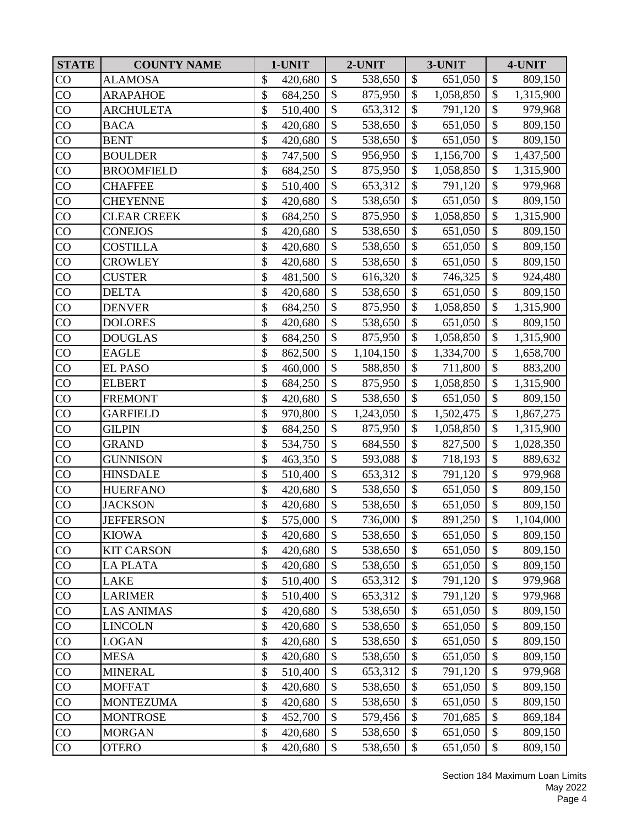| <b>STATE</b>    | <b>COUNTY NAME</b> | 1-UNIT        |                           | 2-UNIT    |                           | 3-UNIT    |                           | 4-UNIT    |
|-----------------|--------------------|---------------|---------------------------|-----------|---------------------------|-----------|---------------------------|-----------|
| CO              | <b>ALAMOSA</b>     | \$<br>420,680 | \$                        | 538,650   | \$                        | 651,050   | \$                        | 809,150   |
| CO              | <b>ARAPAHOE</b>    | \$<br>684,250 | \$                        | 875,950   | \$                        | 1,058,850 | \$                        | 1,315,900 |
| CO              | <b>ARCHULETA</b>   | \$<br>510,400 | \$                        | 653,312   | \$                        | 791,120   | \$                        | 979,968   |
| CO              | <b>BACA</b>        | \$<br>420,680 | \$                        | 538,650   | \$                        | 651,050   | \$                        | 809,150   |
| CO              | <b>BENT</b>        | \$<br>420,680 | \$                        | 538,650   | \$                        | 651,050   | $\boldsymbol{\$}$         | 809,150   |
| CO              | <b>BOULDER</b>     | \$<br>747,500 | $\mathcal{S}$             | 956,950   | \$                        | 1,156,700 | \$                        | 1,437,500 |
| CO              | <b>BROOMFIELD</b>  | \$<br>684,250 | \$                        | 875,950   | \$                        | 1,058,850 | \$                        | 1,315,900 |
| CO              | <b>CHAFFEE</b>     | \$<br>510,400 | $\mathbb{S}$              | 653,312   | $\mathcal{S}$             | 791,120   | \$                        | 979,968   |
| CO              | <b>CHEYENNE</b>    | \$<br>420,680 | \$                        | 538,650   | $\boldsymbol{\mathsf{S}}$ | 651,050   | \$                        | 809,150   |
| CO              | <b>CLEAR CREEK</b> | \$<br>684,250 | \$                        | 875,950   | $\mathcal{S}$             | 1,058,850 | $\mathcal{S}$             | 1,315,900 |
| CO              | <b>CONEJOS</b>     | \$<br>420,680 | $\overline{\$}$           | 538,650   | $\boldsymbol{\mathsf{S}}$ | 651,050   | $\overline{\$}$           | 809,150   |
| CO              | <b>COSTILLA</b>    | \$<br>420,680 | \$                        | 538,650   | \$                        | 651,050   | $\boldsymbol{\$}$         | 809,150   |
| CO              | <b>CROWLEY</b>     | \$<br>420,680 | $\mathcal{S}$             | 538,650   | \$                        | 651,050   | $\boldsymbol{\$}$         | 809,150   |
| CO              | <b>CUSTER</b>      | \$<br>481,500 | $\mathbb{S}$              | 616,320   | \$                        | 746,325   | $\overline{\$}$           | 924,480   |
| CO              | <b>DELTA</b>       | \$<br>420,680 | \$                        | 538,650   | \$                        | 651,050   | \$                        | 809,150   |
| CO              | <b>DENVER</b>      | \$<br>684,250 | \$                        | 875,950   | $\boldsymbol{\mathsf{S}}$ | 1,058,850 | \$                        | 1,315,900 |
| CO              | <b>DOLORES</b>     | \$<br>420,680 | \$                        | 538,650   | \$                        | 651,050   | \$                        | 809,150   |
| CO              | <b>DOUGLAS</b>     | \$<br>684,250 | \$                        | 875,950   | \$                        | 1,058,850 | $\boldsymbol{\$}$         | 1,315,900 |
| CO              | <b>EAGLE</b>       | \$<br>862,500 | \$                        | 1,104,150 | \$                        | 1,334,700 | $\boldsymbol{\$}$         | 1,658,700 |
| CO              | <b>EL PASO</b>     | \$<br>460,000 | $\mathbb{S}$              | 588,850   | $\mathcal{S}$             | 711,800   | \$                        | 883,200   |
| CO              | <b>ELBERT</b>      | \$<br>684,250 | \$                        | 875,950   | \$                        | 1,058,850 | \$                        | 1,315,900 |
| CO              | <b>FREMONT</b>     | \$<br>420,680 | \$                        | 538,650   | \$                        | 651,050   | \$                        | 809,150   |
| CO              | <b>GARFIELD</b>    | \$<br>970,800 | $\boldsymbol{\mathsf{S}}$ | 1,243,050 | $\boldsymbol{\mathsf{S}}$ | 1,502,475 | $\boldsymbol{\mathsf{S}}$ | 1,867,275 |
| CO              | <b>GILPIN</b>      | \$<br>684,250 | \$                        | 875,950   | \$                        | 1,058,850 | \$                        | 1,315,900 |
| $\rm CO$        | <b>GRAND</b>       | \$<br>534,750 | $\boldsymbol{\mathsf{S}}$ | 684,550   | \$                        | 827,500   | \$                        | 1,028,350 |
| CO              | <b>GUNNISON</b>    | \$<br>463,350 | \$                        | 593,088   | $\mathcal{S}$             | 718,193   | \$                        | 889,632   |
| CO              | <b>HINSDALE</b>    | \$<br>510,400 | \$                        | 653,312   | $\boldsymbol{\mathsf{S}}$ | 791,120   | \$                        | 979,968   |
| CO              | <b>HUERFANO</b>    | \$<br>420,680 | \$                        | 538,650   | $\boldsymbol{\mathsf{S}}$ | 651,050   | $\overline{\$}$           | 809,150   |
| CO              | <b>JACKSON</b>     | \$<br>420,680 | \$                        | 538,650   | \$                        | 651,050   | \$                        | 809,150   |
| $\overline{CO}$ | <b>JEFFERSON</b>   | \$<br>575,000 | $\overline{\mathcal{S}}$  | 736,000   | \$                        | 891,250   | $\overline{\$}$           | 1,104,000 |
| CO              | <b>KIOWA</b>       | \$<br>420,680 | \$                        | 538,650   | \$                        | 651,050   | \$                        | 809,150   |
| CO              | <b>KIT CARSON</b>  | \$<br>420,680 | \$                        | 538,650   | \$                        | 651,050   | \$                        | 809,150   |
| CO              | <b>LA PLATA</b>    | \$<br>420,680 | \$                        | 538,650   | \$                        | 651,050   | \$                        | 809,150   |
| CO              | <b>LAKE</b>        | \$<br>510,400 | \$                        | 653,312   | \$                        | 791,120   | \$                        | 979,968   |
| $\rm CO$        | <b>LARIMER</b>     | \$<br>510,400 | \$                        | 653,312   | \$                        | 791,120   | $\boldsymbol{\$}$         | 979,968   |
| CO              | <b>LAS ANIMAS</b>  | \$<br>420,680 | \$                        | 538,650   | \$                        | 651,050   | \$                        | 809,150   |
| $\rm CO$        | <b>LINCOLN</b>     | \$<br>420,680 | \$                        | 538,650   | $\mathcal{S}$             | 651,050   | \$                        | 809,150   |
| CO              | <b>LOGAN</b>       | \$<br>420,680 | \$                        | 538,650   | \$                        | 651,050   | \$                        | 809,150   |
| CO              | <b>MESA</b>        | \$<br>420,680 | $\mathcal{S}$             | 538,650   | $\mathcal{S}$             | 651,050   | \$                        | 809,150   |
| CO              | <b>MINERAL</b>     | \$<br>510,400 | \$                        | 653,312   | \$                        | 791,120   | \$                        | 979,968   |
| CO              | <b>MOFFAT</b>      | \$<br>420,680 | \$                        | 538,650   | \$                        | 651,050   | \$                        | 809,150   |
| CO              | <b>MONTEZUMA</b>   | \$<br>420,680 | \$                        | 538,650   | \$                        | 651,050   | \$                        | 809,150   |
| CO              | <b>MONTROSE</b>    | \$<br>452,700 | \$                        | 579,456   | \$                        | 701,685   | \$                        | 869,184   |
| CO              | <b>MORGAN</b>      | \$<br>420,680 | \$                        | 538,650   | \$                        | 651,050   | \$                        | 809,150   |
| CO              | <b>OTERO</b>       | \$<br>420,680 | \$                        | 538,650   | $\mathcal{S}$             | 651,050   | $\boldsymbol{\mathsf{S}}$ | 809,150   |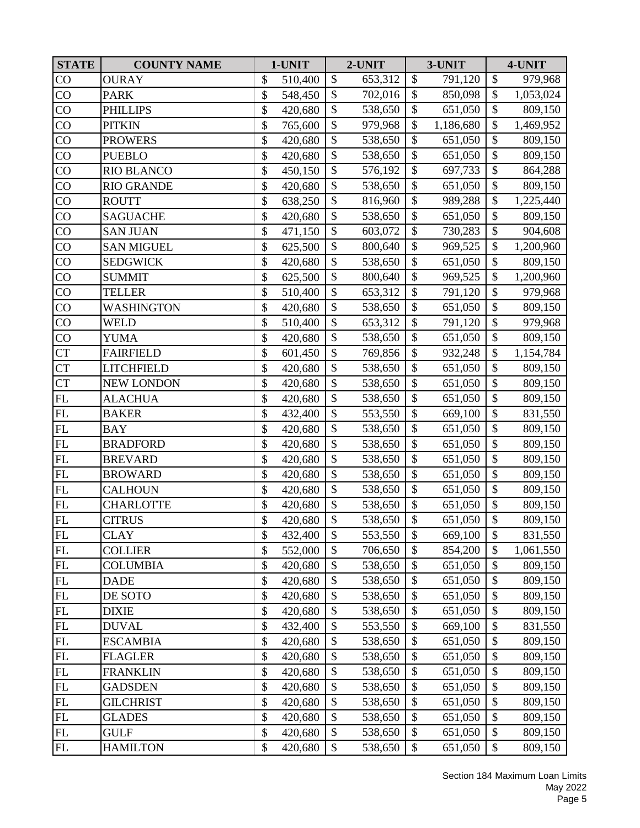| <b>STATE</b>       | <b>COUNTY NAME</b> | 1-UNIT        |                           | 2-UNIT  |                           | 3-UNIT    |                           | 4-UNIT    |
|--------------------|--------------------|---------------|---------------------------|---------|---------------------------|-----------|---------------------------|-----------|
| CO                 | <b>OURAY</b>       | \$<br>510,400 | $\mathcal{S}$             | 653,312 | \$                        | 791,120   | \$                        | 979,968   |
| CO                 | <b>PARK</b>        | \$<br>548,450 | \$                        | 702,016 | \$                        | 850,098   | \$                        | 1,053,024 |
| CO                 | <b>PHILLIPS</b>    | \$<br>420,680 | \$                        | 538,650 | \$                        | 651,050   | \$                        | 809,150   |
| $\rm CO$           | <b>PITKIN</b>      | \$<br>765,600 | \$                        | 979,968 | \$                        | 1,186,680 | \$                        | 1,469,952 |
| CO                 | <b>PROWERS</b>     | \$<br>420,680 | \$                        | 538,650 | \$                        | 651,050   | \$                        | 809,150   |
| $\rm CO$           | <b>PUEBLO</b>      | \$<br>420,680 | $\boldsymbol{\mathsf{S}}$ | 538,650 | \$                        | 651,050   | $\boldsymbol{\$}$         | 809,150   |
| CO                 | <b>RIO BLANCO</b>  | \$<br>450,150 | \$                        | 576,192 | \$                        | 697,733   | $\boldsymbol{\$}$         | 864,288   |
| CO                 | <b>RIO GRANDE</b>  | \$<br>420,680 | $\mathcal{S}$             | 538,650 | $\mathcal{S}$             | 651,050   | $\boldsymbol{\mathsf{S}}$ | 809,150   |
| CO                 | <b>ROUTT</b>       | \$<br>638,250 | \$                        | 816,960 | $\boldsymbol{\mathsf{S}}$ | 989,288   | \$                        | 1,225,440 |
| CO                 | <b>SAGUACHE</b>    | \$<br>420,680 | \$                        | 538,650 | \$                        | 651,050   | $\mathcal{S}$             | 809,150   |
| $\overline{CO}$    | <b>SAN JUAN</b>    | \$<br>471,150 | \$                        | 603,072 | $\boldsymbol{\mathsf{S}}$ | 730,283   | $\overline{\$}$           | 904,608   |
| CO                 | <b>SAN MIGUEL</b>  | \$<br>625,500 | \$                        | 800,640 | \$                        | 969,525   | \$                        | 1,200,960 |
| CO                 | <b>SEDGWICK</b>    | \$<br>420,680 | $\mathcal{S}$             | 538,650 | \$                        | 651,050   | $\boldsymbol{\mathsf{S}}$ | 809,150   |
| CO                 | <b>SUMMIT</b>      | \$<br>625,500 | \$                        | 800,640 | $\mathcal{S}$             | 969,525   | $\overline{\$}$           | 1,200,960 |
| CO                 | <b>TELLER</b>      | \$<br>510,400 | \$                        | 653,312 | \$                        | 791,120   | $\mathcal{S}$             | 979,968   |
| CO                 | WASHINGTON         | \$<br>420,680 | \$                        | 538,650 | \$                        | 651,050   | \$                        | 809,150   |
| CO                 | <b>WELD</b>        | \$<br>510,400 | \$                        | 653,312 | \$                        | 791,120   | \$                        | 979,968   |
| CO                 | <b>YUMA</b>        | \$<br>420,680 | $\mathcal{S}$             | 538,650 | $\mathcal{S}$             | 651,050   | \$                        | 809,150   |
| ${\cal C}{\cal T}$ | <b>FAIRFIELD</b>   | \$<br>601,450 | \$                        | 769,856 | \$                        | 932,248   | $\boldsymbol{\$}$         | 1,154,784 |
| <b>CT</b>          | <b>LITCHFIELD</b>  | \$<br>420,680 | $\mathbb{S}$              | 538,650 | $\mathcal{S}$             | 651,050   | \$                        | 809,150   |
| <b>CT</b>          | <b>NEW LONDON</b>  | \$<br>420,680 | \$                        | 538,650 | \$                        | 651,050   | \$                        | 809,150   |
| ${\rm FL}$         | <b>ALACHUA</b>     | \$<br>420,680 | \$                        | 538,650 | \$                        | 651,050   | \$                        | 809,150   |
| $\mathbf{FL}$      | <b>BAKER</b>       | \$<br>432,400 | \$                        | 553,550 | $\boldsymbol{\mathsf{S}}$ | 669,100   | \$                        | 831,550   |
| ${\rm FL}$         | <b>BAY</b>         | \$<br>420,680 | \$                        | 538,650 | \$                        | 651,050   | $\boldsymbol{\$}$         | 809,150   |
| ${\rm FL}$         | <b>BRADFORD</b>    | \$<br>420,680 | $\mathcal{S}$             | 538,650 | $\boldsymbol{\mathsf{S}}$ | 651,050   | \$                        | 809,150   |
| FL                 | <b>BREVARD</b>     | \$<br>420,680 | \$                        | 538,650 | \$                        | 651,050   | \$                        | 809,150   |
| FL                 | <b>BROWARD</b>     | \$<br>420,680 | \$                        | 538,650 | \$                        | 651,050   | \$                        | 809,150   |
| $\mathbf{FL}$      | <b>CALHOUN</b>     | \$<br>420,680 | \$                        | 538,650 | $\boldsymbol{\mathsf{S}}$ | 651,050   | \$                        | 809,150   |
| FL                 | <b>CHARLOTTE</b>   | \$<br>420,680 | \$                        | 538,650 | \$                        | 651,050   | \$                        | 809,150   |
| FL                 | <b>CITRUS</b>      | \$<br>420,680 | $\mathbb{S}$              | 538,650 | $\mathcal{S}$             | 651,050   | $\overline{\$}$           | 809,150   |
| FL                 | <b>CLAY</b>        | \$<br>432,400 | \$                        | 553,550 | \$                        | 669,100   | \$                        | 831,550   |
| $\mathbf{FL}$      | <b>COLLIER</b>     | \$<br>552,000 | $\mathcal{S}$             | 706,650 | \$                        | 854,200   | \$                        | 1,061,550 |
| FL                 | <b>COLUMBIA</b>    | \$<br>420,680 | \$                        | 538,650 | \$                        | 651,050   | \$                        | 809,150   |
| $\mathbf{FL}$      | <b>DADE</b>        | \$<br>420,680 | \$                        | 538,650 | \$                        | 651,050   | \$                        | 809,150   |
| FL                 | DE SOTO            | \$<br>420,680 | \$                        | 538,650 | \$                        | 651,050   | $\boldsymbol{\$}$         | 809,150   |
| $\mathbf{FL}$      | <b>DIXIE</b>       | \$<br>420,680 | \$                        | 538,650 | \$                        | 651,050   | \$                        | 809,150   |
| FL                 | <b>DUVAL</b>       | \$<br>432,400 | \$                        | 553,550 | \$                        | 669,100   | \$                        | 831,550   |
| $\mathbf{FL}$      | <b>ESCAMBIA</b>    | \$<br>420,680 | \$                        | 538,650 | \$                        | 651,050   | \$                        | 809,150   |
| FL                 | <b>FLAGLER</b>     | \$<br>420,680 | $\mathcal{S}$             | 538,650 | $\mathcal{S}$             | 651,050   | \$                        | 809,150   |
| $\mathbf{FL}$      | <b>FRANKLIN</b>    | \$<br>420,680 | \$                        | 538,650 | \$                        | 651,050   | \$                        | 809,150   |
| $\mathbf{FL}$      | <b>GADSDEN</b>     | \$<br>420,680 | \$                        | 538,650 | \$                        | 651,050   | \$                        | 809,150   |
| $\mathbf{FL}$      | <b>GILCHRIST</b>   | \$<br>420,680 | \$                        | 538,650 | \$                        | 651,050   | \$                        | 809,150   |
| $\mathbf{FL}$      | <b>GLADES</b>      | \$<br>420,680 | \$                        | 538,650 | \$                        | 651,050   | \$                        | 809,150   |
| $\mathbf{FL}$      | <b>GULF</b>        | \$<br>420,680 | \$                        | 538,650 | \$                        | 651,050   | \$                        | 809,150   |
| $\mathbf{FL}$      | <b>HAMILTON</b>    | \$<br>420,680 | \$                        | 538,650 | \$                        | 651,050   | \$                        | 809,150   |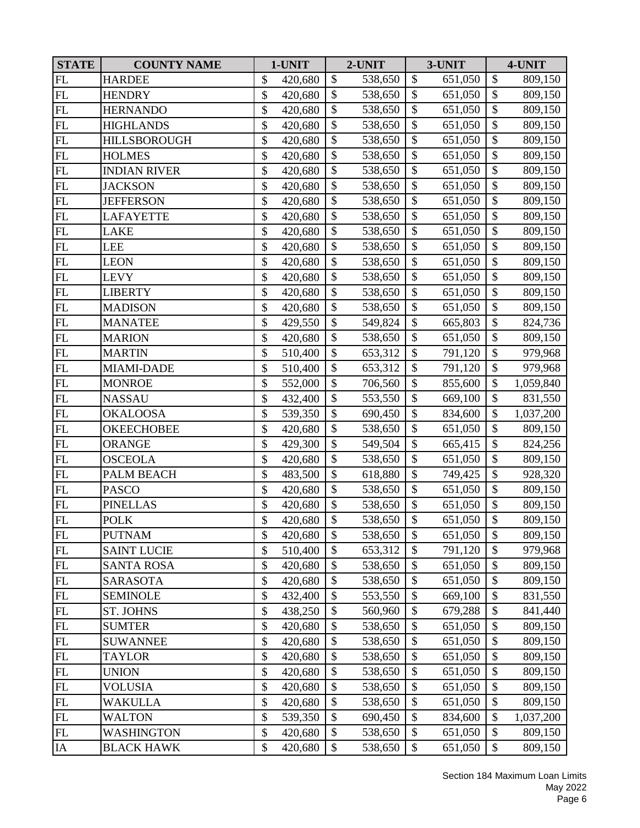| <b>STATE</b>               | <b>COUNTY NAME</b>  | 1-UNIT        |               | 2-UNIT  |                           | 3-UNIT  |                           | 4-UNIT    |
|----------------------------|---------------------|---------------|---------------|---------|---------------------------|---------|---------------------------|-----------|
| FL                         | <b>HARDEE</b>       | \$<br>420,680 | \$            | 538,650 | \$                        | 651,050 | $\boldsymbol{\$}$         | 809,150   |
| FL                         | <b>HENDRY</b>       | \$<br>420,680 | \$            | 538,650 | $\mathcal{S}$             | 651,050 | $\boldsymbol{\mathsf{S}}$ | 809,150   |
| FL                         | <b>HERNANDO</b>     | \$<br>420,680 | \$            | 538,650 | $\mathcal{S}$             | 651,050 | \$                        | 809,150   |
| FL                         | <b>HIGHLANDS</b>    | \$<br>420,680 | \$            | 538,650 | $\boldsymbol{\mathsf{S}}$ | 651,050 | $\overline{\$}$           | 809,150   |
| FL                         | <b>HILLSBOROUGH</b> | \$<br>420,680 | \$            | 538,650 | $\mathcal{S}$             | 651,050 | \$                        | 809,150   |
| $\mathop{\rm FL}\nolimits$ | <b>HOLMES</b>       | \$<br>420,680 | \$            | 538,650 | \$                        | 651,050 | \$                        | 809,150   |
| FL                         | <b>INDIAN RIVER</b> | \$<br>420,680 | \$            | 538,650 | $\mathcal{S}$             | 651,050 | \$                        | 809,150   |
| $\mathbf{FL}$              | <b>JACKSON</b>      | \$<br>420,680 | \$            | 538,650 | $\mathcal{S}$             | 651,050 | \$                        | 809,150   |
| FL                         | <b>JEFFERSON</b>    | \$<br>420,680 | \$            | 538,650 | \$                        | 651,050 | $\overline{\$}$           | 809,150   |
| $\mathop{\rm FL}\nolimits$ | <b>LAFAYETTE</b>    | \$<br>420,680 | \$            | 538,650 | $\boldsymbol{\mathsf{S}}$ | 651,050 | \$                        | 809,150   |
| FL                         | <b>LAKE</b>         | \$<br>420,680 | \$            | 538,650 | \$                        | 651,050 | \$                        | 809,150   |
| FL                         | <b>LEE</b>          | \$<br>420,680 | \$            | 538,650 | $\boldsymbol{\mathsf{S}}$ | 651,050 | $\boldsymbol{\$}$         | 809,150   |
| FL                         | <b>LEON</b>         | \$<br>420,680 | \$            | 538,650 | $\mathcal{S}$             | 651,050 | \$                        | 809,150   |
| FL                         | <b>LEVY</b>         | \$<br>420,680 | \$            | 538,650 | $\mathcal{S}$             | 651,050 | \$                        | 809,150   |
| FL                         | <b>LIBERTY</b>      | \$<br>420,680 | $\mathcal{S}$ | 538,650 | $\mathcal{S}$             | 651,050 | $\overline{\$}$           | 809,150   |
| FL                         | <b>MADISON</b>      | \$<br>420,680 | \$            | 538,650 | $\boldsymbol{\mathsf{S}}$ | 651,050 | $\overline{\$}$           | 809,150   |
| FL                         | <b>MANATEE</b>      | \$<br>429,550 | \$            | 549,824 | $\mathcal{S}$             | 665,803 | \$                        | 824,736   |
| FL                         | <b>MARION</b>       | \$<br>420,680 | $\mathcal{S}$ | 538,650 | $\mathcal{S}$             | 651,050 | $\overline{\$}$           | 809,150   |
| $\mathbf{FL}$              | <b>MARTIN</b>       | \$<br>510,400 | \$            | 653,312 | $\mathcal{S}$             | 791,120 | $\boldsymbol{\$}$         | 979,968   |
| FL                         | MIAMI-DADE          | \$<br>510,400 | \$            | 653,312 | $\mathcal{S}$             | 791,120 | \$                        | 979,968   |
| FL                         | <b>MONROE</b>       | \$<br>552,000 | $\mathbb{S}$  | 706,560 | $\mathcal{S}$             | 855,600 | $\overline{\$}$           | 1,059,840 |
| FL                         | <b>NASSAU</b>       | \$<br>432,400 | \$            | 553,550 | $\mathcal{S}$             | 669,100 | \$                        | 831,550   |
| FL                         | <b>OKALOOSA</b>     | \$<br>539,350 | \$            | 690,450 | $\boldsymbol{\mathsf{S}}$ | 834,600 | $\overline{\$}$           | 1,037,200 |
| FL                         | <b>OKEECHOBEE</b>   | \$<br>420,680 | \$            | 538,650 | $\mathcal{S}$             | 651,050 | \$                        | 809,150   |
| $\mathop{\rm FL}\nolimits$ | <b>ORANGE</b>       | \$<br>429,300 | \$            | 549,504 | \$                        | 665,415 | \$                        | 824,256   |
| FL                         | <b>OSCEOLA</b>      | \$<br>420,680 | \$            | 538,650 | $\mathcal{S}$             | 651,050 | $\boldsymbol{\$}$         | 809,150   |
| FL                         | PALM BEACH          | \$<br>483,500 | $\mathcal{S}$ | 618,880 | $\mathcal{S}$             | 749,425 | \$                        | 928,320   |
| FL                         | <b>PASCO</b>        | \$<br>420,680 | \$            | 538,650 | \$                        | 651,050 | $\overline{\$}$           | 809,150   |
| $\mathbf{FL}$              | <b>PINELLAS</b>     | \$<br>420,680 | \$            | 538,650 | $\mathcal{S}$             | 651,050 | \$                        | 809,150   |
| <b>FL</b>                  | <b>POLK</b>         | \$<br>420,680 | $\mathcal{S}$ | 538,650 | $\mathcal{S}$             | 651,050 | \$                        | 809,150   |
| FL                         | <b>PUTNAM</b>       | \$<br>420,680 | \$            | 538,650 | \$                        | 651,050 | \$                        | 809,150   |
| FL                         | <b>SAINT LUCIE</b>  | \$<br>510,400 | \$            | 653,312 | $\mathcal{S}$             | 791,120 | \$                        | 979,968   |
| $\mathbf{FL}$              | <b>SANTA ROSA</b>   | \$<br>420,680 | \$            | 538,650 | $\mathcal{S}$             | 651,050 | \$                        | 809,150   |
| $\mathbf{FL}$              | <b>SARASOTA</b>     | \$<br>420,680 | \$            | 538,650 | $\mathcal{S}$             | 651,050 | \$                        | 809,150   |
| $\mathbf{FL}$              | <b>SEMINOLE</b>     | \$<br>432,400 | \$            | 553,550 | $\boldsymbol{\mathsf{S}}$ | 669,100 | \$                        | 831,550   |
| $\mathbf{FL}$              | ST. JOHNS           | \$<br>438,250 | \$            | 560,960 | \$                        | 679,288 | \$                        | 841,440   |
| FL                         | <b>SUMTER</b>       | \$<br>420,680 | \$            | 538,650 | $\mathcal{S}$             | 651,050 | \$                        | 809,150   |
| FL                         | <b>SUWANNEE</b>     | \$<br>420,680 | $\mathcal{S}$ | 538,650 | \$                        | 651,050 | \$                        | 809,150   |
| FL                         | <b>TAYLOR</b>       | \$<br>420,680 | \$            | 538,650 | \$                        | 651,050 | \$                        | 809,150   |
| $\mathbf{FL}$              | <b>UNION</b>        | \$<br>420,680 | \$            | 538,650 | $\mathcal{S}$             | 651,050 | \$                        | 809,150   |
| $\mathbf{FL}$              | <b>VOLUSIA</b>      | \$<br>420,680 | \$            | 538,650 | $\mathcal{S}$             | 651,050 | \$                        | 809,150   |
| $\mathbf{FL}$              | WAKULLA             | \$<br>420,680 | \$            | 538,650 | $\boldsymbol{\mathsf{S}}$ | 651,050 | \$                        | 809,150   |
| FL                         | <b>WALTON</b>       | \$<br>539,350 | \$            | 690,450 | $\mathcal{S}$             | 834,600 | \$                        | 1,037,200 |
| FL                         | <b>WASHINGTON</b>   | \$<br>420,680 | \$            | 538,650 | $\boldsymbol{\mathsf{S}}$ | 651,050 | $\boldsymbol{\$}$         | 809,150   |
| IA                         | <b>BLACK HAWK</b>   | \$<br>420,680 | \$            | 538,650 | \$                        | 651,050 | \$                        | 809,150   |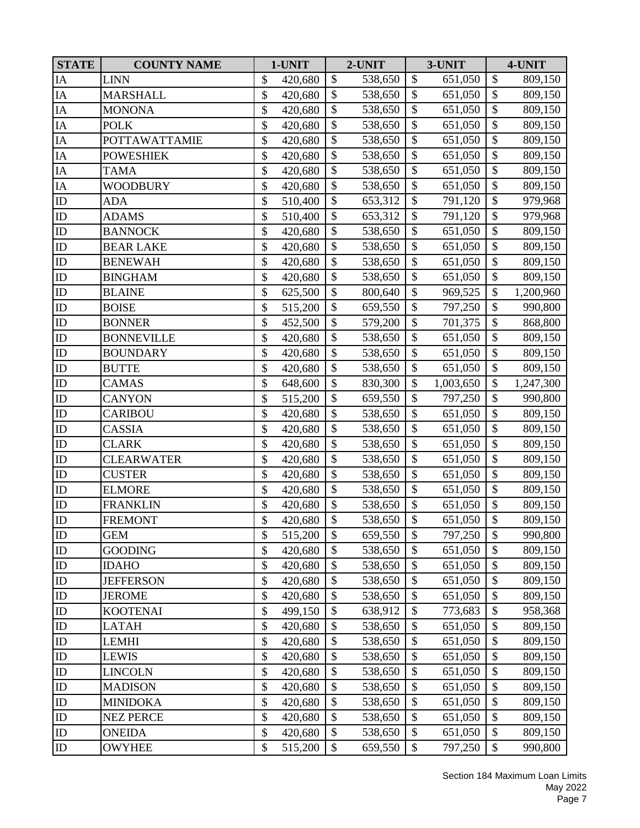| <b>STATE</b>    | <b>COUNTY NAME</b>   | 1-UNIT        |                           | 2-UNIT  |                           | 3-UNIT    |                   | 4-UNIT    |
|-----------------|----------------------|---------------|---------------------------|---------|---------------------------|-----------|-------------------|-----------|
| IA              | <b>LINN</b>          | \$<br>420,680 | \$                        | 538,650 | $\boldsymbol{\mathsf{S}}$ | 651,050   | \$                | 809,150   |
| IA              | <b>MARSHALL</b>      | \$<br>420,680 | $\mathbb{S}$              | 538,650 | $\mathcal{S}$             | 651,050   | \$                | 809,150   |
| IA              | <b>MONONA</b>        | \$<br>420,680 | \$                        | 538,650 | \$                        | 651,050   | \$                | 809,150   |
| $\rm IA$        | <b>POLK</b>          | \$<br>420,680 | \$                        | 538,650 | $\boldsymbol{\mathsf{S}}$ | 651,050   | \$                | 809,150   |
| IA              | <b>POTTAWATTAMIE</b> | \$<br>420,680 | $\mathcal{S}$             | 538,650 | $\mathcal{S}$             | 651,050   | \$                | 809,150   |
| ${\rm IA}$      | <b>POWESHIEK</b>     | \$<br>420,680 | \$                        | 538,650 | $\boldsymbol{\mathsf{S}}$ | 651,050   | \$                | 809,150   |
| $\rm IA$        | <b>TAMA</b>          | \$<br>420,680 | $\mathcal{S}$             | 538,650 | $\mathcal{S}$             | 651,050   | $\boldsymbol{\$}$ | 809,150   |
| IA              | WOODBURY             | \$<br>420,680 | $\mathcal{S}$             | 538,650 | $\mathcal{S}$             | 651,050   | \$                | 809,150   |
| ${\rm ID}$      | <b>ADA</b>           | \$<br>510,400 | \$                        | 653,312 | $\mathcal{S}$             | 791,120   | $\overline{\$}$   | 979,968   |
| ${\rm ID}$      | <b>ADAMS</b>         | \$<br>510,400 | $\mathcal{S}$             | 653,312 | $\mathcal{S}$             | 791,120   | \$                | 979,968   |
| ${\rm ID}$      | <b>BANNOCK</b>       | \$<br>420,680 | \$                        | 538,650 | $\boldsymbol{\mathsf{S}}$ | 651,050   | \$                | 809,150   |
| ${\rm ID}$      | <b>BEAR LAKE</b>     | \$<br>420,680 | \$                        | 538,650 | $\boldsymbol{\mathsf{S}}$ | 651,050   | $\boldsymbol{\$}$ | 809,150   |
| ID              | <b>BENEWAH</b>       | \$<br>420,680 | \$                        | 538,650 | $\boldsymbol{\mathsf{S}}$ | 651,050   | \$                | 809,150   |
| ${\rm ID}$      | <b>BINGHAM</b>       | \$<br>420,680 | \$                        | 538,650 | \$                        | 651,050   | \$                | 809,150   |
| ID              | <b>BLAINE</b>        | \$<br>625,500 | $\mathcal{S}$             | 800,640 | $\mathcal{S}$             | 969,525   | \$                | 1,200,960 |
| ${\rm ID}$      | <b>BOISE</b>         | \$<br>515,200 | \$                        | 659,550 | $\boldsymbol{\mathsf{S}}$ | 797,250   | \$                | 990,800   |
| ${\rm ID}$      | <b>BONNER</b>        | \$<br>452,500 | $\mathcal{S}$             | 579,200 | \$                        | 701,375   | \$                | 868,800   |
| ${\rm ID}$      | <b>BONNEVILLE</b>    | \$<br>420,680 | \$                        | 538,650 | $\boldsymbol{\mathsf{S}}$ | 651,050   | $\overline{\$}$   | 809,150   |
| ${\rm ID}$      | <b>BOUNDARY</b>      | \$<br>420,680 | \$                        | 538,650 | $\mathcal{S}$             | 651,050   | \$                | 809,150   |
| ${\rm ID}$      | <b>BUTTE</b>         | \$<br>420,680 | $\mathcal{S}$             | 538,650 | $\mathcal{S}$             | 651,050   | \$                | 809,150   |
| $\overline{ID}$ | <b>CAMAS</b>         | \$<br>648,600 | $\mathbb{S}$              | 830,300 | $\mathcal{S}$             | 1,003,650 | $\overline{\$}$   | 1,247,300 |
| ID              | <b>CANYON</b>        | \$<br>515,200 | $\mathcal{S}$             | 659,550 | $\mathcal{S}$             | 797,250   | \$                | 990,800   |
| ${\rm ID}$      | <b>CARIBOU</b>       | \$<br>420,680 | \$                        | 538,650 | $\boldsymbol{\mathsf{S}}$ | 651,050   | \$                | 809,150   |
| ${\rm ID}$      | CASSIA               | \$<br>420,680 | \$                        | 538,650 | $\mathcal{S}$             | 651,050   | \$                | 809,150   |
| $\rm ID$        | <b>CLARK</b>         | \$<br>420,680 | \$                        | 538,650 | $\boldsymbol{\mathsf{S}}$ | 651,050   | \$                | 809,150   |
| ${\rm ID}$      | <b>CLEARWATER</b>    | \$<br>420,680 | \$                        | 538,650 | $\mathcal{S}$             | 651,050   | $\boldsymbol{\$}$ | 809,150   |
| ID              | <b>CUSTER</b>        | \$<br>420,680 | $\mathbb{S}$              | 538,650 | $\mathcal{S}$             | 651,050   | \$                | 809,150   |
| ${\rm ID}$      | <b>ELMORE</b>        | \$<br>420,680 | $\boldsymbol{\mathsf{S}}$ | 538,650 | $\mathcal{S}$             | 651,050   | $\overline{\$}$   | 809,150   |
| ID              | <b>FRANKLIN</b>      | \$<br>420,680 | $\boldsymbol{\mathsf{S}}$ | 538,650 | $\mathcal{S}$             | 651,050   | \$                | 809,150   |
| ID              | <b>FREMONT</b>       | \$<br>420,680 | $\boldsymbol{\mathsf{S}}$ | 538,650 | $\mathcal{S}$             | 651,050   | \$                | 809,150   |
| ${\rm ID}$      | <b>GEM</b>           | \$<br>515,200 | $\$\$                     | 659,550 | \$                        | 797,250   | \$                | 990,800   |
| ID              | <b>GOODING</b>       | \$<br>420,680 | $\boldsymbol{\mathsf{S}}$ | 538,650 | $\mathcal{S}$             | 651,050   | \$                | 809,150   |
| ${\rm ID}$      | <b>IDAHO</b>         | \$<br>420,680 | $\mathcal{S}$             | 538,650 | \$                        | 651,050   | \$                | 809,150   |
| ID              | <b>JEFFERSON</b>     | \$<br>420,680 | \$                        | 538,650 | $\mathcal{S}$             | 651,050   | \$                | 809,150   |
| $\rm ID$        | <b>JEROME</b>        | \$<br>420,680 | \$                        | 538,650 | $\boldsymbol{\mathsf{S}}$ | 651,050   | $\boldsymbol{\$}$ | 809,150   |
| $\rm ID$        | <b>KOOTENAI</b>      | \$<br>499,150 | \$                        | 638,912 | \$                        | 773,683   | \$                | 958,368   |
| ${\rm ID}$      | LATAH                | \$<br>420,680 | \$                        | 538,650 | $\mathcal{S}$             | 651,050   | \$                | 809,150   |
| ${\rm ID}$      | <b>LEMHI</b>         | \$<br>420,680 | $\mathcal{S}$             | 538,650 | \$                        | 651,050   | \$                | 809,150   |
| ${\rm ID}$      | <b>LEWIS</b>         | \$<br>420,680 | $\mathcal{S}$             | 538,650 | \$                        | 651,050   | \$                | 809,150   |
| ${\rm ID}$      | LINCOLN              | \$<br>420,680 | $\mathcal{S}$             | 538,650 | \$                        | 651,050   | \$                | 809,150   |
| ID              | <b>MADISON</b>       | \$<br>420,680 | \$                        | 538,650 | $\mathcal{S}$             | 651,050   | \$                | 809,150   |
| ${\rm ID}$      | <b>MINIDOKA</b>      | \$<br>420,680 | \$                        | 538,650 | \$                        | 651,050   | $\boldsymbol{\$}$ | 809,150   |
| ${\rm ID}$      | <b>NEZ PERCE</b>     | \$<br>420,680 | \$                        | 538,650 | \$                        | 651,050   | \$                | 809,150   |
| $\rm ID$        | <b>ONEIDA</b>        | \$<br>420,680 | \$                        | 538,650 | \$                        | 651,050   | $\boldsymbol{\$}$ | 809,150   |
| $\rm ID$        | <b>OWYHEE</b>        | \$<br>515,200 | \$                        | 659,550 | \$                        | 797,250   | \$                | 990,800   |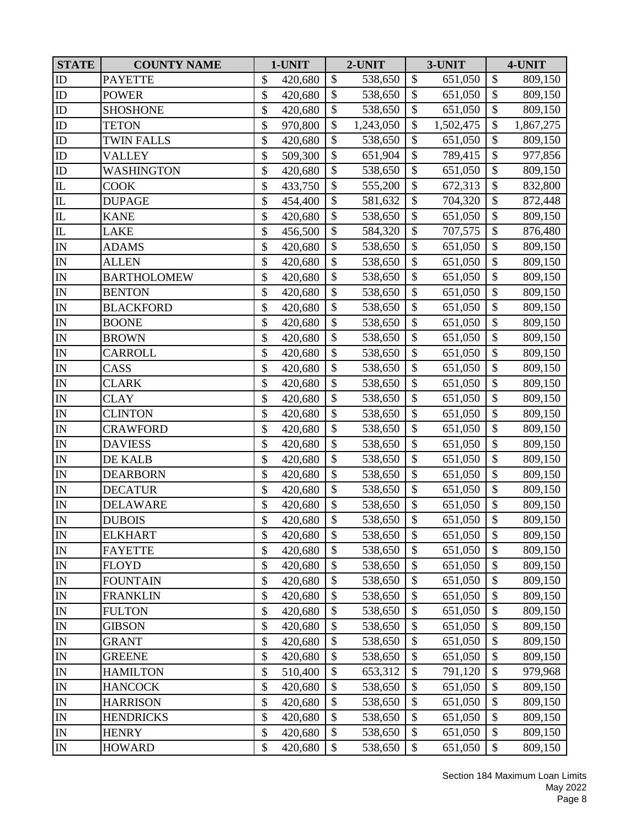| <b>STATE</b>                                           | <b>COUNTY NAME</b> | 1-UNIT        |                           | 2-UNIT    |                           | 3-UNIT    |                           | 4-UNIT    |
|--------------------------------------------------------|--------------------|---------------|---------------------------|-----------|---------------------------|-----------|---------------------------|-----------|
| ID                                                     | <b>PAYETTE</b>     | \$<br>420,680 | $\mathbb{S}$              | 538,650   | $\mathcal{S}$             | 651,050   | \$                        | 809,150   |
| ${\rm ID}$                                             | <b>POWER</b>       | \$<br>420,680 | \$                        | 538,650   | \$                        | 651,050   | \$                        | 809,150   |
| ID                                                     | <b>SHOSHONE</b>    | \$<br>420,680 | $\mathcal{S}$             | 538,650   | \$                        | 651,050   | \$                        | 809,150   |
| ${\rm ID}$                                             | <b>TETON</b>       | \$<br>970,800 | $\boldsymbol{\mathsf{S}}$ | 1,243,050 | $\boldsymbol{\mathsf{S}}$ | 1,502,475 | \$                        | 1,867,275 |
| ${\rm ID}$                                             | <b>TWIN FALLS</b>  | \$<br>420,680 | \$                        | 538,650   | $\mathcal{S}$             | 651,050   | $\boldsymbol{\$}$         | 809,150   |
| ${\rm ID}$                                             | <b>VALLEY</b>      | \$<br>509,300 | $\boldsymbol{\mathsf{S}}$ | 651,904   | $\mathcal{S}$             | 789,415   | $\boldsymbol{\$}$         | 977,856   |
| ${\rm ID}$                                             | WASHINGTON         | \$<br>420,680 | $\boldsymbol{\mathsf{S}}$ | 538,650   | $\mathcal{S}$             | 651,050   | $\boldsymbol{\$}$         | 809,150   |
| $\overline{\mathbb{L}}$                                | <b>COOK</b>        | \$<br>433,750 | $\mathbb{S}$              | 555,200   | $\mathcal{S}$             | 672,313   | \$                        | 832,800   |
| ${\rm IL}$                                             | <b>DUPAGE</b>      | \$<br>454,400 | \$                        | 581,632   | $\boldsymbol{\mathsf{S}}$ | 704,320   | $\overline{\$}$           | 872,448   |
| $\mathbf{I}$                                           | <b>KANE</b>        | \$<br>420,680 | \$                        | 538,650   | \$                        | 651,050   | \$                        | 809,150   |
| ${\rm IL}$                                             | <b>LAKE</b>        | \$<br>456,500 | $\overline{\$}$           | 584,320   | $\mathcal{S}$             | 707,575   | $\overline{\$}$           | 876,480   |
| $\mathbb{I}\mathbb{N}$                                 | <b>ADAMS</b>       | \$<br>420,680 | \$                        | 538,650   | $\mathcal{S}$             | 651,050   | $\boldsymbol{\$}$         | 809,150   |
| $\mathbb{I}\mathbb{N}$                                 | <b>ALLEN</b>       | \$<br>420,680 | $\mathcal{S}$             | 538,650   | \$                        | 651,050   | \$                        | 809,150   |
| IN                                                     | <b>BARTHOLOMEW</b> | \$<br>420,680 | \$                        | 538,650   | $\mathcal{S}$             | 651,050   | $\overline{\$}$           | 809,150   |
| $\mathbb{I}\mathbb{N}$                                 | <b>BENTON</b>      | \$<br>420,680 | $\mathcal{S}$             | 538,650   | $\mathcal{S}$             | 651,050   | \$                        | 809,150   |
| $\mathbb{I}\mathbb{N}$                                 | <b>BLACKFORD</b>   | \$<br>420,680 | \$                        | 538,650   | $\boldsymbol{\mathsf{S}}$ | 651,050   | \$                        | 809,150   |
| $\mathbb{I}\mathbb{N}$                                 | <b>BOONE</b>       | \$<br>420,680 | $\mathcal{S}$             | 538,650   | \$                        | 651,050   | \$                        | 809,150   |
| ${\rm IN}$                                             | <b>BROWN</b>       | \$<br>420,680 | \$                        | 538,650   | $\boldsymbol{\mathsf{S}}$ | 651,050   | $\boldsymbol{\$}$         | 809,150   |
| $\mathbb{I}\mathbb{N}$                                 | CARROLL            | \$<br>420,680 | \$                        | 538,650   | $\mathcal{S}$             | 651,050   | $\boldsymbol{\$}$         | 809,150   |
| IN                                                     | CASS               | \$<br>420,680 | $\mathbb{S}$              | 538,650   | $\mathcal{S}$             | 651,050   | $\overline{\$}$           | 809,150   |
| ${\rm IN}$                                             | CLARK              | \$<br>420,680 | \$                        | 538,650   | $\mathcal{S}$             | 651,050   | \$                        | 809,150   |
| $\mathbb{I}\mathbb{N}$                                 | <b>CLAY</b>        | \$<br>420,680 | \$                        | 538,650   | $\boldsymbol{\mathsf{S}}$ | 651,050   | \$                        | 809,150   |
| $\mathbb{I}\mathbb{N}$                                 | <b>CLINTON</b>     | \$<br>420,680 | \$                        | 538,650   | $\boldsymbol{\mathsf{S}}$ | 651,050   | $\overline{\$}$           | 809,150   |
| $\mathbb{I}\mathcal{N}$                                | <b>CRAWFORD</b>    | \$<br>420,680 | \$                        | 538,650   | $\boldsymbol{\mathsf{S}}$ | 651,050   | $\boldsymbol{\$}$         | 809,150   |
| $\mathbf{IN}% _{T}=\mathbf{N}_{T}\times\mathbf{N}_{T}$ | <b>DAVIESS</b>     | \$<br>420,680 | $\boldsymbol{\mathsf{S}}$ | 538,650   | $\boldsymbol{\mathsf{S}}$ | 651,050   | \$                        | 809,150   |
| $\mathbb{I}\mathbb{N}$                                 | DE KALB            | \$<br>420,680 | $\mathcal{S}$             | 538,650   | $\mathcal{S}$             | 651,050   | \$                        | 809,150   |
| IN                                                     | <b>DEARBORN</b>    | \$<br>420,680 | $\boldsymbol{\mathsf{S}}$ | 538,650   | \$                        | 651,050   | \$                        | 809,150   |
| $\overline{\text{IN}}$                                 | <b>DECATUR</b>     | \$<br>420,680 | \$                        | 538,650   | $\boldsymbol{\mathsf{S}}$ | 651,050   | $\overline{\$}$           | 809,150   |
| ${\rm IN}$                                             | <b>DELAWARE</b>    | \$<br>420,680 | \$                        | 538,650   | \$                        | 651,050   | \$                        | 809,150   |
| IN                                                     | <b>DUBOIS</b>      | \$<br>420,680 | $\mathcal{S}$             | 538,650   | $\mathcal{S}$             | 651,050   | $\overline{\$}$           | 809,150   |
| $\mathbb{I}\mathcal{N}$                                | <b>ELKHART</b>     | \$<br>420,680 | \$                        | 538,650   | \$                        | 651,050   | \$                        | 809,150   |
| $\mathbb{I}\mathcal{N}$                                | <b>FAYETTE</b>     | \$<br>420,680 | \$                        | 538,650   | \$                        | 651,050   | \$                        | 809,150   |
| ${\rm IN}$                                             | <b>FLOYD</b>       | \$<br>420,680 | $\boldsymbol{\mathsf{S}}$ | 538,650   | \$                        | 651,050   | \$                        | 809,150   |
| $\mathbb{I}\mathcal{N}$                                | <b>FOUNTAIN</b>    | \$<br>420,680 | \$                        | 538,650   | $\mathcal{S}$             | 651,050   | \$                        | 809,150   |
| $\mathbb{I}\mathbf{N}$                                 | <b>FRANKLIN</b>    | \$<br>420,680 | \$                        | 538,650   | \$                        | 651,050   | $\boldsymbol{\$}$         | 809,150   |
| ${\rm IN}$                                             | <b>FULTON</b>      | \$<br>420,680 | \$                        | 538,650   | \$                        | 651,050   | \$                        | 809,150   |
| $\mathbb{I}\mathcal{N}$                                | <b>GIBSON</b>      | \$<br>420,680 | $\boldsymbol{\mathsf{S}}$ | 538,650   | $\mathcal{S}$             | 651,050   | $\boldsymbol{\$}$         | 809,150   |
| $\mathbb{I}\mathbb{N}$                                 | <b>GRANT</b>       | \$<br>420,680 | $\boldsymbol{\mathsf{S}}$ | 538,650   | \$                        | 651,050   | \$                        | 809,150   |
| ${\rm IN}$                                             | <b>GREENE</b>      | \$<br>420,680 | $\mathcal{S}$             | 538,650   | \$                        | 651,050   | \$                        | 809,150   |
| $\mathbb{I}\mathbb{N}$                                 | <b>HAMILTON</b>    | \$<br>510,400 | \$                        | 653,312   | \$                        | 791,120   | $\boldsymbol{\$}$         | 979,968   |
| $\mathbb{I}\mathcal{N}$                                | <b>HANCOCK</b>     | \$<br>420,680 | \$                        | 538,650   | $\mathcal{S}$             | 651,050   | \$                        | 809,150   |
| ${\rm IN}$                                             | <b>HARRISON</b>    | \$<br>420,680 | \$                        | 538,650   | \$                        | 651,050   | \$                        | 809,150   |
| $\mathbb{I}\mathcal{N}$                                | <b>HENDRICKS</b>   | \$<br>420,680 | \$                        | 538,650   | \$                        | 651,050   | \$                        | 809,150   |
| $\mathbb{I}\mathcal{N}$                                | <b>HENRY</b>       | \$<br>420,680 | \$                        | 538,650   | \$                        | 651,050   | \$                        | 809,150   |
| ${\rm IN}$                                             | <b>HOWARD</b>      | \$<br>420,680 | \$                        | 538,650   | $\mathcal{S}$             | 651,050   | $\boldsymbol{\mathsf{S}}$ | 809,150   |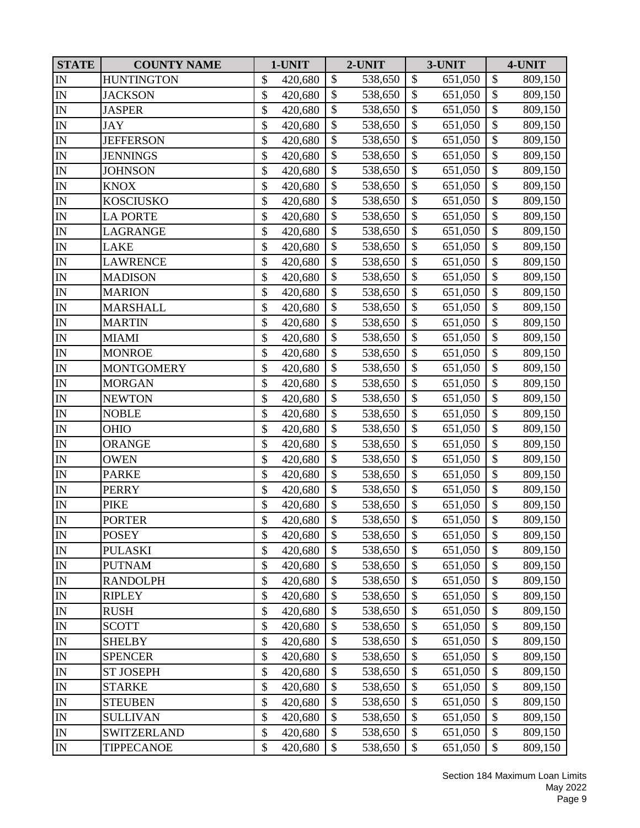| <b>STATE</b>                            | <b>COUNTY NAME</b> | 1-UNIT        |                           | 2-UNIT  |                           | 3-UNIT  |                   | 4-UNIT  |
|-----------------------------------------|--------------------|---------------|---------------------------|---------|---------------------------|---------|-------------------|---------|
| IN                                      | <b>HUNTINGTON</b>  | \$<br>420,680 | \$                        | 538,650 | \$                        | 651,050 | \$                | 809,150 |
| IN                                      | <b>JACKSON</b>     | \$<br>420,680 | \$                        | 538,650 | \$                        | 651,050 | \$                | 809,150 |
| $\mathbb{I}\mathcal{N}$                 | <b>JASPER</b>      | \$<br>420,680 | \$                        | 538,650 | \$                        | 651,050 | \$                | 809,150 |
| IN                                      | <b>JAY</b>         | \$<br>420,680 | \$                        | 538,650 | \$                        | 651,050 | \$                | 809,150 |
| $\mathbb{I}\mathbb{N}$                  | <b>JEFFERSON</b>   | \$<br>420,680 | \$                        | 538,650 | \$                        | 651,050 | $\boldsymbol{\$}$ | 809,150 |
| $\overline{\text{IN}}$                  | <b>JENNINGS</b>    | \$<br>420,680 | $\boldsymbol{\mathsf{S}}$ | 538,650 | \$                        | 651,050 | \$                | 809,150 |
| $\ensuremath{\mathop{\rm IN}\nolimits}$ | <b>JOHNSON</b>     | \$<br>420,680 | \$                        | 538,650 | \$                        | 651,050 | \$                | 809,150 |
| $\overline{\text{IN}}$                  | <b>KNOX</b>        | \$<br>420,680 | $\mathcal{S}$             | 538,650 | $\mathcal{S}$             | 651,050 | \$                | 809,150 |
| IN                                      | <b>KOSCIUSKO</b>   | \$<br>420,680 | \$                        | 538,650 | $\boldsymbol{\mathsf{S}}$ | 651,050 | \$                | 809,150 |
| $\mathbb{I}\mathbb{N}$                  | <b>LA PORTE</b>    | \$<br>420,680 | \$                        | 538,650 | \$                        | 651,050 | \$                | 809,150 |
| ${\rm IN}$                              | LAGRANGE           | \$<br>420,680 | \$                        | 538,650 | $\boldsymbol{\mathsf{S}}$ | 651,050 | $\overline{\$}$   | 809,150 |
| $\mathbf{IN}$                           | <b>LAKE</b>        | \$<br>420,680 | \$                        | 538,650 | \$                        | 651,050 | $\boldsymbol{\$}$ | 809,150 |
| IN                                      | <b>LAWRENCE</b>    | \$<br>420,680 | $\mathcal{S}$             | 538,650 | \$                        | 651,050 | \$                | 809,150 |
| IN                                      | <b>MADISON</b>     | \$<br>420,680 | \$                        | 538,650 | $\mathcal{S}$             | 651,050 | $\overline{\$}$   | 809,150 |
| $\mathbb{I}\mathbb{N}$                  | <b>MARION</b>      | \$<br>420,680 | \$                        | 538,650 | \$                        | 651,050 | \$                | 809,150 |
| IN                                      | <b>MARSHALL</b>    | \$<br>420,680 | \$                        | 538,650 | $\boldsymbol{\mathsf{S}}$ | 651,050 | \$                | 809,150 |
| $\mathbb{I}\mathbb{N}$                  | <b>MARTIN</b>      | \$<br>420,680 | \$                        | 538,650 | \$                        | 651,050 | \$                | 809,150 |
| ${\rm IN}$                              | <b>MIAMI</b>       | \$<br>420,680 | $\mathcal{S}$             | 538,650 | $\boldsymbol{\mathsf{S}}$ | 651,050 | $\boldsymbol{\$}$ | 809,150 |
| IN                                      | <b>MONROE</b>      | \$<br>420,680 | \$                        | 538,650 | \$                        | 651,050 | $\boldsymbol{\$}$ | 809,150 |
| IN                                      | <b>MONTGOMERY</b>  | \$<br>420,680 | $\mathbb{S}$              | 538,650 | $\mathcal{S}$             | 651,050 | $\overline{\$}$   | 809,150 |
| $\mathbf{IN}$                           | <b>MORGAN</b>      | \$<br>420,680 | \$                        | 538,650 | $\mathcal{S}$             | 651,050 | \$                | 809,150 |
| IN                                      | <b>NEWTON</b>      | \$<br>420,680 | \$                        | 538,650 | \$                        | 651,050 | \$                | 809,150 |
| $\overline{\mathbb{N}}$                 | <b>NOBLE</b>       | \$<br>420,680 | \$                        | 538,650 | $\boldsymbol{\mathsf{S}}$ | 651,050 | \$                | 809,150 |
| $\mathbb{I}\mathbb{N}$                  | <b>OHIO</b>        | \$<br>420,680 | \$                        | 538,650 | \$                        | 651,050 | $\boldsymbol{\$}$ | 809,150 |
| $\mathbf{IN}$                           | <b>ORANGE</b>      | \$<br>420,680 | $\mathcal{S}$             | 538,650 | $\boldsymbol{\mathsf{S}}$ | 651,050 | \$                | 809,150 |
| IN                                      | <b>OWEN</b>        | \$<br>420,680 | \$                        | 538,650 | \$                        | 651,050 | \$                | 809,150 |
| $\mathbb{I}\mathbb{N}$                  | <b>PARKE</b>       | \$<br>420,680 | $\mathcal{S}$             | 538,650 | \$                        | 651,050 | \$                | 809,150 |
| IN                                      | <b>PERRY</b>       | \$<br>420,680 | \$                        | 538,650 | $\boldsymbol{\mathsf{S}}$ | 651,050 | $\overline{\$}$   | 809,150 |
| ${\rm IN}$                              | <b>PIKE</b>        | \$<br>420,680 | \$                        | 538,650 | \$                        | 651,050 | \$                | 809,150 |
| IN                                      | <b>PORTER</b>      | \$<br>420,680 | \$                        | 538,650 | $\mathcal{S}$             | 651,050 | $\overline{\$}$   | 809,150 |
| IN                                      | <b>POSEY</b>       | \$<br>420,680 | \$                        | 538,650 | \$                        | 651,050 | \$                | 809,150 |
| IN                                      | <b>PULASKI</b>     | \$<br>420,680 | \$                        | 538,650 | \$                        | 651,050 | \$                | 809,150 |
| ${\rm IN}$                              | <b>PUTNAM</b>      | \$<br>420,680 | \$                        | 538,650 | \$                        | 651,050 | \$                | 809,150 |
| $\mathbb{I}\mathbb{N}$                  | <b>RANDOLPH</b>    | \$<br>420,680 | \$                        | 538,650 | \$                        | 651,050 | \$                | 809,150 |
| $\mathbb{I}\mathbb{N}$                  | <b>RIPLEY</b>      | \$<br>420,680 | \$                        | 538,650 | \$                        | 651,050 | $\boldsymbol{\$}$ | 809,150 |
| ${\rm IN}$                              | <b>RUSH</b>        | \$<br>420,680 | \$                        | 538,650 | \$                        | 651,050 | \$                | 809,150 |
| ${\rm IN}$                              | <b>SCOTT</b>       | \$<br>420,680 | \$                        | 538,650 | \$                        | 651,050 | \$                | 809,150 |
| $\mathbb{I}\mathbb{N}$                  | <b>SHELBY</b>      | \$<br>420,680 | \$                        | 538,650 | \$                        | 651,050 | \$                | 809,150 |
| $\mathbb{I}\mathcal{N}$                 | <b>SPENCER</b>     | \$<br>420,680 | $\mathcal{S}$             | 538,650 | $\mathcal{S}$             | 651,050 | \$                | 809,150 |
| $\mathbb{I}\mathbb{N}$                  | <b>ST JOSEPH</b>   | \$<br>420,680 | \$                        | 538,650 | \$                        | 651,050 | \$                | 809,150 |
| $\mathbb{I}\mathcal{N}$                 | <b>STARKE</b>      | \$<br>420,680 | \$                        | 538,650 | \$                        | 651,050 | \$                | 809,150 |
| ${\rm IN}$                              | <b>STEUBEN</b>     | \$<br>420,680 | \$                        | 538,650 | \$                        | 651,050 | \$                | 809,150 |
| $\mathbb{I}\mathbb{N}$                  | <b>SULLIVAN</b>    | \$<br>420,680 | \$                        | 538,650 | \$                        | 651,050 | \$                | 809,150 |
| IN                                      | <b>SWITZERLAND</b> | \$<br>420,680 | \$                        | 538,650 | \$                        | 651,050 | \$                | 809,150 |
| $\mathbb{I}\mathcal{N}$                 | <b>TIPPECANOE</b>  | \$<br>420,680 | \$                        | 538,650 | \$                        | 651,050 | \$                | 809,150 |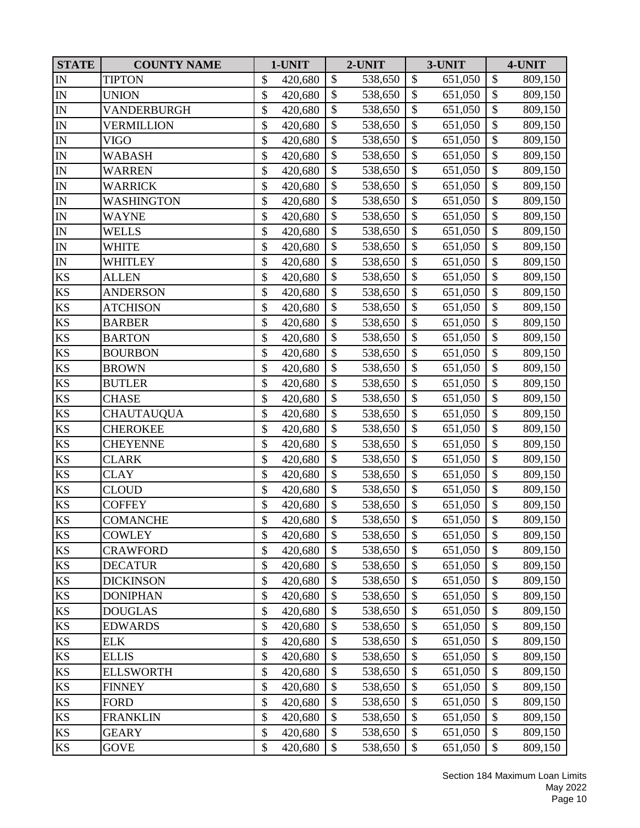| <b>STATE</b>               | <b>COUNTY NAME</b> | 1-UNIT        |               | 2-UNIT  |                           | 3-UNIT  |                   | 4-UNIT  |
|----------------------------|--------------------|---------------|---------------|---------|---------------------------|---------|-------------------|---------|
| $\mathbb{I}\mathcal{N}$    | <b>TIPTON</b>      | \$<br>420,680 | \$            | 538,650 | $\boldsymbol{\mathsf{S}}$ | 651,050 | \$                | 809,150 |
| $\mathbf{IN}$              | UNION              | \$<br>420,680 | $\mathbb{S}$  | 538,650 | $\mathcal{S}$             | 651,050 | \$                | 809,150 |
| $\mathbb{I}\mathbb{N}$     | VANDERBURGH        | \$<br>420,680 | \$            | 538,650 | \$                        | 651,050 | \$                | 809,150 |
| IN                         | VERMILLION         | \$<br>420,680 | \$            | 538,650 | $\boldsymbol{\mathsf{S}}$ | 651,050 | \$                | 809,150 |
| $\mathbb{I}\mathcal{N}$    | VIGO               | \$<br>420,680 | \$            | 538,650 | $\mathcal{S}$             | 651,050 | \$                | 809,150 |
| ${\rm IN}$                 | WABASH             | \$<br>420,680 | \$            | 538,650 | $\boldsymbol{\mathsf{S}}$ | 651,050 | \$                | 809,150 |
| ${\rm IN}$                 | WARREN             | \$<br>420,680 | $\mathcal{S}$ | 538,650 | $\mathcal{S}$             | 651,050 | $\boldsymbol{\$}$ | 809,150 |
| $\mathbb{I}\mathbb{N}$     | WARRICK            | \$<br>420,680 | $\mathcal{S}$ | 538,650 | $\mathcal{S}$             | 651,050 | \$                | 809,150 |
| $\mathbb{I}\mathbb{N}$     | WASHINGTON         | \$<br>420,680 | \$            | 538,650 | $\boldsymbol{\mathsf{S}}$ | 651,050 | $\overline{\$}$   | 809,150 |
| $\mathbb{I}\mathbb{N}$     | WAYNE              | \$<br>420,680 | $\mathcal{S}$ | 538,650 | $\boldsymbol{\mathsf{S}}$ | 651,050 | \$                | 809,150 |
| IN                         | WELLS              | \$<br>420,680 | \$            | 538,650 | $\boldsymbol{\mathsf{S}}$ | 651,050 | \$                | 809,150 |
| $\mathbb{I}\mathbb{N}$     | <b>WHITE</b>       | \$<br>420,680 | \$            | 538,650 | $\boldsymbol{\mathsf{S}}$ | 651,050 | $\boldsymbol{\$}$ | 809,150 |
| $\mathbb{I}\mathbb{N}$     | WHITLEY            | \$<br>420,680 | \$            | 538,650 | $\boldsymbol{\mathsf{S}}$ | 651,050 | $\boldsymbol{\$}$ | 809,150 |
| <b>KS</b>                  | <b>ALLEN</b>       | \$<br>420,680 | \$            | 538,650 | \$                        | 651,050 | \$                | 809,150 |
| KS                         | <b>ANDERSON</b>    | \$<br>420,680 | \$            | 538,650 | $\mathcal{S}$             | 651,050 | \$                | 809,150 |
| $\mathop{\mathrm{KS}}$     | <b>ATCHISON</b>    | \$<br>420,680 | \$            | 538,650 | $\boldsymbol{\mathsf{S}}$ | 651,050 | \$                | 809,150 |
| KS                         | <b>BARBER</b>      | \$<br>420,680 | \$            | 538,650 | \$                        | 651,050 | \$                | 809,150 |
| KS                         | <b>BARTON</b>      | \$<br>420,680 | \$            | 538,650 | $\boldsymbol{\mathsf{S}}$ | 651,050 | $\overline{\$}$   | 809,150 |
| KS                         | <b>BOURBON</b>     | \$<br>420,680 | \$            | 538,650 | $\boldsymbol{\mathsf{S}}$ | 651,050 | $\boldsymbol{\$}$ | 809,150 |
| $\mathop{\mathrm{KS}}$     | <b>BROWN</b>       | \$<br>420,680 | $\mathcal{S}$ | 538,650 | $\mathcal{S}$             | 651,050 | \$                | 809,150 |
| KS                         | <b>BUTLER</b>      | \$<br>420,680 | \$            | 538,650 | $\mathcal{S}$             | 651,050 | $\overline{\$}$   | 809,150 |
| KS                         | <b>CHASE</b>       | \$<br>420,680 | $\mathcal{S}$ | 538,650 | $\mathcal{S}$             | 651,050 | \$                | 809,150 |
| KS                         | CHAUTAUQUA         | \$<br>420,680 | \$            | 538,650 | \$                        | 651,050 | \$                | 809,150 |
| KS                         | <b>CHEROKEE</b>    | \$<br>420,680 | $\mathcal{S}$ | 538,650 | $\mathcal{S}$             | 651,050 | \$                | 809,150 |
| KS                         | <b>CHEYENNE</b>    | \$<br>420,680 | \$            | 538,650 | \$                        | 651,050 | \$                | 809,150 |
| KS                         | <b>CLARK</b>       | \$<br>420,680 | \$            | 538,650 | $\mathcal{S}$             | 651,050 | \$                | 809,150 |
| KS                         | <b>CLAY</b>        | \$<br>420,680 | $\mathbb{S}$  | 538,650 | $\mathcal{S}$             | 651,050 | \$                | 809,150 |
| $\mathop{\mathrm{KS}}$     | CLOUD              | \$<br>420,680 | $\mathcal{S}$ | 538,650 | \$                        | 651,050 | $\overline{\$}$   | 809,150 |
| $\mathop{\mathrm{KS}}$     | <b>COFFEY</b>      | \$<br>420,680 | $\mathcal{S}$ | 538,650 | $\mathcal{S}$             | 651,050 | \$                | 809,150 |
| <b>KS</b>                  | <b>COMANCHE</b>    | \$<br>420,680 | \$            | 538,650 | $\mathcal{S}$             | 651,050 | \$                | 809,150 |
| KS                         | <b>COWLEY</b>      | \$<br>420,680 | $\$\$         | 538,650 | \$                        | 651,050 | \$                | 809,150 |
| KS                         | <b>CRAWFORD</b>    | \$<br>420,680 | \$            | 538,650 | \$                        | 651,050 | \$                | 809,150 |
| KS                         | <b>DECATUR</b>     | \$<br>420,680 | $\mathcal{S}$ | 538,650 | \$                        | 651,050 | \$                | 809,150 |
| $\mathbf{K}\mathbf{S}$     | <b>DICKINSON</b>   | \$<br>420,680 | \$            | 538,650 | $\mathcal{S}$             | 651,050 | \$                | 809,150 |
| KS                         | <b>DONIPHAN</b>    | \$<br>420,680 | \$            | 538,650 | \$                        | 651,050 | \$                | 809,150 |
| KS                         | <b>DOUGLAS</b>     | \$<br>420,680 | \$            | 538,650 | \$                        | 651,050 | \$                | 809,150 |
| $\rm KS$                   | <b>EDWARDS</b>     | \$<br>420,680 | \$            | 538,650 | $\boldsymbol{\mathsf{S}}$ | 651,050 | \$                | 809,150 |
| KS                         | <b>ELK</b>         | \$<br>420,680 | \$            | 538,650 | \$                        | 651,050 | \$                | 809,150 |
| $\mathbf{K}\mathbf{S}$     | <b>ELLIS</b>       | \$<br>420,680 | $\mathcal{S}$ | 538,650 | \$                        | 651,050 | \$                | 809,150 |
| $\mathbf{K}\mathbf{S}$     | <b>ELLSWORTH</b>   | \$<br>420,680 | $\mathcal{S}$ | 538,650 | \$                        | 651,050 | \$                | 809,150 |
| $\mathop{\mathrm{KS}}$     | <b>FINNEY</b>      | \$<br>420,680 | \$            | 538,650 | $\mathcal{S}$             | 651,050 | \$                | 809,150 |
| $\mathop{\rm KS}\nolimits$ | <b>FORD</b>        | \$<br>420,680 | \$            | 538,650 | \$                        | 651,050 | $\boldsymbol{\$}$ | 809,150 |
| KS                         | <b>FRANKLIN</b>    | \$<br>420,680 | \$            | 538,650 | \$                        | 651,050 | \$                | 809,150 |
| $\mathop{\mathrm{KS}}$     | <b>GEARY</b>       | \$<br>420,680 | \$            | 538,650 | \$                        | 651,050 | $\boldsymbol{\$}$ | 809,150 |
| KS                         | <b>GOVE</b>        | \$<br>420,680 | \$            | 538,650 | \$                        | 651,050 | \$                | 809,150 |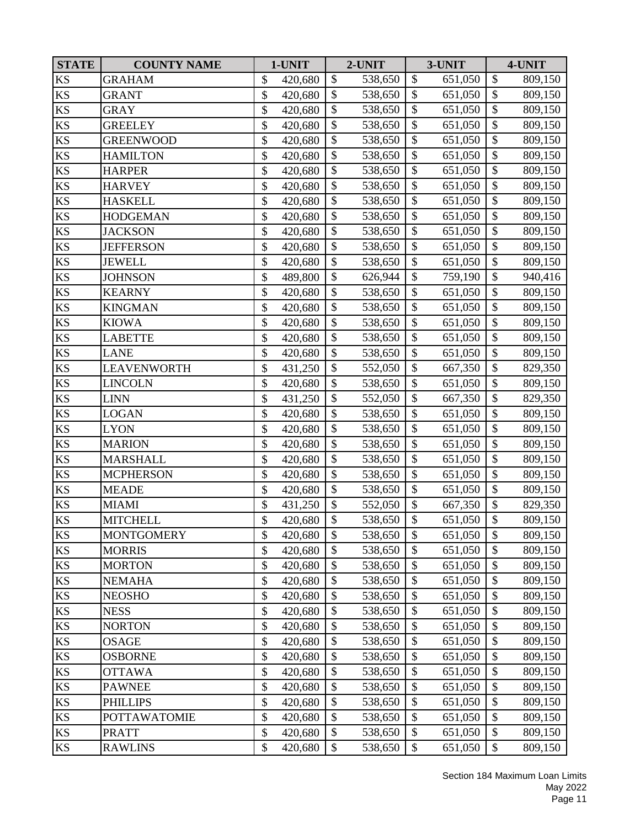| <b>STATE</b>           | <b>COUNTY NAME</b>  | 1-UNIT        |                           | 2-UNIT  |                           | 3-UNIT  |                   | 4-UNIT  |
|------------------------|---------------------|---------------|---------------------------|---------|---------------------------|---------|-------------------|---------|
| KS                     | <b>GRAHAM</b>       | \$<br>420,680 | $\mathbb{S}$              | 538,650 | \$                        | 651,050 | \$                | 809,150 |
| KS                     | GRANT               | \$<br>420,680 | \$                        | 538,650 | \$                        | 651,050 | \$                | 809,150 |
| KS                     | <b>GRAY</b>         | \$<br>420,680 | $\boldsymbol{\mathsf{S}}$ | 538,650 | \$                        | 651,050 | \$                | 809,150 |
| $\mathop{\mathrm{KS}}$ | <b>GREELEY</b>      | \$<br>420,680 | \$                        | 538,650 | $\mathcal{S}$             | 651,050 | \$                | 809,150 |
| $\mathop{\mathrm{KS}}$ | <b>GREENWOOD</b>    | \$<br>420,680 | \$                        | 538,650 | $\boldsymbol{\mathsf{S}}$ | 651,050 | $\boldsymbol{\$}$ | 809,150 |
| $\mathbf{K}\mathbf{S}$ | <b>HAMILTON</b>     | \$<br>420,680 | $\boldsymbol{\mathsf{S}}$ | 538,650 | $\boldsymbol{\mathsf{S}}$ | 651,050 | \$                | 809,150 |
| KS                     | <b>HARPER</b>       | \$<br>420,680 | $\mathcal{S}$             | 538,650 | $\mathcal{S}$             | 651,050 | \$                | 809,150 |
| KS                     | <b>HARVEY</b>       | \$<br>420,680 | \$                        | 538,650 | $\mathcal{S}$             | 651,050 | \$                | 809,150 |
| $\mathop{\mathrm{KS}}$ | <b>HASKELL</b>      | \$<br>420,680 | \$                        | 538,650 | $\boldsymbol{\mathsf{S}}$ | 651,050 | $\overline{\$}$   | 809,150 |
| KS                     | <b>HODGEMAN</b>     | \$<br>420,680 | $\boldsymbol{\mathsf{S}}$ | 538,650 | \$                        | 651,050 | \$                | 809,150 |
| KS                     | <b>JACKSON</b>      | \$<br>420,680 | $\overline{\$}$           | 538,650 | $\mathcal{S}$             | 651,050 | $\overline{\$}$   | 809,150 |
| KS                     | <b>JEFFERSON</b>    | \$<br>420,680 | $\mathcal{S}$             | 538,650 | $\mathcal{S}$             | 651,050 | \$                | 809,150 |
| $\mathop{\mathrm{KS}}$ | <b>JEWELL</b>       | \$<br>420,680 | $\mathcal{S}$             | 538,650 | \$                        | 651,050 | \$                | 809,150 |
| KS                     | <b>JOHNSON</b>      | \$<br>489,800 | \$                        | 626,944 | $\mathcal{S}$             | 759,190 | $\overline{\$}$   | 940,416 |
| $\mathop{\mathrm{KS}}$ | <b>KEARNY</b>       | \$<br>420,680 | $\mathcal{S}$             | 538,650 | $\mathcal{S}$             | 651,050 | \$                | 809,150 |
| $\mathop{\mathrm{KS}}$ | <b>KINGMAN</b>      | \$<br>420,680 | \$                        | 538,650 | \$                        | 651,050 | \$                | 809,150 |
| KS                     | <b>KIOWA</b>        | \$<br>420,680 | $\mathcal{S}$             | 538,650 | \$                        | 651,050 | \$                | 809,150 |
| KS                     | <b>LABETTE</b>      | \$<br>420,680 | \$                        | 538,650 | \$                        | 651,050 | $\boldsymbol{\$}$ | 809,150 |
| KS                     | <b>LANE</b>         | \$<br>420,680 | \$                        | 538,650 | $\mathcal{S}$             | 651,050 | $\boldsymbol{\$}$ | 809,150 |
| KS                     | <b>LEAVENWORTH</b>  | \$<br>431,250 | $\mathbb{S}$              | 552,050 | $\mathcal{S}$             | 667,350 | $\overline{\$}$   | 829,350 |
| $\mathop{\mathrm{KS}}$ | LINCOLN             | \$<br>420,680 | \$                        | 538,650 | $\mathcal{S}$             | 651,050 | \$                | 809,150 |
| $\mathop{\mathrm{KS}}$ | <b>LINN</b>         | \$<br>431,250 | \$                        | 552,050 | $\boldsymbol{\mathsf{S}}$ | 667,350 | \$                | 829,350 |
| $\mathop{\mathrm{KS}}$ | <b>LOGAN</b>        | \$<br>420,680 | \$                        | 538,650 | $\mathcal{S}$             | 651,050 | $\overline{\$}$   | 809,150 |
| $\mathop{\mathrm{KS}}$ | <b>LYON</b>         | \$<br>420,680 | \$                        | 538,650 | $\boldsymbol{\mathsf{S}}$ | 651,050 | $\boldsymbol{\$}$ | 809,150 |
| $\mathop{\mathrm{KS}}$ | <b>MARION</b>       | \$<br>420,680 | $\boldsymbol{\mathsf{S}}$ | 538,650 | $\boldsymbol{\mathsf{S}}$ | 651,050 | \$                | 809,150 |
| KS                     | <b>MARSHALL</b>     | \$<br>420,680 | \$                        | 538,650 | $\mathcal{S}$             | 651,050 | \$                | 809,150 |
| $\mathop{\mathrm{KS}}$ | <b>MCPHERSON</b>    | \$<br>420,680 | $\boldsymbol{\mathsf{S}}$ | 538,650 | \$                        | 651,050 | \$                | 809,150 |
| $\mathop{\mathrm{KS}}$ | <b>MEADE</b>        | \$<br>420,680 | \$                        | 538,650 | $\boldsymbol{\mathsf{S}}$ | 651,050 | \$                | 809,150 |
| KS                     | MIAMI               | \$<br>431,250 | \$                        | 552,050 | \$                        | 667,350 | \$                | 829,350 |
| <b>KS</b>              | <b>MITCHELL</b>     | \$<br>420,680 | $\mathcal{S}$             | 538,650 | $\mathcal{S}$             | 651,050 | $\overline{\$}$   | 809,150 |
| <b>KS</b>              | <b>MONTGOMERY</b>   | \$<br>420,680 | \$                        | 538,650 | \$                        | 651,050 | \$                | 809,150 |
| $\mathop{\mathrm{KS}}$ | <b>MORRIS</b>       | \$<br>420,680 | $\mathcal{S}$             | 538,650 | \$                        | 651,050 | \$                | 809,150 |
| KS                     | <b>MORTON</b>       | \$<br>420,680 | $\boldsymbol{\mathsf{S}}$ | 538,650 | \$                        | 651,050 | \$                | 809,150 |
| $\mathbf{K}\mathbf{S}$ | <b>NEMAHA</b>       | \$<br>420,680 | \$                        | 538,650 | $\mathcal{S}$             | 651,050 | \$                | 809,150 |
| $\mathop{\mathrm{KS}}$ | <b>NEOSHO</b>       | \$<br>420,680 | \$                        | 538,650 | \$                        | 651,050 | $\boldsymbol{\$}$ | 809,150 |
| KS                     | <b>NESS</b>         | \$<br>420,680 | \$                        | 538,650 | $\mathcal{S}$             | 651,050 | \$                | 809,150 |
| $\rm KS$               | <b>NORTON</b>       | \$<br>420,680 | $\mathcal{S}$             | 538,650 | $\mathcal{S}$             | 651,050 | \$                | 809,150 |
| KS                     | OSAGE               | \$<br>420,680 | \$                        | 538,650 | \$                        | 651,050 | \$                | 809,150 |
| KS                     | <b>OSBORNE</b>      | \$<br>420,680 | $\mathcal{S}$             | 538,650 | $\mathcal{S}$             | 651,050 | \$                | 809,150 |
| KS                     | <b>OTTAWA</b>       | \$<br>420,680 | \$                        | 538,650 | \$                        | 651,050 | \$                | 809,150 |
| KS                     | <b>PAWNEE</b>       | \$<br>420,680 | \$                        | 538,650 | $\mathcal{S}$             | 651,050 | \$                | 809,150 |
| $\mathop{\mathrm{KS}}$ | <b>PHILLIPS</b>     | \$<br>420,680 | $\mathcal{S}$             | 538,650 | \$                        | 651,050 | \$                | 809,150 |
| $\mathop{\mathrm{KS}}$ | <b>POTTAWATOMIE</b> | \$<br>420,680 | \$                        | 538,650 | \$                        | 651,050 | \$                | 809,150 |
| $\mathbf{K}\mathbf{S}$ | <b>PRATT</b>        | \$<br>420,680 | \$                        | 538,650 | \$                        | 651,050 | \$                | 809,150 |
| KS                     | <b>RAWLINS</b>      | \$<br>420,680 | \$                        | 538,650 | \$                        | 651,050 | \$                | 809,150 |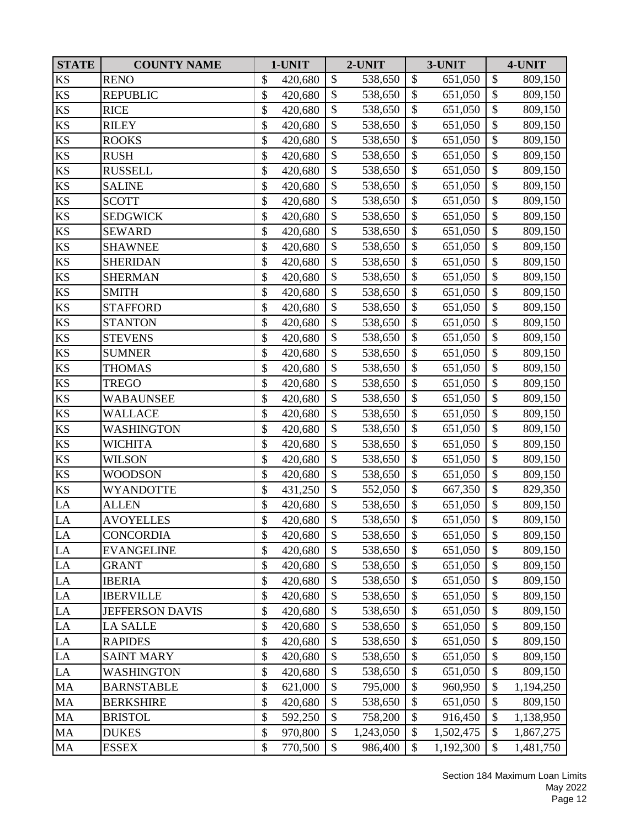| <b>STATE</b>           | <b>COUNTY NAME</b>     | 1-UNIT        |                           | 2-UNIT    |                           | 3-UNIT    |                   | 4-UNIT    |
|------------------------|------------------------|---------------|---------------------------|-----------|---------------------------|-----------|-------------------|-----------|
| KS                     | <b>RENO</b>            | \$<br>420,680 | $\mathbb{S}$              | 538,650   | $\mathcal{S}$             | 651,050   | \$                | 809,150   |
| KS                     | <b>REPUBLIC</b>        | \$<br>420,680 | \$                        | 538,650   | \$                        | 651,050   | \$                | 809,150   |
| KS                     | <b>RICE</b>            | \$<br>420,680 | $\mathcal{S}$             | 538,650   | \$                        | 651,050   | \$                | 809,150   |
| $\mathop{\mathrm{KS}}$ | <b>RILEY</b>           | \$<br>420,680 | \$                        | 538,650   | $\mathcal{S}$             | 651,050   | \$                | 809,150   |
| $\mathop{\mathrm{KS}}$ | <b>ROOKS</b>           | \$<br>420,680 | \$                        | 538,650   | $\boldsymbol{\mathsf{S}}$ | 651,050   | $\boldsymbol{\$}$ | 809,150   |
| $\mathop{\mathrm{KS}}$ | <b>RUSH</b>            | \$<br>420,680 | $\boldsymbol{\mathsf{S}}$ | 538,650   | $\boldsymbol{\mathsf{S}}$ | 651,050   | \$                | 809,150   |
| KS                     | <b>RUSSELL</b>         | \$<br>420,680 | $\mathcal{S}$             | 538,650   | $\mathcal{S}$             | 651,050   | \$                | 809,150   |
| KS                     | <b>SALINE</b>          | \$<br>420,680 | \$                        | 538,650   | $\mathcal{S}$             | 651,050   | \$                | 809,150   |
| $\mathop{\mathrm{KS}}$ | <b>SCOTT</b>           | \$<br>420,680 | \$                        | 538,650   | $\boldsymbol{\mathsf{S}}$ | 651,050   | $\overline{\$}$   | 809,150   |
| KS                     | <b>SEDGWICK</b>        | \$<br>420,680 | $\boldsymbol{\mathsf{S}}$ | 538,650   | \$                        | 651,050   | \$                | 809,150   |
| KS                     | <b>SEWARD</b>          | \$<br>420,680 | $\overline{\$}$           | 538,650   | $\mathcal{S}$             | 651,050   | $\overline{\$}$   | 809,150   |
| KS                     | <b>SHAWNEE</b>         | \$<br>420,680 | $\mathcal{S}$             | 538,650   | $\mathcal{S}$             | 651,050   | \$                | 809,150   |
| $\mathbf{K}\mathbf{S}$ | <b>SHERIDAN</b>        | \$<br>420,680 | $\mathcal{S}$             | 538,650   | $\mathcal{S}$             | 651,050   | \$                | 809,150   |
| KS                     | <b>SHERMAN</b>         | \$<br>420,680 | \$                        | 538,650   | $\mathcal{S}$             | 651,050   | $\overline{\$}$   | 809,150   |
| $\mathop{\mathrm{KS}}$ | <b>SMITH</b>           | \$<br>420,680 | \$                        | 538,650   | $\mathcal{S}$             | 651,050   | \$                | 809,150   |
| $\mathop{\mathrm{KS}}$ | <b>STAFFORD</b>        | \$<br>420,680 | \$                        | 538,650   | $\boldsymbol{\mathsf{S}}$ | 651,050   | \$                | 809,150   |
| KS                     | <b>STANTON</b>         | \$<br>420,680 | $\mathcal{S}$             | 538,650   | \$                        | 651,050   | \$                | 809,150   |
| KS                     | <b>STEVENS</b>         | \$<br>420,680 | \$                        | 538,650   | $\boldsymbol{\mathsf{S}}$ | 651,050   | $\boldsymbol{\$}$ | 809,150   |
| <b>KS</b>              | <b>SUMNER</b>          | \$<br>420,680 | \$                        | 538,650   | $\mathcal{S}$             | 651,050   | $\boldsymbol{\$}$ | 809,150   |
| KS                     | <b>THOMAS</b>          | \$<br>420,680 | $\mathbb{S}$              | 538,650   | $\mathcal{S}$             | 651,050   | $\overline{\$}$   | 809,150   |
| $\mathbf{K}\mathbf{S}$ | <b>TREGO</b>           | \$<br>420,680 | \$                        | 538,650   | $\mathcal{S}$             | 651,050   | \$                | 809,150   |
| $\mathop{\mathrm{KS}}$ | <b>WABAUNSEE</b>       | \$<br>420,680 | $\boldsymbol{\mathsf{S}}$ | 538,650   | $\boldsymbol{\mathsf{S}}$ | 651,050   | \$                | 809,150   |
| KS                     | <b>WALLACE</b>         | \$<br>420,680 | \$                        | 538,650   | $\boldsymbol{\mathsf{S}}$ | 651,050   | $\overline{\$}$   | 809,150   |
| $\mathop{\mathrm{KS}}$ | WASHINGTON             | \$<br>420,680 | \$                        | 538,650   | $\boldsymbol{\mathsf{S}}$ | 651,050   | $\boldsymbol{\$}$ | 809,150   |
| $\mathbf{K}\mathbf{S}$ | <b>WICHITA</b>         | \$<br>420,680 | $\mathcal{S}$             | 538,650   | \$                        | 651,050   | \$                | 809,150   |
| KS                     | WILSON                 | \$<br>420,680 | $\mathcal{S}$             | 538,650   | $\mathcal{S}$             | 651,050   | \$                | 809,150   |
| $\mathop{\mathrm{KS}}$ | <b>WOODSON</b>         | \$<br>420,680 | $\mathcal{S}$             | 538,650   | \$                        | 651,050   | \$                | 809,150   |
| KS                     | WYANDOTTE              | \$<br>431,250 | \$                        | 552,050   | $\boldsymbol{\mathsf{S}}$ | 667,350   | $\overline{\$}$   | 829,350   |
| LA                     | <b>ALLEN</b>           | \$<br>420,680 | \$                        | 538,650   | \$                        | 651,050   | \$                | 809,150   |
| LA                     | <b>AVOYELLES</b>       | \$<br>420,680 | $\overline{\mathcal{S}}$  | 538,650   | $\mathcal{S}$             | 651,050   | $\overline{\$}$   | 809,150   |
| LA                     | CONCORDIA              | \$<br>420,680 | \$                        | 538,650   | \$                        | 651,050   | \$                | 809,150   |
| ${\rm LA}$             | <b>EVANGELINE</b>      | \$<br>420,680 | $\mathcal{S}$             | 538,650   | \$                        | 651,050   | \$                | 809,150   |
| LA                     | <b>GRANT</b>           | \$<br>420,680 | $\mathcal{S}$             | 538,650   | \$                        | 651,050   | \$                | 809,150   |
| LA                     | <b>IBERIA</b>          | \$<br>420,680 | \$                        | 538,650   | \$                        | 651,050   | \$                | 809,150   |
| LA                     | <b>IBERVILLE</b>       | \$<br>420,680 | \$                        | 538,650   | \$                        | 651,050   | $\boldsymbol{\$}$ | 809,150   |
| LA                     | <b>JEFFERSON DAVIS</b> | \$<br>420,680 | \$                        | 538,650   | \$                        | 651,050   | \$                | 809,150   |
| ${\rm LA}$             | <b>LA SALLE</b>        | \$<br>420,680 | $\boldsymbol{\mathsf{S}}$ | 538,650   | $\mathcal{S}$             | 651,050   | \$                | 809,150   |
| LA                     | <b>RAPIDES</b>         | \$<br>420,680 | $\mathcal{S}$             | 538,650   | \$                        | 651,050   | \$                | 809,150   |
| LA                     | <b>SAINT MARY</b>      | \$<br>420,680 | $\mathcal{S}$             | 538,650   | $\mathcal{S}$             | 651,050   | $\mathcal{S}$     | 809,150   |
| $\rm LA$               | WASHINGTON             | \$<br>420,680 | \$                        | 538,650   | \$                        | 651,050   | \$                | 809,150   |
| <b>MA</b>              | <b>BARNSTABLE</b>      | \$<br>621,000 | \$                        | 795,000   | $\mathcal{S}$             | 960,950   | \$                | 1,194,250 |
| MA                     | <b>BERKSHIRE</b>       | \$<br>420,680 | $\boldsymbol{\mathsf{S}}$ | 538,650   | $\boldsymbol{\mathsf{S}}$ | 651,050   | \$                | 809,150   |
| MA                     | <b>BRISTOL</b>         | \$<br>592,250 | \$                        | 758,200   | \$                        | 916,450   | \$                | 1,138,950 |
| $\rm MA$               | <b>DUKES</b>           | \$<br>970,800 | \$                        | 1,243,050 | \$                        | 1,502,475 | \$                | 1,867,275 |
| MA                     | <b>ESSEX</b>           | \$<br>770,500 | \$                        | 986,400   | $\mathcal{S}$             | 1,192,300 | \$                | 1,481,750 |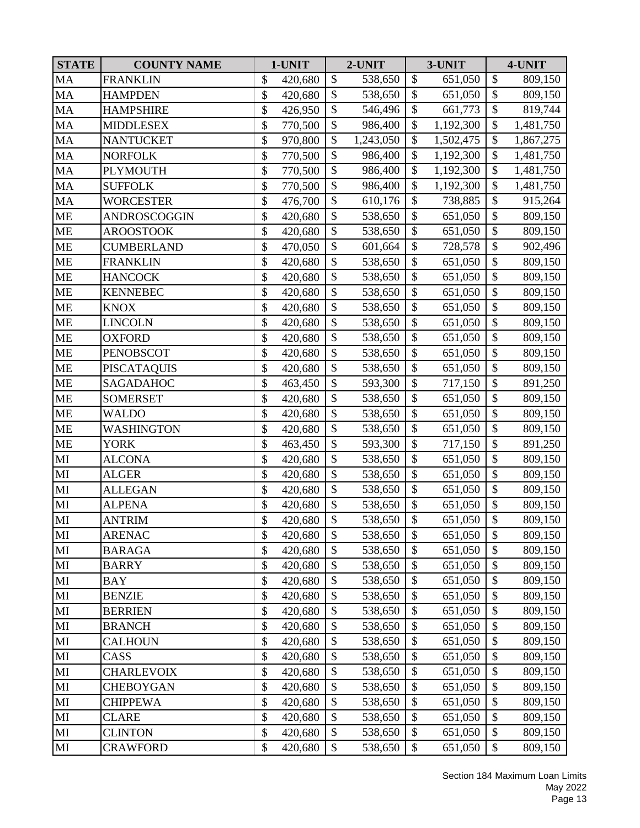| <b>STATE</b>           | <b>COUNTY NAME</b> | 1-UNIT        |                           | 2-UNIT    |                           | 3-UNIT    |                           | 4-UNIT    |
|------------------------|--------------------|---------------|---------------------------|-----------|---------------------------|-----------|---------------------------|-----------|
| MA                     | <b>FRANKLIN</b>    | \$<br>420,680 | \$                        | 538,650   | \$                        | 651,050   | $\boldsymbol{\$}$         | 809,150   |
| MA                     | <b>HAMPDEN</b>     | \$<br>420,680 | $\mathbb{S}$              | 538,650   | $\mathcal{S}$             | 651,050   | $\boldsymbol{\mathsf{S}}$ | 809,150   |
| MA                     | <b>HAMPSHIRE</b>   | \$<br>426,950 | $\mathcal{S}$             | 546,496   | \$                        | 661,773   | \$                        | 819,744   |
| MA                     | <b>MIDDLESEX</b>   | \$<br>770,500 | \$                        | 986,400   | \$                        | 1,192,300 | \$                        | 1,481,750 |
| MA                     | <b>NANTUCKET</b>   | \$<br>970,800 | $\mathcal{S}$             | 1,243,050 | \$                        | 1,502,475 | \$                        | 1,867,275 |
| MA                     | <b>NORFOLK</b>     | \$<br>770,500 | \$                        | 986,400   | \$                        | 1,192,300 | \$                        | 1,481,750 |
| MA                     | <b>PLYMOUTH</b>    | \$<br>770,500 | \$                        | 986,400   | \$                        | 1,192,300 | $\boldsymbol{\$}$         | 1,481,750 |
| MA                     | <b>SUFFOLK</b>     | \$<br>770,500 | $\mathcal{S}$             | 986,400   | \$                        | 1,192,300 | \$                        | 1,481,750 |
| MA                     | <b>WORCESTER</b>   | \$<br>476,700 | \$                        | 610,176   | \$                        | 738,885   | $\overline{\$}$           | 915,264   |
| ME                     | ANDROSCOGGIN       | \$<br>420,680 | \$                        | 538,650   | \$                        | 651,050   | \$                        | 809,150   |
| <b>ME</b>              | <b>AROOSTOOK</b>   | \$<br>420,680 | \$                        | 538,650   | $\boldsymbol{\mathsf{S}}$ | 651,050   | \$                        | 809,150   |
| <b>ME</b>              | <b>CUMBERLAND</b>  | \$<br>470,050 | \$                        | 601,664   | \$                        | 728,578   | $\boldsymbol{\$}$         | 902,496   |
| <b>ME</b>              | <b>FRANKLIN</b>    | \$<br>420,680 | $\mathcal{S}$             | 538,650   | $\boldsymbol{\mathsf{S}}$ | 651,050   | \$                        | 809,150   |
| <b>ME</b>              | <b>HANCOCK</b>     | \$<br>420,680 | \$                        | 538,650   | \$                        | 651,050   | \$                        | 809,150   |
| <b>ME</b>              | <b>KENNEBEC</b>    | \$<br>420,680 | $\mathbb{S}$              | 538,650   | $\mathcal{S}$             | 651,050   | $\overline{\$}$           | 809,150   |
| <b>ME</b>              | <b>KNOX</b>        | \$<br>420,680 | \$                        | 538,650   | $\boldsymbol{\mathsf{S}}$ | 651,050   | $\overline{\$}$           | 809,150   |
| <b>ME</b>              | <b>LINCOLN</b>     | \$<br>420,680 | \$                        | 538,650   | \$                        | 651,050   | \$                        | 809,150   |
| <b>ME</b>              | <b>OXFORD</b>      | \$<br>420,680 | $\overline{\$}$           | 538,650   | $\boldsymbol{\mathsf{S}}$ | 651,050   | $\overline{\$}$           | 809,150   |
| <b>ME</b>              | <b>PENOBSCOT</b>   | \$<br>420,680 | \$                        | 538,650   | \$                        | 651,050   | $\boldsymbol{\$}$         | 809,150   |
| ME                     | <b>PISCATAQUIS</b> | \$<br>420,680 | $\mathcal{S}$             | 538,650   | \$                        | 651,050   | \$                        | 809,150   |
| <b>ME</b>              | SAGADAHOC          | \$<br>463,450 | \$                        | 593,300   | $\mathcal{S}$             | 717,150   | \$                        | 891,250   |
| <b>ME</b>              | <b>SOMERSET</b>    | \$<br>420,680 | $\boldsymbol{\mathsf{S}}$ | 538,650   | \$                        | 651,050   | \$                        | 809,150   |
| <b>ME</b>              | <b>WALDO</b>       | \$<br>420,680 | \$                        | 538,650   | \$                        | 651,050   | \$                        | 809,150   |
| <b>ME</b>              | <b>WASHINGTON</b>  | \$<br>420,680 | \$                        | 538,650   | \$                        | 651,050   | \$                        | 809,150   |
| <b>ME</b>              | <b>YORK</b>        | \$<br>463,450 | \$                        | 593,300   | $\mathcal{S}$             | 717,150   | \$                        | 891,250   |
| MI                     | <b>ALCONA</b>      | \$<br>420,680 | $\mathcal{S}$             | 538,650   | \$                        | 651,050   | \$                        | 809,150   |
| MI                     | <b>ALGER</b>       | \$<br>420,680 | $\mathbb{S}$              | 538,650   | $\mathcal{S}$             | 651,050   | $\mathcal{S}$             | 809,150   |
| MI                     | <b>ALLEGAN</b>     | \$<br>420,680 | \$                        | 538,650   | $\boldsymbol{\mathsf{S}}$ | 651,050   | \$                        | 809,150   |
| $\mathbf{M}\mathbf{I}$ | <b>ALPENA</b>      | \$<br>420,680 | \$                        | 538,650   | \$                        | 651,050   | \$                        | 809,150   |
| MI                     | <b>ANTRIM</b>      | \$<br>420,680 | \$                        | 538,650   | \$                        | 651,050   | \$                        | 809,150   |
| $\mathbf{M}\mathbf{I}$ | <b>ARENAC</b>      | \$<br>420,680 | \$                        | 538,650   | \$                        | 651,050   | \$                        | 809,150   |
| MI                     | <b>BARAGA</b>      | \$<br>420,680 | \$                        | 538,650   | \$                        | 651,050   | \$                        | 809,150   |
| MI                     | <b>BARRY</b>       | \$<br>420,680 | \$                        | 538,650   | \$                        | 651,050   | \$                        | 809,150   |
| MI                     | <b>BAY</b>         | \$<br>420,680 | \$                        | 538,650   | \$                        | 651,050   | \$                        | 809,150   |
| MI                     | <b>BENZIE</b>      | \$<br>420,680 | \$                        | 538,650   | \$                        | 651,050   | $\boldsymbol{\$}$         | 809,150   |
| MI                     | <b>BERRIEN</b>     | \$<br>420,680 | \$                        | 538,650   | \$                        | 651,050   | \$                        | 809,150   |
| $\mathbf{M}\mathbf{I}$ | <b>BRANCH</b>      | \$<br>420,680 | $\mathcal{S}$             | 538,650   | $\boldsymbol{\mathsf{S}}$ | 651,050   | \$                        | 809,150   |
| $\mathbf{M}\mathbf{I}$ | <b>CALHOUN</b>     | \$<br>420,680 | \$                        | 538,650   | \$                        | 651,050   | \$                        | 809,150   |
| MI                     | CASS               | \$<br>420,680 | $\mathcal{S}$             | 538,650   | \$                        | 651,050   | \$                        | 809,150   |
| MI                     | <b>CHARLEVOIX</b>  | \$<br>420,680 | \$                        | 538,650   | \$                        | 651,050   | \$                        | 809,150   |
| MI                     | <b>CHEBOYGAN</b>   | \$<br>420,680 | \$                        | 538,650   | \$                        | 651,050   | \$                        | 809,150   |
| $\mathbf{M}\mathbf{I}$ | <b>CHIPPEWA</b>    | \$<br>420,680 | \$                        | 538,650   | \$                        | 651,050   | $\boldsymbol{\$}$         | 809,150   |
| $\mathbf{M}\mathbf{I}$ | <b>CLARE</b>       | \$<br>420,680 | \$                        | 538,650   | \$                        | 651,050   | \$                        | 809,150   |
| MI                     | <b>CLINTON</b>     | \$<br>420,680 | \$                        | 538,650   | \$                        | 651,050   | \$                        | 809,150   |
| MI                     | <b>CRAWFORD</b>    | \$<br>420,680 | \$                        | 538,650   | \$                        | 651,050   | \$                        | 809,150   |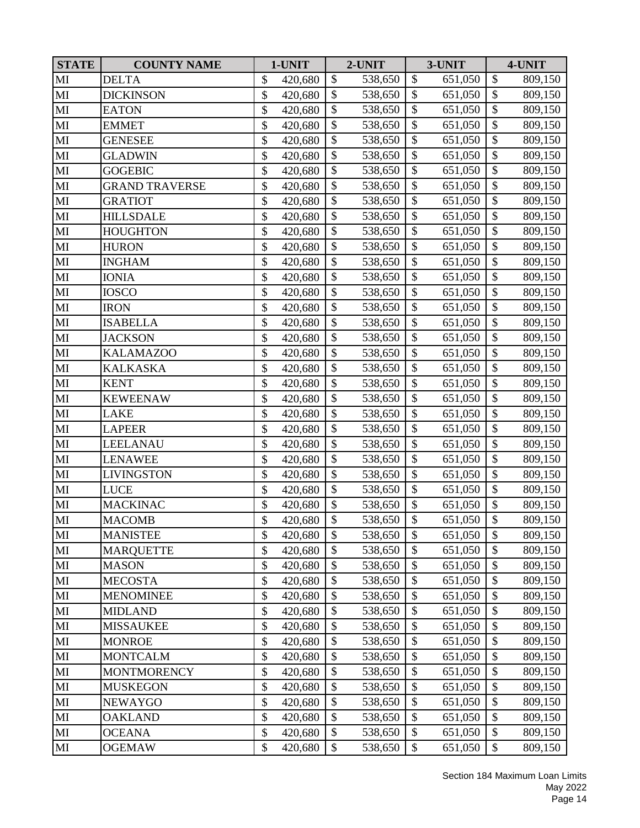| <b>STATE</b>           | <b>COUNTY NAME</b>    | 1-UNIT        |                           | 2-UNIT  |                           | 3-UNIT  |                   | 4-UNIT  |
|------------------------|-----------------------|---------------|---------------------------|---------|---------------------------|---------|-------------------|---------|
| MI                     | <b>DELTA</b>          | \$<br>420,680 | $\mathcal{S}$             | 538,650 | $\mathcal{S}$             | 651,050 | \$                | 809,150 |
| MI                     | DICKINSON             | \$<br>420,680 | \$                        | 538,650 | \$                        | 651,050 | \$                | 809,150 |
| MI                     | <b>EATON</b>          | \$<br>420,680 | $\boldsymbol{\mathsf{S}}$ | 538,650 | $\mathcal{S}$             | 651,050 | \$                | 809,150 |
| MI                     | <b>EMMET</b>          | \$<br>420,680 | \$                        | 538,650 | $\mathcal{S}$             | 651,050 | \$                | 809,150 |
| MI                     | <b>GENESEE</b>        | \$<br>420,680 | \$                        | 538,650 | $\boldsymbol{\mathsf{S}}$ | 651,050 | $\boldsymbol{\$}$ | 809,150 |
| MI                     | <b>GLADWIN</b>        | \$<br>420,680 | \$                        | 538,650 | $\mathcal{S}$             | 651,050 | \$                | 809,150 |
| MI                     | <b>GOGEBIC</b>        | \$<br>420,680 | \$                        | 538,650 | $\mathcal{S}$             | 651,050 | \$                | 809,150 |
| MI                     | <b>GRAND TRAVERSE</b> | \$<br>420,680 | $\mathbb{S}$              | 538,650 | $\mathcal{S}$             | 651,050 | \$                | 809,150 |
| MI                     | <b>GRATIOT</b>        | \$<br>420,680 | \$                        | 538,650 | $\boldsymbol{\mathsf{S}}$ | 651,050 | $\overline{\$}$   | 809,150 |
| MI                     | <b>HILLSDALE</b>      | \$<br>420,680 | \$                        | 538,650 | $\mathcal{S}$             | 651,050 | $\mathcal{S}$     | 809,150 |
| MI                     | <b>HOUGHTON</b>       | \$<br>420,680 | $\overline{\$}$           | 538,650 | $\mathcal{S}$             | 651,050 | $\overline{\$}$   | 809,150 |
| MI                     | <b>HURON</b>          | \$<br>420,680 | \$                        | 538,650 | $\mathcal{S}$             | 651,050 | \$                | 809,150 |
| MI                     | <b>INGHAM</b>         | \$<br>420,680 | $\mathcal{S}$             | 538,650 | \$                        | 651,050 | \$                | 809,150 |
| MI                     | <b>IONIA</b>          | \$<br>420,680 | $\mathcal{S}$             | 538,650 | $\mathcal{S}$             | 651,050 | $\overline{\$}$   | 809,150 |
| MI                     | <b>IOSCO</b>          | \$<br>420,680 | $\mathcal{S}$             | 538,650 | $\mathcal{S}$             | 651,050 | \$                | 809,150 |
| MI                     | <b>IRON</b>           | \$<br>420,680 | \$                        | 538,650 | $\boldsymbol{\mathsf{S}}$ | 651,050 | \$                | 809,150 |
| MI                     | <b>ISABELLA</b>       | \$<br>420,680 | $\mathcal{S}$             | 538,650 | \$                        | 651,050 | \$                | 809,150 |
| MI                     | <b>JACKSON</b>        | \$<br>420,680 | \$                        | 538,650 | $\boldsymbol{\mathsf{S}}$ | 651,050 | $\boldsymbol{\$}$ | 809,150 |
| MI                     | <b>KALAMAZOO</b>      | \$<br>420,680 | \$                        | 538,650 | $\mathcal{S}$             | 651,050 | $\boldsymbol{\$}$ | 809,150 |
| MI                     | <b>KALKASKA</b>       | \$<br>420,680 | $\mathbb{S}$              | 538,650 | $\mathcal{S}$             | 651,050 | $\overline{\$}$   | 809,150 |
| MI                     | <b>KENT</b>           | \$<br>420,680 | \$                        | 538,650 | $\mathcal{S}$             | 651,050 | \$                | 809,150 |
| MI                     | <b>KEWEENAW</b>       | \$<br>420,680 | \$                        | 538,650 | $\mathcal{S}$             | 651,050 | \$                | 809,150 |
| MI                     | LAKE                  | \$<br>420,680 | \$                        | 538,650 | $\mathcal{S}$             | 651,050 | $\overline{\$}$   | 809,150 |
| MI                     | <b>LAPEER</b>         | \$<br>420,680 | \$                        | 538,650 | $\boldsymbol{\mathsf{S}}$ | 651,050 | $\boldsymbol{\$}$ | 809,150 |
| MI                     | LEELANAU              | \$<br>420,680 | \$                        | 538,650 | $\mathcal{S}$             | 651,050 | \$                | 809,150 |
| MI                     | <b>LENAWEE</b>        | \$<br>420,680 | \$                        | 538,650 | $\mathcal{S}$             | 651,050 | \$                | 809,150 |
| MI                     | <b>LIVINGSTON</b>     | \$<br>420,680 | $\mathcal{S}$             | 538,650 | \$                        | 651,050 | \$                | 809,150 |
| MI                     | LUCE                  | \$<br>420,680 | \$                        | 538,650 | $\boldsymbol{\mathsf{S}}$ | 651,050 | $\overline{\$}$   | 809,150 |
| MI                     | <b>MACKINAC</b>       | \$<br>420,680 | \$                        | 538,650 | \$                        | 651,050 | \$                | 809,150 |
| MI                     | <b>MACOMB</b>         | \$<br>420,680 | $\mathcal{S}$             | 538,650 | $\mathcal{S}$             | 651,050 | $\overline{\$}$   | 809,150 |
| MI                     | <b>MANISTEE</b>       | \$<br>420,680 | \$                        | 538,650 | \$                        | 651,050 | \$                | 809,150 |
| MI                     | <b>MARQUETTE</b>      | \$<br>420,680 | $\mathcal{S}$             | 538,650 | \$                        | 651,050 | \$                | 809,150 |
| MI                     | <b>MASON</b>          | \$<br>420,680 | $\mathcal{S}$             | 538,650 | \$                        | 651,050 | \$                | 809,150 |
| MI                     | <b>MECOSTA</b>        | \$<br>420,680 | \$                        | 538,650 | $\mathcal{S}$             | 651,050 | \$                | 809,150 |
| MI                     | <b>MENOMINEE</b>      | \$<br>420,680 | \$                        | 538,650 | \$                        | 651,050 | $\boldsymbol{\$}$ | 809,150 |
| MI                     | <b>MIDLAND</b>        | \$<br>420,680 | \$                        | 538,650 | \$                        | 651,050 | \$                | 809,150 |
| $\mathbf{M}\mathbf{I}$ | <b>MISSAUKEE</b>      | \$<br>420,680 | $\mathcal{S}$             | 538,650 | $\mathcal{S}$             | 651,050 | $\boldsymbol{\$}$ | 809,150 |
| MI                     | <b>MONROE</b>         | \$<br>420,680 | $\mathcal{S}$             | 538,650 | \$                        | 651,050 | \$                | 809,150 |
| MI                     | <b>MONTCALM</b>       | \$<br>420,680 | $\mathcal{S}$             | 538,650 | $\mathcal{S}$             | 651,050 | \$                | 809,150 |
| MI                     | <b>MONTMORENCY</b>    | \$<br>420,680 | \$                        | 538,650 | \$                        | 651,050 | \$                | 809,150 |
| MI                     | <b>MUSKEGON</b>       | \$<br>420,680 | \$                        | 538,650 | $\mathcal{S}$             | 651,050 | \$                | 809,150 |
| MI                     | NEWAYGO               | \$<br>420,680 | $\boldsymbol{\mathsf{S}}$ | 538,650 | $\boldsymbol{\mathsf{S}}$ | 651,050 | \$                | 809,150 |
| MI                     | <b>OAKLAND</b>        | \$<br>420,680 | \$                        | 538,650 | \$                        | 651,050 | \$                | 809,150 |
| MI                     | <b>OCEANA</b>         | \$<br>420,680 | \$                        | 538,650 | \$                        | 651,050 | \$                | 809,150 |
| MI                     | <b>OGEMAW</b>         | \$<br>420,680 | $\mathcal{S}$             | 538,650 | $\mathcal{S}$             | 651,050 | \$                | 809,150 |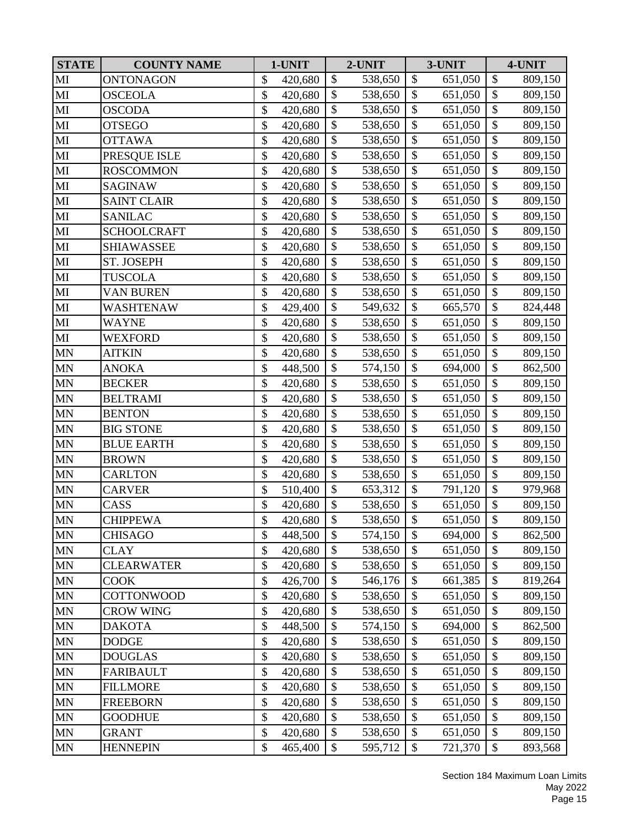| <b>STATE</b> | <b>COUNTY NAME</b> | 1-UNIT        |                           | 2-UNIT  |                           | 3-UNIT  |                           | 4-UNIT  |
|--------------|--------------------|---------------|---------------------------|---------|---------------------------|---------|---------------------------|---------|
| MI           | <b>ONTONAGON</b>   | \$<br>420,680 | \$                        | 538,650 | $\boldsymbol{\mathsf{S}}$ | 651,050 | \$                        | 809,150 |
| MI           | <b>OSCEOLA</b>     | \$<br>420,680 | $\mathbb{S}$              | 538,650 | $\mathcal{S}$             | 651,050 | $\boldsymbol{\mathsf{S}}$ | 809,150 |
| MI           | <b>OSCODA</b>      | \$<br>420,680 | \$                        | 538,650 | \$                        | 651,050 | \$                        | 809,150 |
| MI           | <b>OTSEGO</b>      | \$<br>420,680 | \$                        | 538,650 | $\boldsymbol{\mathsf{S}}$ | 651,050 | \$                        | 809,150 |
| MI           | <b>OTTAWA</b>      | \$<br>420,680 | $\mathcal{S}$             | 538,650 | $\mathcal{S}$             | 651,050 | \$                        | 809,150 |
| MI           | PRESQUE ISLE       | \$<br>420,680 | \$                        | 538,650 | $\boldsymbol{\mathsf{S}}$ | 651,050 | \$                        | 809,150 |
| MI           | <b>ROSCOMMON</b>   | \$<br>420,680 | $\mathcal{S}$             | 538,650 | $\mathcal{S}$             | 651,050 | \$                        | 809,150 |
| MI           | <b>SAGINAW</b>     | \$<br>420,680 | $\mathcal{S}$             | 538,650 | $\mathcal{S}$             | 651,050 | \$                        | 809,150 |
| MI           | <b>SAINT CLAIR</b> | \$<br>420,680 | \$                        | 538,650 | $\boldsymbol{\mathsf{S}}$ | 651,050 | $\overline{\$}$           | 809,150 |
| MI           | <b>SANILAC</b>     | \$<br>420,680 | $\boldsymbol{\mathsf{S}}$ | 538,650 | $\mathcal{S}$             | 651,050 | \$                        | 809,150 |
| MI           | <b>SCHOOLCRAFT</b> | \$<br>420,680 | \$                        | 538,650 | \$                        | 651,050 | \$                        | 809,150 |
| MI           | <b>SHIAWASSEE</b>  | \$<br>420,680 | \$                        | 538,650 | $\boldsymbol{\mathsf{S}}$ | 651,050 | $\boldsymbol{\$}$         | 809,150 |
| MI           | ST. JOSEPH         | \$<br>420,680 | \$                        | 538,650 | \$                        | 651,050 | \$                        | 809,150 |
| MI           | <b>TUSCOLA</b>     | \$<br>420,680 | \$                        | 538,650 | \$                        | 651,050 | $\boldsymbol{\$}$         | 809,150 |
| MI           | <b>VAN BUREN</b>   | \$<br>420,680 | $\mathbb{S}$              | 538,650 | $\mathcal{S}$             | 651,050 | \$                        | 809,150 |
| MI           | WASHTENAW          | \$<br>429,400 | \$                        | 549,632 | $\boldsymbol{\mathsf{S}}$ | 665,570 | \$                        | 824,448 |
| MI           | WAYNE              | \$<br>420,680 | \$                        | 538,650 | \$                        | 651,050 | \$                        | 809,150 |
| MI           | WEXFORD            | \$<br>420,680 | \$                        | 538,650 | $\mathcal{S}$             | 651,050 | $\overline{\$}$           | 809,150 |
| <b>MN</b>    | <b>AITKIN</b>      | \$<br>420,680 | \$                        | 538,650 | $\mathcal{S}$             | 651,050 | \$                        | 809,150 |
| <b>MN</b>    | <b>ANOKA</b>       | \$<br>448,500 | $\mathcal{S}$             | 574,150 | $\mathcal{S}$             | 694,000 | \$                        | 862,500 |
| <b>MN</b>    | <b>BECKER</b>      | \$<br>420,680 | $\mathbb{S}$              | 538,650 | $\mathcal{S}$             | 651,050 | $\overline{\$}$           | 809,150 |
| <b>MN</b>    | <b>BELTRAMI</b>    | \$<br>420,680 | $\mathcal{S}$             | 538,650 | $\mathcal{S}$             | 651,050 | \$                        | 809,150 |
| <b>MN</b>    | <b>BENTON</b>      | \$<br>420,680 | \$                        | 538,650 | $\boldsymbol{\mathsf{S}}$ | 651,050 | \$                        | 809,150 |
| <b>MN</b>    | <b>BIG STONE</b>   | \$<br>420,680 | $\mathcal{S}$             | 538,650 | \$                        | 651,050 | \$                        | 809,150 |
| <b>MN</b>    | <b>BLUE EARTH</b>  | \$<br>420,680 | \$                        | 538,650 | $\boldsymbol{\mathsf{S}}$ | 651,050 | \$                        | 809,150 |
| <b>MN</b>    | <b>BROWN</b>       | \$<br>420,680 | \$                        | 538,650 | $\mathcal{S}$             | 651,050 | \$                        | 809,150 |
| <b>MN</b>    | <b>CARLTON</b>     | \$<br>420,680 | $\mathbb{S}$              | 538,650 | $\mathcal{S}$             | 651,050 | \$                        | 809,150 |
| <b>MN</b>    | <b>CARVER</b>      | \$<br>510,400 | $\mathcal{S}$             | 653,312 | $\mathcal{S}$             | 791,120 | $\overline{\$}$           | 979,968 |
| <b>MN</b>    | CASS               | \$<br>420,680 | \$                        | 538,650 | $\mathcal{S}$             | 651,050 | \$                        | 809,150 |
| <b>MN</b>    | <b>CHIPPEWA</b>    | \$<br>420,680 | $\mathcal{S}$             | 538,650 | $\mathcal{S}$             | 651,050 | $\mathsf{\$}$             | 809,150 |
| MN           | CHISAGO            | \$<br>448,500 | $\$\$                     | 574,150 | \$                        | 694,000 | \$                        | 862,500 |
| <b>MN</b>    | <b>CLAY</b>        | \$<br>420,680 | $\mathcal{S}$             | 538,650 | \$                        | 651,050 | \$                        | 809,150 |
| <b>MN</b>    | <b>CLEARWATER</b>  | \$<br>420,680 | $\mathcal{S}$             | 538,650 | \$                        | 651,050 | \$                        | 809,150 |
| <b>MN</b>    | <b>COOK</b>        | \$<br>426,700 | \$                        | 546,176 | \$                        | 661,385 | \$                        | 819,264 |
| <b>MN</b>    | <b>COTTONWOOD</b>  | \$<br>420,680 | \$                        | 538,650 | \$                        | 651,050 | \$                        | 809,150 |
| <b>MN</b>    | <b>CROW WING</b>   | \$<br>420,680 | \$                        | 538,650 | \$                        | 651,050 | \$                        | 809,150 |
| <b>MN</b>    | <b>DAKOTA</b>      | \$<br>448,500 | \$                        | 574,150 | $\mathcal{S}$             | 694,000 | \$                        | 862,500 |
| <b>MN</b>    | <b>DODGE</b>       | \$<br>420,680 | \$                        | 538,650 | \$                        | 651,050 | \$                        | 809,150 |
| <b>MN</b>    | <b>DOUGLAS</b>     | \$<br>420,680 | $\mathcal{S}$             | 538,650 | \$                        | 651,050 | \$                        | 809,150 |
| <b>MN</b>    | <b>FARIBAULT</b>   | \$<br>420,680 | $\boldsymbol{\mathsf{S}}$ | 538,650 | \$                        | 651,050 | \$                        | 809,150 |
| <b>MN</b>    | <b>FILLMORE</b>    | \$<br>420,680 | \$                        | 538,650 | $\mathcal{S}$             | 651,050 | \$                        | 809,150 |
| <b>MN</b>    | <b>FREEBORN</b>    | \$<br>420,680 | \$                        | 538,650 | $\boldsymbol{\mathsf{S}}$ | 651,050 | $\boldsymbol{\$}$         | 809,150 |
| <b>MN</b>    | <b>GOODHUE</b>     | \$<br>420,680 | $\mathcal{S}$             | 538,650 | \$                        | 651,050 | \$                        | 809,150 |
| <b>MN</b>    | <b>GRANT</b>       | \$<br>420,680 | $\boldsymbol{\mathsf{S}}$ | 538,650 | \$                        | 651,050 | $\boldsymbol{\$}$         | 809,150 |
| <b>MN</b>    | <b>HENNEPIN</b>    | \$<br>465,400 | \$                        | 595,712 | \$                        | 721,370 | $\boldsymbol{\mathsf{S}}$ | 893,568 |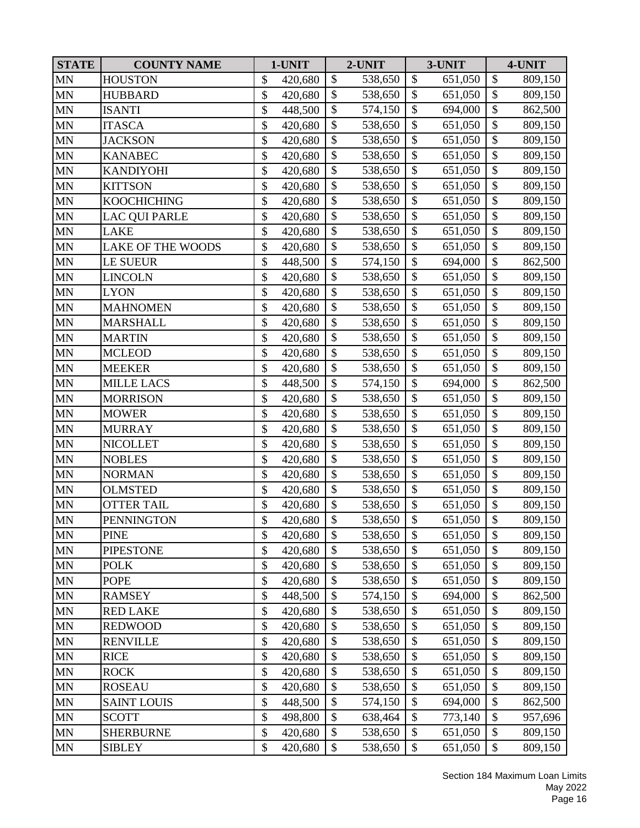| <b>STATE</b> | <b>COUNTY NAME</b>       | 1-UNIT        |               | 2-UNIT  |                           | 3-UNIT  |                           | 4-UNIT  |
|--------------|--------------------------|---------------|---------------|---------|---------------------------|---------|---------------------------|---------|
| <b>MN</b>    | <b>HOUSTON</b>           | \$<br>420,680 | $\mathcal{S}$ | 538,650 | \$                        | 651,050 | \$                        | 809,150 |
| <b>MN</b>    | <b>HUBBARD</b>           | \$<br>420,680 | \$            | 538,650 | \$                        | 651,050 | \$                        | 809,150 |
| <b>MN</b>    | <b>ISANTI</b>            | \$<br>448,500 | \$            | 574,150 | \$                        | 694,000 | $\mathcal{S}$             | 862,500 |
| <b>MN</b>    | <b>ITASCA</b>            | \$<br>420,680 | \$            | 538,650 | $\boldsymbol{\mathsf{S}}$ | 651,050 | \$                        | 809,150 |
| <b>MN</b>    | <b>JACKSON</b>           | \$<br>420,680 | \$            | 538,650 | \$                        | 651,050 | $\boldsymbol{\$}$         | 809,150 |
| <b>MN</b>    | <b>KANABEC</b>           | \$<br>420,680 | $\mathcal{S}$ | 538,650 | \$                        | 651,050 | \$                        | 809,150 |
| <b>MN</b>    | <b>KANDIYOHI</b>         | \$<br>420,680 | \$            | 538,650 | \$                        | 651,050 | \$                        | 809,150 |
| $\mbox{MN}$  | <b>KITTSON</b>           | \$<br>420,680 | $\mathcal{S}$ | 538,650 | $\mathcal{S}$             | 651,050 | \$                        | 809,150 |
| <b>MN</b>    | <b>KOOCHICHING</b>       | \$<br>420,680 | \$            | 538,650 | $\boldsymbol{\mathsf{S}}$ | 651,050 | \$                        | 809,150 |
| <b>MN</b>    | <b>LAC QUI PARLE</b>     | \$<br>420,680 | \$            | 538,650 | \$                        | 651,050 | \$                        | 809,150 |
| MN           | <b>LAKE</b>              | \$<br>420,680 | \$            | 538,650 | $\mathcal{S}$             | 651,050 | $\overline{\$}$           | 809,150 |
| <b>MN</b>    | <b>LAKE OF THE WOODS</b> | \$<br>420,680 | \$            | 538,650 | \$                        | 651,050 | \$                        | 809,150 |
| <b>MN</b>    | <b>LE SUEUR</b>          | \$<br>448,500 | $\mathcal{S}$ | 574,150 | \$                        | 694,000 | \$                        | 862,500 |
| $\mbox{MN}$  | <b>LINCOLN</b>           | \$<br>420,680 | \$            | 538,650 | \$                        | 651,050 | $\overline{\$}$           | 809,150 |
| <b>MN</b>    | <b>LYON</b>              | \$<br>420,680 | \$            | 538,650 | \$                        | 651,050 | \$                        | 809,150 |
| <b>MN</b>    | <b>MAHNOMEN</b>          | \$<br>420,680 | \$            | 538,650 | $\boldsymbol{\mathsf{S}}$ | 651,050 | \$                        | 809,150 |
| <b>MN</b>    | <b>MARSHALL</b>          | \$<br>420,680 | $\mathcal{S}$ | 538,650 | \$                        | 651,050 | \$                        | 809,150 |
| MN           | <b>MARTIN</b>            | \$<br>420,680 | $\mathcal{S}$ | 538,650 | $\mathcal{S}$             | 651,050 | \$                        | 809,150 |
| <b>MN</b>    | <b>MCLEOD</b>            | \$<br>420,680 | \$            | 538,650 | \$                        | 651,050 | $\boldsymbol{\$}$         | 809,150 |
| $\mbox{MN}$  | <b>MEEKER</b>            | \$<br>420,680 | $\mathbb{S}$  | 538,650 | $\mathcal{S}$             | 651,050 | \$                        | 809,150 |
| <b>MN</b>    | <b>MILLE LACS</b>        | \$<br>448,500 | \$            | 574,150 | $\mathcal{S}$             | 694,000 | \$                        | 862,500 |
| <b>MN</b>    | <b>MORRISON</b>          | \$<br>420,680 | \$            | 538,650 | \$                        | 651,050 | \$                        | 809,150 |
| <b>MN</b>    | <b>MOWER</b>             | \$<br>420,680 | \$            | 538,650 | $\boldsymbol{\mathsf{S}}$ | 651,050 | \$                        | 809,150 |
| <b>MN</b>    | <b>MURRAY</b>            | \$<br>420,680 | \$            | 538,650 | \$                        | 651,050 | $\boldsymbol{\$}$         | 809,150 |
| <b>MN</b>    | <b>NICOLLET</b>          | \$<br>420,680 | $\mathcal{S}$ | 538,650 | \$                        | 651,050 | \$                        | 809,150 |
| <b>MN</b>    | <b>NOBLES</b>            | \$<br>420,680 | \$            | 538,650 | \$                        | 651,050 | \$                        | 809,150 |
| $\mbox{MN}$  | <b>NORMAN</b>            | \$<br>420,680 | $\mathcal{S}$ | 538,650 | \$                        | 651,050 | \$                        | 809,150 |
| <b>MN</b>    | <b>OLMSTED</b>           | \$<br>420,680 | \$            | 538,650 | $\boldsymbol{\mathsf{S}}$ | 651,050 | \$                        | 809,150 |
| <b>MN</b>    | <b>OTTER TAIL</b>        | \$<br>420,680 | \$            | 538,650 | \$                        | 651,050 | \$                        | 809,150 |
| <b>MN</b>    | <b>PENNINGTON</b>        | \$<br>420,680 | $\mathbb{S}$  | 538,650 | $\mathcal{S}$             | 651,050 | $\overline{\$}$           | 809,150 |
| MN           | <b>PINE</b>              | \$<br>420,680 | \$            | 538,650 | \$                        | 651,050 | \$                        | 809,150 |
| MN           | <b>PIPESTONE</b>         | \$<br>420,680 | \$            | 538,650 | \$                        | 651,050 | \$                        | 809,150 |
| <b>MN</b>    | <b>POLK</b>              | \$<br>420,680 | \$            | 538,650 | \$                        | 651,050 | \$                        | 809,150 |
| MN           | <b>POPE</b>              | \$<br>420,680 | \$            | 538,650 | \$                        | 651,050 | \$                        | 809,150 |
| <b>MN</b>    | <b>RAMSEY</b>            | \$<br>448,500 | \$            | 574,150 | \$                        | 694,000 | $\boldsymbol{\$}$         | 862,500 |
| MN           | <b>RED LAKE</b>          | \$<br>420,680 | \$            | 538,650 | \$                        | 651,050 | \$                        | 809,150 |
| <b>MN</b>    | <b>REDWOOD</b>           | \$<br>420,680 | \$            | 538,650 | \$                        | 651,050 | \$                        | 809,150 |
| <b>MN</b>    | <b>RENVILLE</b>          | \$<br>420,680 | \$            | 538,650 | \$                        | 651,050 | \$                        | 809,150 |
| MN           | <b>RICE</b>              | \$<br>420,680 | $\mathcal{S}$ | 538,650 | \$                        | 651,050 | \$                        | 809,150 |
| <b>MN</b>    | <b>ROCK</b>              | \$<br>420,680 | \$            | 538,650 | \$                        | 651,050 | \$                        | 809,150 |
| <b>MN</b>    | <b>ROSEAU</b>            | \$<br>420,680 | \$            | 538,650 | \$                        | 651,050 | \$                        | 809,150 |
| <b>MN</b>    | <b>SAINT LOUIS</b>       | \$<br>448,500 | \$            | 574,150 | \$                        | 694,000 | \$                        | 862,500 |
| <b>MN</b>    | <b>SCOTT</b>             | \$<br>498,800 | \$            | 638,464 | \$                        | 773,140 | \$                        | 957,696 |
| MN           | <b>SHERBURNE</b>         | \$<br>420,680 | \$            | 538,650 | \$                        | 651,050 | \$                        | 809,150 |
| <b>MN</b>    | <b>SIBLEY</b>            | \$<br>420,680 | \$            | 538,650 | \$                        | 651,050 | $\boldsymbol{\mathsf{S}}$ | 809,150 |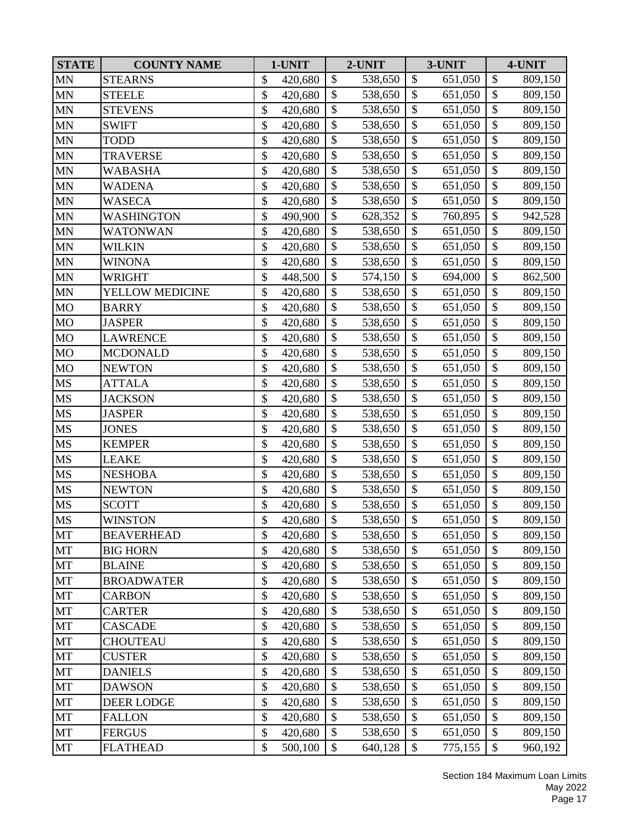| <b>STATE</b> | <b>COUNTY NAME</b> | 1-UNIT        |                           | 2-UNIT  |                           | 3-UNIT  |                   | 4-UNIT  |
|--------------|--------------------|---------------|---------------------------|---------|---------------------------|---------|-------------------|---------|
| <b>MN</b>    | <b>STEARNS</b>     | \$<br>420,680 | $\mathcal{S}$             | 538,650 | \$                        | 651,050 | \$                | 809,150 |
| <b>MN</b>    | <b>STEELE</b>      | \$<br>420,680 | \$                        | 538,650 | \$                        | 651,050 | \$                | 809,150 |
| <b>MN</b>    | <b>STEVENS</b>     | \$<br>420,680 | \$                        | 538,650 | \$                        | 651,050 | \$                | 809,150 |
| <b>MN</b>    | <b>SWIFT</b>       | \$<br>420,680 | \$                        | 538,650 | \$                        | 651,050 | \$                | 809,150 |
| <b>MN</b>    | <b>TODD</b>        | \$<br>420,680 | \$                        | 538,650 | \$                        | 651,050 | $\boldsymbol{\$}$ | 809,150 |
| <b>MN</b>    | <b>TRAVERSE</b>    | \$<br>420,680 | $\mathcal{S}$             | 538,650 | $\mathcal{S}$             | 651,050 | \$                | 809,150 |
| <b>MN</b>    | WABASHA            | \$<br>420,680 | \$                        | 538,650 | \$                        | 651,050 | \$                | 809,150 |
| $\mbox{MN}$  | <b>WADENA</b>      | \$<br>420,680 | $\mathcal{S}$             | 538,650 | $\mathcal{S}$             | 651,050 | \$                | 809,150 |
| <b>MN</b>    | WASECA             | \$<br>420,680 | \$                        | 538,650 | $\boldsymbol{\mathsf{S}}$ | 651,050 | \$                | 809,150 |
| MN           | WASHINGTON         | \$<br>490,900 | \$                        | 628,352 | \$                        | 760,895 | $\mathcal{S}$     | 942,528 |
| <b>MN</b>    | <b>WATONWAN</b>    | \$<br>420,680 | \$                        | 538,650 | $\mathcal{S}$             | 651,050 | $\overline{\$}$   | 809,150 |
| <b>MN</b>    | WILKIN             | \$<br>420,680 | \$                        | 538,650 | \$                        | 651,050 | $\boldsymbol{\$}$ | 809,150 |
| <b>MN</b>    | <b>WINONA</b>      | \$<br>420,680 | $\mathcal{S}$             | 538,650 | \$                        | 651,050 | \$                | 809,150 |
| <b>MN</b>    | <b>WRIGHT</b>      | \$<br>448,500 | \$                        | 574,150 | $\mathcal{S}$             | 694,000 | $\overline{\$}$   | 862,500 |
| <b>MN</b>    | YELLOW MEDICINE    | \$<br>420,680 | \$                        | 538,650 | \$                        | 651,050 | $\mathcal{S}$     | 809,150 |
| <b>MO</b>    | <b>BARRY</b>       | \$<br>420,680 | \$                        | 538,650 | $\boldsymbol{\mathsf{S}}$ | 651,050 | \$                | 809,150 |
| <b>MO</b>    | <b>JASPER</b>      | \$<br>420,680 | $\mathcal{S}$             | 538,650 | \$                        | 651,050 | \$                | 809,150 |
| <b>MO</b>    | <b>LAWRENCE</b>    | \$<br>420,680 | $\boldsymbol{\mathsf{S}}$ | 538,650 | $\mathcal{S}$             | 651,050 | \$                | 809,150 |
| <b>MO</b>    | <b>MCDONALD</b>    | \$<br>420,680 | \$                        | 538,650 | \$                        | 651,050 | $\boldsymbol{\$}$ | 809,150 |
| <b>MO</b>    | <b>NEWTON</b>      | \$<br>420,680 | $\mathbb{S}$              | 538,650 | $\mathcal{S}$             | 651,050 | \$                | 809,150 |
| <b>MS</b>    | <b>ATTALA</b>      | \$<br>420,680 | \$                        | 538,650 | $\mathcal{S}$             | 651,050 | \$                | 809,150 |
| <b>MS</b>    | <b>JACKSON</b>     | \$<br>420,680 | \$                        | 538,650 | \$                        | 651,050 | \$                | 809,150 |
| <b>MS</b>    | <b>JASPER</b>      | \$<br>420,680 | \$                        | 538,650 | $\boldsymbol{\mathsf{S}}$ | 651,050 | \$                | 809,150 |
| MS           | <b>JONES</b>       | \$<br>420,680 | \$                        | 538,650 | \$                        | 651,050 | $\boldsymbol{\$}$ | 809,150 |
| <b>MS</b>    | <b>KEMPER</b>      | \$<br>420,680 | $\mathcal{S}$             | 538,650 | $\mathcal{S}$             | 651,050 | \$                | 809,150 |
| <b>MS</b>    | <b>LEAKE</b>       | \$<br>420,680 | \$                        | 538,650 | \$                        | 651,050 | \$                | 809,150 |
| <b>MS</b>    | <b>NESHOBA</b>     | \$<br>420,680 | $\mathcal{S}$             | 538,650 | \$                        | 651,050 | \$                | 809,150 |
| <b>MS</b>    | <b>NEWTON</b>      | \$<br>420,680 | \$                        | 538,650 | $\boldsymbol{\mathsf{S}}$ | 651,050 | $\overline{\$}$   | 809,150 |
| MS           | <b>SCOTT</b>       | \$<br>420,680 | \$                        | 538,650 | \$                        | 651,050 | \$                | 809,150 |
| <b>MS</b>    | <b>WINSTON</b>     | \$<br>420,680 | $\mathbb{S}$              | 538,650 | $\mathcal{S}$             | 651,050 | $\overline{\$}$   | 809,150 |
| MT           | <b>BEAVERHEAD</b>  | \$<br>420,680 | \$                        | 538,650 | \$                        | 651,050 | \$                | 809,150 |
| MT           | <b>BIG HORN</b>    | \$<br>420,680 | \$                        | 538,650 | \$                        | 651,050 | \$                | 809,150 |
| MT           | <b>BLAINE</b>      | \$<br>420,680 | \$                        | 538,650 | \$                        | 651,050 | \$                | 809,150 |
| MT           | <b>BROADWATER</b>  | \$<br>420,680 | \$                        | 538,650 | \$                        | 651,050 | \$                | 809,150 |
| MT           | <b>CARBON</b>      | \$<br>420,680 | \$                        | 538,650 | \$                        | 651,050 | $\boldsymbol{\$}$ | 809,150 |
| MT           | <b>CARTER</b>      | \$<br>420,680 | \$                        | 538,650 | \$                        | 651,050 | \$                | 809,150 |
| MT           | <b>CASCADE</b>     | \$<br>420,680 | \$                        | 538,650 | \$                        | 651,050 | \$                | 809,150 |
| MT           | <b>CHOUTEAU</b>    | \$<br>420,680 | \$                        | 538,650 | \$                        | 651,050 | \$                | 809,150 |
| MT           | <b>CUSTER</b>      | \$<br>420,680 | $\mathcal{S}$             | 538,650 | $\mathcal{S}$             | 651,050 | \$                | 809,150 |
| MT           | <b>DANIELS</b>     | \$<br>420,680 | \$                        | 538,650 | \$                        | 651,050 | \$                | 809,150 |
| MT           | <b>DAWSON</b>      | \$<br>420,680 | \$                        | 538,650 | \$                        | 651,050 | \$                | 809,150 |
| MT           | DEER LODGE         | \$<br>420,680 | \$                        | 538,650 | \$                        | 651,050 | \$                | 809,150 |
| MT           | <b>FALLON</b>      | \$<br>420,680 | \$                        | 538,650 | \$                        | 651,050 | \$                | 809,150 |
| MT           | <b>FERGUS</b>      | \$<br>420,680 | \$                        | 538,650 | \$                        | 651,050 | \$                | 809,150 |
| MT           | <b>FLATHEAD</b>    | \$<br>500,100 | \$                        | 640,128 | \$                        | 775,155 | \$                | 960,192 |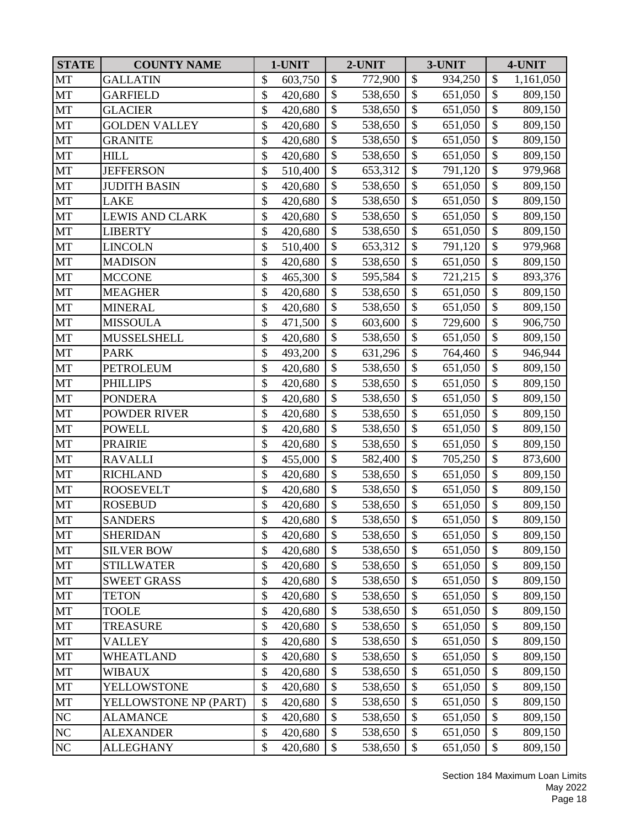| <b>STATE</b> | <b>COUNTY NAME</b>     | 1-UNIT        |                           | 2-UNIT  |                           | 3-UNIT  |                           | 4-UNIT    |
|--------------|------------------------|---------------|---------------------------|---------|---------------------------|---------|---------------------------|-----------|
| MT           | <b>GALLATIN</b>        | \$<br>603,750 | $\mathcal{S}$             | 772,900 | \$                        | 934,250 | $\boldsymbol{\mathsf{S}}$ | 1,161,050 |
| MT           | <b>GARFIELD</b>        | \$<br>420,680 | \$                        | 538,650 | \$                        | 651,050 | \$                        | 809,150   |
| <b>MT</b>    | <b>GLACIER</b>         | \$<br>420,680 | \$                        | 538,650 | \$                        | 651,050 | $\mathcal{S}$             | 809,150   |
| MT           | <b>GOLDEN VALLEY</b>   | \$<br>420,680 | \$                        | 538,650 | $\boldsymbol{\mathsf{S}}$ | 651,050 | \$                        | 809,150   |
| MT           | <b>GRANITE</b>         | \$<br>420,680 | \$                        | 538,650 | \$                        | 651,050 | $\boldsymbol{\$}$         | 809,150   |
| <b>MT</b>    | <b>HILL</b>            | \$<br>420,680 | $\mathcal{S}$             | 538,650 | $\mathcal{S}$             | 651,050 | \$                        | 809,150   |
| MT           | <b>JEFFERSON</b>       | \$<br>510,400 | \$                        | 653,312 | \$                        | 791,120 | \$                        | 979,968   |
| <b>MT</b>    | <b>JUDITH BASIN</b>    | \$<br>420,680 | $\mathbb{S}$              | 538,650 | $\mathcal{S}$             | 651,050 | \$                        | 809,150   |
| MT           | <b>LAKE</b>            | \$<br>420,680 | \$                        | 538,650 | $\boldsymbol{\mathsf{S}}$ | 651,050 | \$                        | 809,150   |
| MT           | <b>LEWIS AND CLARK</b> | \$<br>420,680 | \$                        | 538,650 | \$                        | 651,050 | \$                        | 809,150   |
| MT           | <b>LIBERTY</b>         | \$<br>420,680 | $\overline{\$}$           | 538,650 | $\mathcal{S}$             | 651,050 | $\overline{\$}$           | 809,150   |
| MT           | <b>LINCOLN</b>         | \$<br>510,400 | \$                        | 653,312 | \$                        | 791,120 | \$                        | 979,968   |
| <b>MT</b>    | <b>MADISON</b>         | \$<br>420,680 | $\mathcal{S}$             | 538,650 | \$                        | 651,050 | \$                        | 809,150   |
| MT           | <b>MCCONE</b>          | \$<br>465,300 | $\mathbb{S}$              | 595,584 | $\mathcal{S}$             | 721,215 | $\overline{\$}$           | 893,376   |
| <b>MT</b>    | <b>MEAGHER</b>         | \$<br>420,680 | \$                        | 538,650 | \$                        | 651,050 | $\mathcal{S}$             | 809,150   |
| MT           | <b>MINERAL</b>         | \$<br>420,680 | \$                        | 538,650 | $\boldsymbol{\mathsf{S}}$ | 651,050 | \$                        | 809,150   |
| MT           | <b>MISSOULA</b>        | \$<br>471,500 | $\mathcal{S}$             | 603,600 | \$                        | 729,600 | \$                        | 906,750   |
| <b>MT</b>    | <b>MUSSELSHELL</b>     | \$<br>420,680 | $\boldsymbol{\mathsf{S}}$ | 538,650 | $\mathcal{S}$             | 651,050 | \$                        | 809,150   |
| MT           | <b>PARK</b>            | \$<br>493,200 | \$                        | 631,296 | \$                        | 764,460 | $\boldsymbol{\$}$         | 946,944   |
| <b>MT</b>    | <b>PETROLEUM</b>       | \$<br>420,680 | $\mathbb{S}$              | 538,650 | $\mathcal{S}$             | 651,050 | \$                        | 809,150   |
| MT           | <b>PHILLIPS</b>        | \$<br>420,680 | \$                        | 538,650 | \$                        | 651,050 | \$                        | 809,150   |
| MT           | <b>PONDERA</b>         | \$<br>420,680 | \$                        | 538,650 | \$                        | 651,050 | \$                        | 809,150   |
| MT           | <b>POWDER RIVER</b>    | \$<br>420,680 | \$                        | 538,650 | $\boldsymbol{\mathsf{S}}$ | 651,050 | \$                        | 809,150   |
| MT           | <b>POWELL</b>          | \$<br>420,680 | \$                        | 538,650 | \$                        | 651,050 | $\boldsymbol{\$}$         | 809,150   |
| <b>MT</b>    | <b>PRAIRIE</b>         | \$<br>420,680 | $\boldsymbol{\mathsf{S}}$ | 538,650 | $\mathcal{S}$             | 651,050 | \$                        | 809,150   |
| MT           | <b>RAVALLI</b>         | \$<br>455,000 | \$                        | 582,400 | \$                        | 705,250 | \$                        | 873,600   |
| <b>MT</b>    | <b>RICHLAND</b>        | \$<br>420,680 | \$                        | 538,650 | \$                        | 651,050 | \$                        | 809,150   |
| <b>MT</b>    | <b>ROOSEVELT</b>       | \$<br>420,680 | \$                        | 538,650 | $\boldsymbol{\mathsf{S}}$ | 651,050 | $\overline{\$}$           | 809,150   |
| MT           | <b>ROSEBUD</b>         | \$<br>420,680 | \$                        | 538,650 | \$                        | 651,050 | \$                        | 809,150   |
| <b>MT</b>    | <b>SANDERS</b>         | \$<br>420,680 | $\overline{\mathcal{S}}$  | 538,650 | $\mathcal{S}$             | 651,050 | $\overline{\$}$           | 809,150   |
| MT           | <b>SHERIDAN</b>        | \$<br>420,680 | \$                        | 538,650 | \$                        | 651,050 | \$                        | 809,150   |
| MT           | <b>SILVER BOW</b>      | \$<br>420,680 | $\mathcal{S}$             | 538,650 | \$                        | 651,050 | \$                        | 809,150   |
| MT           | <b>STILLWATER</b>      | \$<br>420,680 | \$                        | 538,650 | $\mathcal{S}$             | 651,050 | \$                        | 809,150   |
| MT           | <b>SWEET GRASS</b>     | \$<br>420,680 | \$                        | 538,650 | \$                        | 651,050 | \$                        | 809,150   |
| MT           | <b>TETON</b>           | \$<br>420,680 | \$                        | 538,650 | \$                        | 651,050 | $\boldsymbol{\$}$         | 809,150   |
| MT           | <b>TOOLE</b>           | \$<br>420,680 | \$                        | 538,650 | \$                        | 651,050 | \$                        | 809,150   |
| MT           | <b>TREASURE</b>        | \$<br>420,680 | \$                        | 538,650 | \$                        | 651,050 | \$                        | 809,150   |
| MT           | <b>VALLEY</b>          | \$<br>420,680 | \$                        | 538,650 | \$                        | 651,050 | \$                        | 809,150   |
| MT           | <b>WHEATLAND</b>       | \$<br>420,680 | $\mathcal{S}$             | 538,650 | $\mathcal{S}$             | 651,050 | \$                        | 809,150   |
| MT           | WIBAUX                 | \$<br>420,680 | \$                        | 538,650 | \$                        | 651,050 | \$                        | 809,150   |
| MT           | <b>YELLOWSTONE</b>     | \$<br>420,680 | \$                        | 538,650 | \$                        | 651,050 | \$                        | 809,150   |
| MT           | YELLOWSTONE NP (PART)  | \$<br>420,680 | \$                        | 538,650 | \$                        | 651,050 | \$                        | 809,150   |
| NC           | <b>ALAMANCE</b>        | \$<br>420,680 | \$                        | 538,650 | \$                        | 651,050 | \$                        | 809,150   |
| $\rm NC$     | <b>ALEXANDER</b>       | \$<br>420,680 | \$                        | 538,650 | \$                        | 651,050 | $\boldsymbol{\mathsf{S}}$ | 809,150   |
| NC           | <b>ALLEGHANY</b>       | \$<br>420,680 | \$                        | 538,650 | $\mathcal{S}$             | 651,050 | $\boldsymbol{\mathsf{S}}$ | 809,150   |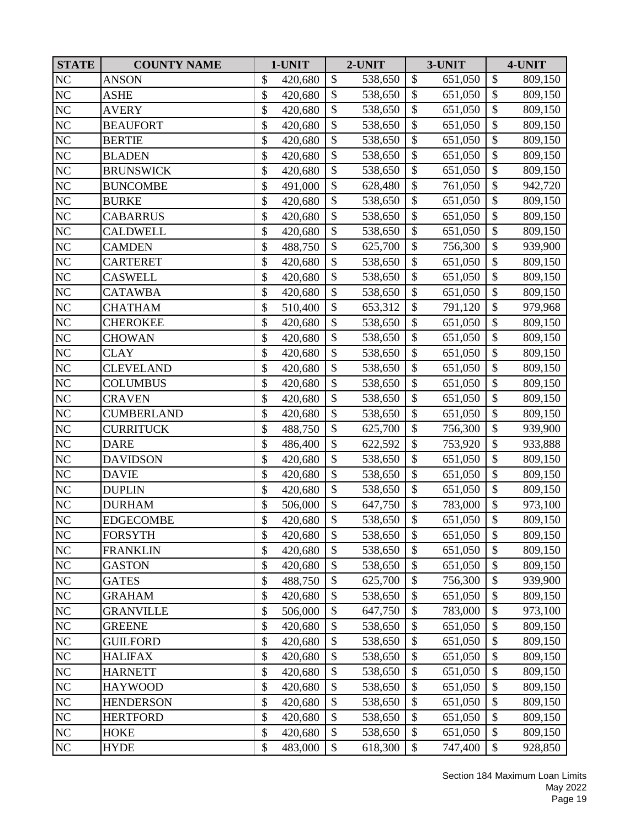| <b>STATE</b>   | <b>COUNTY NAME</b> | 1-UNIT        |                 | 2-UNIT  |                           | 3-UNIT  |                           | 4-UNIT  |
|----------------|--------------------|---------------|-----------------|---------|---------------------------|---------|---------------------------|---------|
| NC             | <b>ANSON</b>       | \$<br>420,680 | \$              | 538,650 | \$                        | 651,050 | $\boldsymbol{\mathsf{S}}$ | 809,150 |
| NC             | ASHE               | \$<br>420,680 | \$              | 538,650 | \$                        | 651,050 | \$                        | 809,150 |
| $\rm NC$       | <b>AVERY</b>       | \$<br>420,680 | \$              | 538,650 | \$                        | 651,050 | $\mathcal{S}$             | 809,150 |
| $\rm NC$       | <b>BEAUFORT</b>    | \$<br>420,680 | \$              | 538,650 | $\boldsymbol{\mathsf{S}}$ | 651,050 | \$                        | 809,150 |
| NC             | <b>BERTIE</b>      | \$<br>420,680 | \$              | 538,650 | \$                        | 651,050 | $\boldsymbol{\$}$         | 809,150 |
| NC             | <b>BLADEN</b>      | \$<br>420,680 | $\mathcal{S}$   | 538,650 | $\boldsymbol{\mathsf{S}}$ | 651,050 | \$                        | 809,150 |
| NC             | <b>BRUNSWICK</b>   | \$<br>420,680 | \$              | 538,650 | \$                        | 651,050 | \$                        | 809,150 |
| NC             | <b>BUNCOMBE</b>    | \$<br>491,000 | $\mathbb{S}$    | 628,480 | $\mathcal{S}$             | 761,050 | \$                        | 942,720 |
| $\rm NC$       | <b>BURKE</b>       | \$<br>420,680 | \$              | 538,650 | $\boldsymbol{\mathsf{S}}$ | 651,050 | $\$\,$                    | 809,150 |
| $\rm NC$       | <b>CABARRUS</b>    | \$<br>420,680 | \$              | 538,650 | \$                        | 651,050 | \$                        | 809,150 |
| NC             | <b>CALDWELL</b>    | \$<br>420,680 | $\overline{\$}$ | 538,650 | $\boldsymbol{\mathsf{S}}$ | 651,050 | $\overline{\$}$           | 809,150 |
| $\rm NC$       | <b>CAMDEN</b>      | \$<br>488,750 | \$              | 625,700 | \$                        | 756,300 | $\boldsymbol{\$}$         | 939,900 |
| $\rm NC$       | <b>CARTERET</b>    | \$<br>420,680 | $\mathcal{S}$   | 538,650 | \$                        | 651,050 | \$                        | 809,150 |
| NC             | <b>CASWELL</b>     | \$<br>420,680 | \$              | 538,650 | $\mathcal{S}$             | 651,050 | $\overline{\$}$           | 809,150 |
| NC             | <b>CATAWBA</b>     | \$<br>420,680 | \$              | 538,650 | \$                        | 651,050 | \$                        | 809,150 |
| $\rm NC$       | <b>CHATHAM</b>     | \$<br>510,400 | \$              | 653,312 | $\boldsymbol{\mathsf{S}}$ | 791,120 | \$                        | 979,968 |
| NC             | <b>CHEROKEE</b>    | \$<br>420,680 | \$              | 538,650 | \$                        | 651,050 | \$                        | 809,150 |
| NC             | <b>CHOWAN</b>      | \$<br>420,680 | $\mathcal{S}$   | 538,650 | $\boldsymbol{\mathsf{S}}$ | 651,050 | \$                        | 809,150 |
| NC             | <b>CLAY</b>        | \$<br>420,680 | \$              | 538,650 | \$                        | 651,050 | $\boldsymbol{\$}$         | 809,150 |
| NC             | <b>CLEVELAND</b>   | \$<br>420,680 | $\mathbb{S}$    | 538,650 | $\mathcal{S}$             | 651,050 | \$                        | 809,150 |
| NC             | <b>COLUMBUS</b>    | \$<br>420,680 | \$              | 538,650 | \$                        | 651,050 | \$                        | 809,150 |
| $\rm NC$       | <b>CRAVEN</b>      | \$<br>420,680 | \$              | 538,650 | \$                        | 651,050 | \$                        | 809,150 |
| NC             | <b>CUMBERLAND</b>  | \$<br>420,680 | \$              | 538,650 | $\boldsymbol{\mathsf{S}}$ | 651,050 | $\$\,$                    | 809,150 |
| NC             | <b>CURRITUCK</b>   | \$<br>488,750 | \$              | 625,700 | \$                        | 756,300 | $\boldsymbol{\$}$         | 939,900 |
| $\rm NC$       | <b>DARE</b>        | \$<br>486,400 | $\mathcal{S}$   | 622,592 | $\mathcal{S}$             | 753,920 | \$                        | 933,888 |
| NC             | <b>DAVIDSON</b>    | \$<br>420,680 | \$              | 538,650 | \$                        | 651,050 | \$                        | 809,150 |
| NC             | <b>DAVIE</b>       | \$<br>420,680 | \$              | 538,650 | \$                        | 651,050 | \$                        | 809,150 |
| $\rm NC$       | <b>DUPLIN</b>      | \$<br>420,680 | \$              | 538,650 | $\boldsymbol{\mathsf{S}}$ | 651,050 | $\overline{\$}$           | 809,150 |
| NC             | <b>DURHAM</b>      | \$<br>506,000 | \$              | 647,750 | \$                        | 783,000 | \$                        | 973,100 |
| N <sub>C</sub> | <b>EDGECOMBE</b>   | \$<br>420,680 | $\mathbb{S}$    | 538,650 | $\mathcal{S}$             | 651,050 | $\overline{\$}$           | 809,150 |
| NC             | <b>FORSYTH</b>     | \$<br>420,680 | \$              | 538,650 | \$                        | 651,050 | \$                        | 809,150 |
| $\rm NC$       | <b>FRANKLIN</b>    | \$<br>420,680 | \$              | 538,650 | \$                        | 651,050 | \$                        | 809,150 |
| NC             | <b>GASTON</b>      | \$<br>420,680 | \$              | 538,650 | \$                        | 651,050 | \$                        | 809,150 |
| NC             | <b>GATES</b>       | \$<br>488,750 | \$              | 625,700 | \$                        | 756,300 | \$                        | 939,900 |
| $\rm NC$       | <b>GRAHAM</b>      | \$<br>420,680 | \$              | 538,650 | \$                        | 651,050 | $\boldsymbol{\$}$         | 809,150 |
| NC             | <b>GRANVILLE</b>   | \$<br>506,000 | \$              | 647,750 | \$                        | 783,000 | \$                        | 973,100 |
| NC             | <b>GREENE</b>      | \$<br>420,680 | \$              | 538,650 | \$                        | 651,050 | \$                        | 809,150 |
| NC             | <b>GUILFORD</b>    | \$<br>420,680 | \$              | 538,650 | \$                        | 651,050 | \$                        | 809,150 |
| NC             | <b>HALIFAX</b>     | \$<br>420,680 | $\mathcal{S}$   | 538,650 | \$                        | 651,050 | \$                        | 809,150 |
| $\rm NC$       | <b>HARNETT</b>     | \$<br>420,680 | \$              | 538,650 | \$                        | 651,050 | \$                        | 809,150 |
| $\rm NC$       | <b>HAYWOOD</b>     | \$<br>420,680 | \$              | 538,650 | \$                        | 651,050 | \$                        | 809,150 |
| $\rm NC$       | <b>HENDERSON</b>   | \$<br>420,680 | \$              | 538,650 | \$                        | 651,050 | \$                        | 809,150 |
| NC             | <b>HERTFORD</b>    | \$<br>420,680 | \$              | 538,650 | \$                        | 651,050 | \$                        | 809,150 |
| NC             | <b>HOKE</b>        | \$<br>420,680 | \$              | 538,650 | \$                        | 651,050 | \$                        | 809,150 |
| NC             | <b>HYDE</b>        | \$<br>483,000 | \$              | 618,300 | \$                        | 747,400 | $\boldsymbol{\mathsf{S}}$ | 928,850 |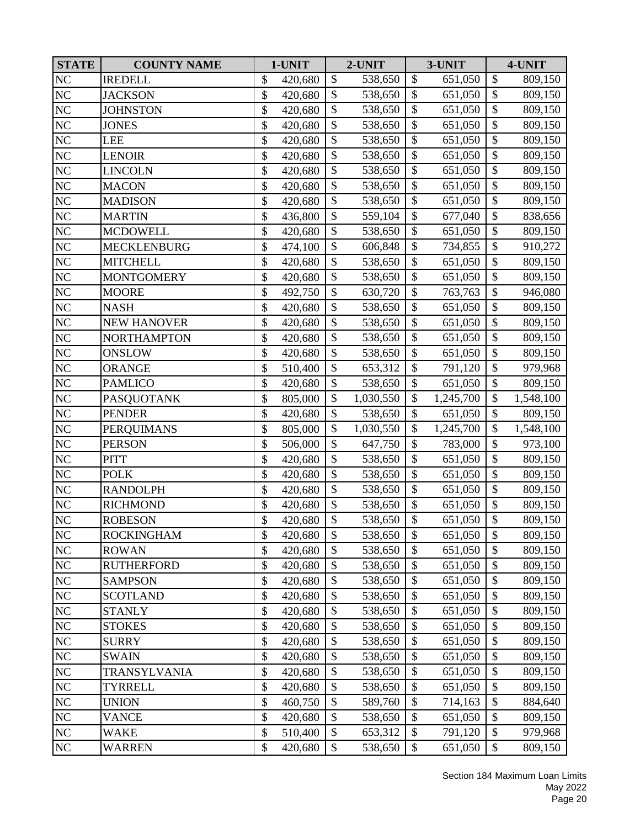| <b>STATE</b>    | <b>COUNTY NAME</b> | 1-UNIT        |                          | 2-UNIT    |                           | 3-UNIT    |                           | 4-UNIT    |
|-----------------|--------------------|---------------|--------------------------|-----------|---------------------------|-----------|---------------------------|-----------|
| NC              | <b>IREDELL</b>     | \$<br>420,680 | \$                       | 538,650   | \$                        | 651,050   | $\boldsymbol{\mathsf{S}}$ | 809,150   |
| NC              | <b>JACKSON</b>     | \$<br>420,680 | \$                       | 538,650   | \$                        | 651,050   | \$                        | 809,150   |
| $\rm NC$        | <b>JOHNSTON</b>    | \$<br>420,680 | \$                       | 538,650   | \$                        | 651,050   | \$                        | 809,150   |
| $\rm NC$        | <b>JONES</b>       | \$<br>420,680 | \$                       | 538,650   | $\boldsymbol{\mathsf{S}}$ | 651,050   | \$                        | 809,150   |
| NC              | <b>LEE</b>         | \$<br>420,680 | \$                       | 538,650   | \$                        | 651,050   | $\boldsymbol{\$}$         | 809,150   |
| NC              | <b>LENOIR</b>      | \$<br>420,680 | $\mathcal{S}$            | 538,650   | $\boldsymbol{\mathsf{S}}$ | 651,050   | \$                        | 809,150   |
| NC              | <b>LINCOLN</b>     | \$<br>420,680 | \$                       | 538,650   | \$                        | 651,050   | \$                        | 809,150   |
| NC              | <b>MACON</b>       | \$<br>420,680 | $\mathcal{S}$            | 538,650   | $\mathcal{S}$             | 651,050   | \$                        | 809,150   |
| $\rm NC$        | <b>MADISON</b>     | \$<br>420,680 | \$                       | 538,650   | $\boldsymbol{\mathsf{S}}$ | 651,050   | \$                        | 809,150   |
| $\rm NC$        | <b>MARTIN</b>      | \$<br>436,800 | \$                       | 559,104   | \$                        | 677,040   | \$                        | 838,656   |
| $N\overline{C}$ | <b>MCDOWELL</b>    | \$<br>420,680 | $\overline{\$}$          | 538,650   | $\boldsymbol{\mathsf{S}}$ | 651,050   | $\overline{\$}$           | 809,150   |
| $\rm NC$        | <b>MECKLENBURG</b> | \$<br>474,100 | \$                       | 606,848   | \$                        | 734,855   | $\boldsymbol{\$}$         | 910,272   |
| NC              | <b>MITCHELL</b>    | \$<br>420,680 | $\mathcal{S}$            | 538,650   | \$                        | 651,050   | \$                        | 809,150   |
| NC              | <b>MONTGOMERY</b>  | \$<br>420,680 | \$                       | 538,650   | $\mathcal{S}$             | 651,050   | $\overline{\$}$           | 809,150   |
| NC              | <b>MOORE</b>       | \$<br>492,750 | \$                       | 630,720   | \$                        | 763,763   | \$                        | 946,080   |
| $\rm NC$        | <b>NASH</b>        | \$<br>420,680 | \$                       | 538,650   | $\boldsymbol{\mathsf{S}}$ | 651,050   | \$                        | 809,150   |
| NC              | <b>NEW HANOVER</b> | \$<br>420,680 | \$                       | 538,650   | \$                        | 651,050   | \$                        | 809,150   |
| NC              | <b>NORTHAMPTON</b> | \$<br>420,680 | $\mathcal{S}$            | 538,650   | $\boldsymbol{\mathsf{S}}$ | 651,050   | $\boldsymbol{\$}$         | 809,150   |
| NC              | <b>ONSLOW</b>      | \$<br>420,680 | \$                       | 538,650   | \$                        | 651,050   | $\boldsymbol{\$}$         | 809,150   |
| NC              | <b>ORANGE</b>      | \$<br>510,400 | $\mathbb{S}$             | 653,312   | $\mathcal{S}$             | 791,120   | $\overline{\$}$           | 979,968   |
| <b>NC</b>       | <b>PAMLICO</b>     | \$<br>420,680 | \$                       | 538,650   | \$                        | 651,050   | \$                        | 809,150   |
| $\rm NC$        | <b>PASQUOTANK</b>  | \$<br>805,000 | \$                       | 1,030,550 | \$                        | 1,245,700 | \$                        | 1,548,100 |
| NC              | <b>PENDER</b>      | \$<br>420,680 | \$                       | 538,650   | $\boldsymbol{\mathsf{S}}$ | 651,050   | $\overline{\$}$           | 809,150   |
| NC              | <b>PERQUIMANS</b>  | \$<br>805,000 | \$                       | 1,030,550 | \$                        | 1,245,700 | $\boldsymbol{\$}$         | 1,548,100 |
| $\rm NC$        | <b>PERSON</b>      | \$<br>506,000 | $\mathcal{S}$            | 647,750   | \$                        | 783,000   | \$                        | 973,100   |
| NC              | <b>PITT</b>        | \$<br>420,680 | \$                       | 538,650   | \$                        | 651,050   | \$                        | 809,150   |
| NC              | <b>POLK</b>        | \$<br>420,680 | \$                       | 538,650   | \$                        | 651,050   | \$                        | 809,150   |
| $\rm NC$        | <b>RANDOLPH</b>    | \$<br>420,680 | \$                       | 538,650   | $\boldsymbol{\mathsf{S}}$ | 651,050   | $\overline{\$}$           | 809,150   |
| NC              | <b>RICHMOND</b>    | \$<br>420,680 | \$                       | 538,650   | \$                        | 651,050   | \$                        | 809,150   |
| N <sub>C</sub>  | <b>ROBESON</b>     | \$<br>420,680 | $\overline{\mathcal{S}}$ | 538,650   | $\mathcal{S}$             | 651,050   | $\overline{\$}$           | 809,150   |
| NC              | <b>ROCKINGHAM</b>  | \$<br>420,680 | \$                       | 538,650   | \$                        | 651,050   | \$                        | 809,150   |
| $\rm NC$        | <b>ROWAN</b>       | \$<br>420,680 | \$                       | 538,650   | \$                        | 651,050   | \$                        | 809,150   |
| NC              | <b>RUTHERFORD</b>  | \$<br>420,680 | \$                       | 538,650   | $\mathcal{S}$             | 651,050   | \$                        | 809,150   |
| NC              | <b>SAMPSON</b>     | \$<br>420,680 | \$                       | 538,650   | \$                        | 651,050   | \$                        | 809,150   |
| $\rm NC$        | <b>SCOTLAND</b>    | \$<br>420,680 | \$                       | 538,650   | \$                        | 651,050   | $\boldsymbol{\$}$         | 809,150   |
| NC              | <b>STANLY</b>      | \$<br>420,680 | \$                       | 538,650   | \$                        | 651,050   | \$                        | 809,150   |
| NC              | <b>STOKES</b>      | \$<br>420,680 | \$                       | 538,650   | \$                        | 651,050   | \$                        | 809,150   |
| $\rm NC$        | <b>SURRY</b>       | \$<br>420,680 | \$                       | 538,650   | \$                        | 651,050   | \$                        | 809,150   |
| NC              | <b>SWAIN</b>       | \$<br>420,680 | $\mathcal{S}$            | 538,650   | $\mathcal{S}$             | 651,050   | \$                        | 809,150   |
| NC              | TRANSYLVANIA       | \$<br>420,680 | \$                       | 538,650   | \$                        | 651,050   | \$                        | 809,150   |
| $\rm NC$        | <b>TYRRELL</b>     | \$<br>420,680 | \$                       | 538,650   | \$                        | 651,050   | \$                        | 809,150   |
| NC              | <b>UNION</b>       | \$<br>460,750 | \$                       | 589,760   | \$                        | 714,163   | \$                        | 884,640   |
| $\rm NC$        | <b>VANCE</b>       | \$<br>420,680 | \$                       | 538,650   | \$                        | 651,050   | \$                        | 809,150   |
| NC              | <b>WAKE</b>        | \$<br>510,400 | \$                       | 653,312   | \$                        | 791,120   | \$                        | 979,968   |
| NC              | <b>WARREN</b>      | \$<br>420,680 | \$                       | 538,650   | $\mathcal{S}$             | 651,050   | $\boldsymbol{\mathsf{S}}$ | 809,150   |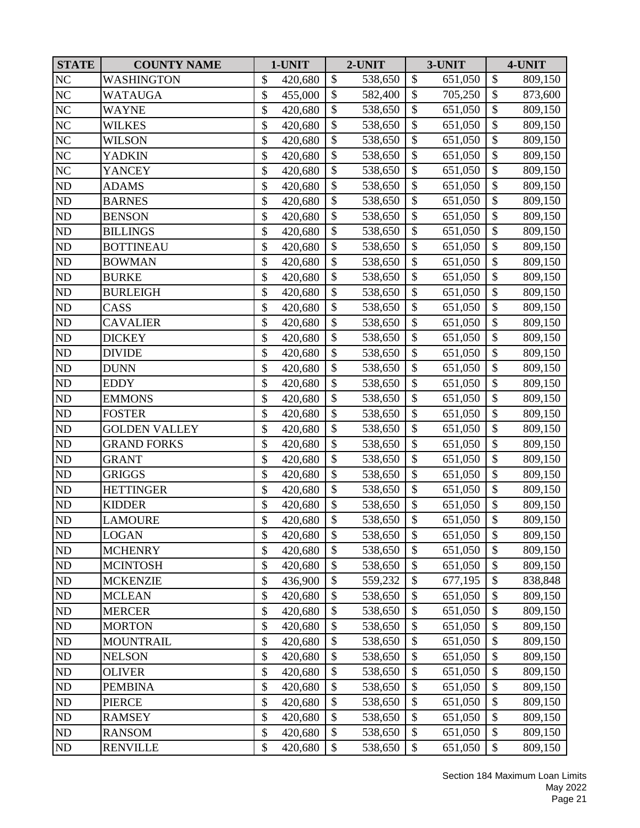| <b>STATE</b>   | <b>COUNTY NAME</b>   | 1-UNIT        |                           | 2-UNIT  |                           | 3-UNIT  |                           | 4-UNIT  |
|----------------|----------------------|---------------|---------------------------|---------|---------------------------|---------|---------------------------|---------|
| NC             | <b>WASHINGTON</b>    | \$<br>420,680 | \$                        | 538,650 | \$                        | 651,050 | \$                        | 809,150 |
| NC             | WATAUGA              | \$<br>455,000 | \$                        | 582,400 | \$                        | 705,250 | \$                        | 873,600 |
| $\rm NC$       | <b>WAYNE</b>         | \$<br>420,680 | \$                        | 538,650 | \$                        | 651,050 | $\mathcal{S}$             | 809,150 |
| $\rm NC$       | <b>WILKES</b>        | \$<br>420,680 | \$                        | 538,650 | \$                        | 651,050 | \$                        | 809,150 |
| $\rm NC$       | <b>WILSON</b>        | \$<br>420,680 | \$                        | 538,650 | \$                        | 651,050 | $\boldsymbol{\$}$         | 809,150 |
| NC             | <b>YADKIN</b>        | \$<br>420,680 | $\boldsymbol{\mathsf{S}}$ | 538,650 | \$                        | 651,050 | \$                        | 809,150 |
| NC             | <b>YANCEY</b>        | \$<br>420,680 | \$                        | 538,650 | \$                        | 651,050 | \$                        | 809,150 |
| ND             | <b>ADAMS</b>         | \$<br>420,680 | $\mathcal{S}$             | 538,650 | $\mathcal{S}$             | 651,050 | \$                        | 809,150 |
| ND             | <b>BARNES</b>        | \$<br>420,680 | \$                        | 538,650 | $\boldsymbol{\mathsf{S}}$ | 651,050 | \$                        | 809,150 |
| ND             | <b>BENSON</b>        | \$<br>420,680 | \$                        | 538,650 | \$                        | 651,050 | \$                        | 809,150 |
| ND             | <b>BILLINGS</b>      | \$<br>420,680 | $\overline{\$}$           | 538,650 | $\boldsymbol{\mathsf{S}}$ | 651,050 | $\overline{\$}$           | 809,150 |
| ND             | <b>BOTTINEAU</b>     | \$<br>420,680 | \$                        | 538,650 | \$                        | 651,050 | $\boldsymbol{\$}$         | 809,150 |
| ND             | <b>BOWMAN</b>        | \$<br>420,680 | $\mathcal{S}$             | 538,650 | \$                        | 651,050 | \$                        | 809,150 |
| ND             | <b>BURKE</b>         | \$<br>420,680 | \$                        | 538,650 | $\mathcal{S}$             | 651,050 | $\overline{\$}$           | 809,150 |
| ND             | <b>BURLEIGH</b>      | \$<br>420,680 | \$                        | 538,650 | \$                        | 651,050 | \$                        | 809,150 |
| ND             | CASS                 | \$<br>420,680 | \$                        | 538,650 | $\boldsymbol{\mathsf{S}}$ | 651,050 | \$                        | 809,150 |
| ND             | <b>CAVALIER</b>      | \$<br>420,680 | \$                        | 538,650 | \$                        | 651,050 | \$                        | 809,150 |
| $\rm ND$       | <b>DICKEY</b>        | \$<br>420,680 | $\boldsymbol{\mathsf{S}}$ | 538,650 | $\boldsymbol{\mathsf{S}}$ | 651,050 | \$                        | 809,150 |
| ND             | <b>DIVIDE</b>        | \$<br>420,680 | \$                        | 538,650 | \$                        | 651,050 | $\boldsymbol{\$}$         | 809,150 |
| N <sub>D</sub> | <b>DUNN</b>          | \$<br>420,680 | $\mathbb{S}$              | 538,650 | $\mathcal{S}$             | 651,050 | \$                        | 809,150 |
| ND             | <b>EDDY</b>          | \$<br>420,680 | \$                        | 538,650 | $\mathcal{S}$             | 651,050 | \$                        | 809,150 |
| ND             | <b>EMMONS</b>        | \$<br>420,680 | \$                        | 538,650 | \$                        | 651,050 | \$                        | 809,150 |
| $\rm ND$       | <b>FOSTER</b>        | \$<br>420,680 | \$                        | 538,650 | $\boldsymbol{\mathsf{S}}$ | 651,050 | \$                        | 809,150 |
| ND             | <b>GOLDEN VALLEY</b> | \$<br>420,680 | \$                        | 538,650 | \$                        | 651,050 | $\boldsymbol{\$}$         | 809,150 |
| ND             | <b>GRAND FORKS</b>   | \$<br>420,680 | $\mathcal{S}$             | 538,650 | $\boldsymbol{\mathsf{S}}$ | 651,050 | \$                        | 809,150 |
| ND             | <b>GRANT</b>         | \$<br>420,680 | \$                        | 538,650 | \$                        | 651,050 | \$                        | 809,150 |
| ND             | <b>GRIGGS</b>        | \$<br>420,680 | \$                        | 538,650 | \$                        | 651,050 | \$                        | 809,150 |
| $\rm ND$       | <b>HETTINGER</b>     | \$<br>420,680 | \$                        | 538,650 | $\boldsymbol{\mathsf{S}}$ | 651,050 | \$                        | 809,150 |
| ND             | <b>KIDDER</b>        | \$<br>420,680 | \$                        | 538,650 | \$                        | 651,050 | \$                        | 809,150 |
| ND             | <b>LAMOURE</b>       | \$<br>420,680 | $\mathbb{S}$              | 538,650 | $\mathcal{S}$             | 651,050 | $\overline{\$}$           | 809,150 |
| ND             | <b>LOGAN</b>         | \$<br>420,680 | \$                        | 538,650 | \$                        | 651,050 | \$                        | 809,150 |
| ND             | <b>MCHENRY</b>       | \$<br>420,680 | \$                        | 538,650 | \$                        | 651,050 | \$                        | 809,150 |
| $\rm ND$       | <b>MCINTOSH</b>      | \$<br>420,680 | \$                        | 538,650 | \$                        | 651,050 | \$                        | 809,150 |
| $\rm ND$       | <b>MCKENZIE</b>      | \$<br>436,900 | \$                        | 559,232 | \$                        | 677,195 | \$                        | 838,848 |
| $\rm ND$       | <b>MCLEAN</b>        | \$<br>420,680 | \$                        | 538,650 | \$                        | 651,050 | $\boldsymbol{\$}$         | 809,150 |
| ND             | <b>MERCER</b>        | \$<br>420,680 | \$                        | 538,650 | \$                        | 651,050 | \$                        | 809,150 |
| ND             | <b>MORTON</b>        | \$<br>420,680 | \$                        | 538,650 | \$                        | 651,050 | \$                        | 809,150 |
| ND             | <b>MOUNTRAIL</b>     | \$<br>420,680 | \$                        | 538,650 | \$                        | 651,050 | \$                        | 809,150 |
| ND             | <b>NELSON</b>        | \$<br>420,680 | $\mathcal{S}$             | 538,650 | \$                        | 651,050 | \$                        | 809,150 |
| ND             | <b>OLIVER</b>        | \$<br>420,680 | \$                        | 538,650 | \$                        | 651,050 | \$                        | 809,150 |
| $\rm ND$       | <b>PEMBINA</b>       | \$<br>420,680 | \$                        | 538,650 | \$                        | 651,050 | \$                        | 809,150 |
| ND             | <b>PIERCE</b>        | \$<br>420,680 | \$                        | 538,650 | \$                        | 651,050 | \$                        | 809,150 |
| ND             | <b>RAMSEY</b>        | \$<br>420,680 | \$                        | 538,650 | \$                        | 651,050 | \$                        | 809,150 |
| ND             | <b>RANSOM</b>        | \$<br>420,680 | \$                        | 538,650 | \$                        | 651,050 | \$                        | 809,150 |
| ND             | <b>RENVILLE</b>      | \$<br>420,680 | \$                        | 538,650 | \$                        | 651,050 | $\boldsymbol{\mathsf{S}}$ | 809,150 |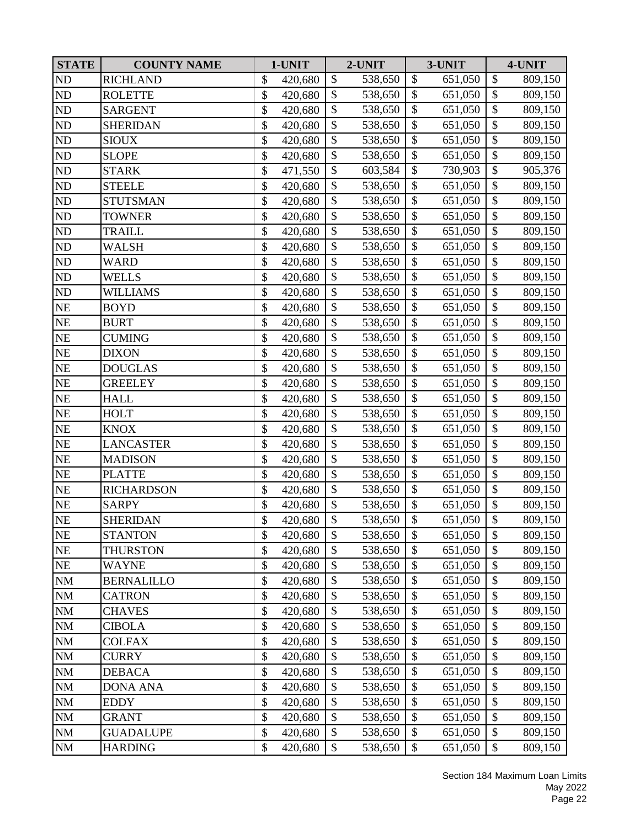| <b>STATE</b> | <b>COUNTY NAME</b> | 1-UNIT        |                           | 2-UNIT  |                           | 3-UNIT  |                   | 4-UNIT  |
|--------------|--------------------|---------------|---------------------------|---------|---------------------------|---------|-------------------|---------|
| ND           | <b>RICHLAND</b>    | \$<br>420,680 | $\mathcal{S}$             | 538,650 | \$                        | 651,050 | \$                | 809,150 |
| ND           | <b>ROLETTE</b>     | \$<br>420,680 | \$                        | 538,650 | \$                        | 651,050 | \$                | 809,150 |
| ND           | <b>SARGENT</b>     | \$<br>420,680 | \$                        | 538,650 | \$                        | 651,050 | $\mathcal{S}$     | 809,150 |
| $\rm ND$     | <b>SHERIDAN</b>    | \$<br>420,680 | \$                        | 538,650 | \$                        | 651,050 | \$                | 809,150 |
| ND           | <b>SIOUX</b>       | \$<br>420,680 | \$                        | 538,650 | \$                        | 651,050 | $\boldsymbol{\$}$ | 809,150 |
| ND           | <b>SLOPE</b>       | \$<br>420,680 | $\boldsymbol{\mathsf{S}}$ | 538,650 | \$                        | 651,050 | \$                | 809,150 |
| ND           | <b>STARK</b>       | \$<br>471,550 | \$                        | 603,584 | \$                        | 730,903 | \$                | 905,376 |
| ND           | <b>STEELE</b>      | \$<br>420,680 | $\mathcal{S}$             | 538,650 | $\mathcal{S}$             | 651,050 | \$                | 809,150 |
| ND           | <b>STUTSMAN</b>    | \$<br>420,680 | \$                        | 538,650 | $\boldsymbol{\mathsf{S}}$ | 651,050 | \$                | 809,150 |
| ND           | <b>TOWNER</b>      | \$<br>420,680 | \$                        | 538,650 | \$                        | 651,050 | $\mathcal{S}$     | 809,150 |
| ND           | <b>TRAILL</b>      | \$<br>420,680 | $\overline{\$}$           | 538,650 | $\boldsymbol{\mathsf{S}}$ | 651,050 | $\overline{\$}$   | 809,150 |
| ND           | WALSH              | \$<br>420,680 | \$                        | 538,650 | \$                        | 651,050 | $\boldsymbol{\$}$ | 809,150 |
| ND           | <b>WARD</b>        | \$<br>420,680 | $\mathcal{S}$             | 538,650 | $\mathcal{S}$             | 651,050 | \$                | 809,150 |
| ND           | <b>WELLS</b>       | \$<br>420,680 | \$                        | 538,650 | $\mathcal{S}$             | 651,050 | $\overline{\$}$   | 809,150 |
| ND           | <b>WILLIAMS</b>    | \$<br>420,680 | \$                        | 538,650 | \$                        | 651,050 | $\mathcal{S}$     | 809,150 |
| $\rm NE$     | <b>BOYD</b>        | \$<br>420,680 | \$                        | 538,650 | \$                        | 651,050 | \$                | 809,150 |
| NE           | <b>BURT</b>        | \$<br>420,680 | $\mathcal{S}$             | 538,650 | \$                        | 651,050 | \$                | 809,150 |
| $\rm NE$     | <b>CUMING</b>      | \$<br>420,680 | \$                        | 538,650 | $\boldsymbol{\mathsf{S}}$ | 651,050 | \$                | 809,150 |
| NE           | <b>DIXON</b>       | \$<br>420,680 | \$                        | 538,650 | \$                        | 651,050 | $\boldsymbol{\$}$ | 809,150 |
| NE           | <b>DOUGLAS</b>     | \$<br>420,680 | $\mathbb{S}$              | 538,650 | $\mathcal{S}$             | 651,050 | $\overline{\$}$   | 809,150 |
| $\rm NE$     | <b>GREELEY</b>     | \$<br>420,680 | \$                        | 538,650 | $\mathcal{S}$             | 651,050 | \$                | 809,150 |
| $\rm NE$     | <b>HALL</b>        | \$<br>420,680 | \$                        | 538,650 | \$                        | 651,050 | \$                | 809,150 |
| $\rm NE$     | <b>HOLT</b>        | \$<br>420,680 | \$                        | 538,650 | $\boldsymbol{\mathsf{S}}$ | 651,050 | \$                | 809,150 |
| NE           | <b>KNOX</b>        | \$<br>420,680 | \$                        | 538,650 | \$                        | 651,050 | $\boldsymbol{\$}$ | 809,150 |
| $\rm NE$     | <b>LANCASTER</b>   | \$<br>420,680 | \$                        | 538,650 | $\boldsymbol{\mathsf{S}}$ | 651,050 | \$                | 809,150 |
| NE           | <b>MADISON</b>     | \$<br>420,680 | \$                        | 538,650 | \$                        | 651,050 | \$                | 809,150 |
| $\rm NE$     | <b>PLATTE</b>      | \$<br>420,680 | $\mathcal{S}$             | 538,650 | \$                        | 651,050 | \$                | 809,150 |
| $\rm NE$     | <b>RICHARDSON</b>  | \$<br>420,680 | \$                        | 538,650 | $\boldsymbol{\mathsf{S}}$ | 651,050 | $\overline{\$}$   | 809,150 |
| NE           | <b>SARPY</b>       | \$<br>420,680 | \$                        | 538,650 | \$                        | 651,050 | \$                | 809,150 |
| <b>NE</b>    | <b>SHERIDAN</b>    | \$<br>420,680 | $\mathbb{S}$              | 538,650 | $\mathcal{S}$             | 651,050 | $\overline{\$}$   | 809,150 |
| $\rm NE$     | <b>STANTON</b>     | \$<br>420,680 | \$                        | 538,650 | \$                        | 651,050 | \$                | 809,150 |
| NE           | <b>THURSTON</b>    | \$<br>420,680 | \$                        | 538,650 | \$                        | 651,050 | \$                | 809,150 |
| $\rm NE$     | <b>WAYNE</b>       | \$<br>420,680 | \$                        | 538,650 | \$                        | 651,050 | \$                | 809,150 |
| $\rm NM$     | <b>BERNALILLO</b>  | \$<br>420,680 | \$                        | 538,650 | \$                        | 651,050 | \$                | 809,150 |
| <b>NM</b>    | <b>CATRON</b>      | \$<br>420,680 | \$                        | 538,650 | \$                        | 651,050 | \$                | 809,150 |
| <b>NM</b>    | <b>CHAVES</b>      | \$<br>420,680 | \$                        | 538,650 | \$                        | 651,050 | \$                | 809,150 |
| $\rm{NM}$    | <b>CIBOLA</b>      | \$<br>420,680 | \$                        | 538,650 | \$                        | 651,050 | \$                | 809,150 |
| NM           | <b>COLFAX</b>      | \$<br>420,680 | \$                        | 538,650 | \$                        | 651,050 | \$                | 809,150 |
| NM           | <b>CURRY</b>       | \$<br>420,680 | $\mathcal{S}$             | 538,650 | $\mathcal{S}$             | 651,050 | \$                | 809,150 |
| <b>NM</b>    | <b>DEBACA</b>      | \$<br>420,680 | \$                        | 538,650 | \$                        | 651,050 | \$                | 809,150 |
| NM           | <b>DONA ANA</b>    | \$<br>420,680 | \$                        | 538,650 | \$                        | 651,050 | \$                | 809,150 |
| $\rm{NM}$    | <b>EDDY</b>        | \$<br>420,680 | \$                        | 538,650 | \$                        | 651,050 | \$                | 809,150 |
| NM           | <b>GRANT</b>       | \$<br>420,680 | \$                        | 538,650 | \$                        | 651,050 | \$                | 809,150 |
| $\rm NM$     | <b>GUADALUPE</b>   | \$<br>420,680 | \$                        | 538,650 | \$                        | 651,050 | \$                | 809,150 |
| $\rm NM$     | <b>HARDING</b>     | \$<br>420,680 | \$                        | 538,650 | \$                        | 651,050 | \$                | 809,150 |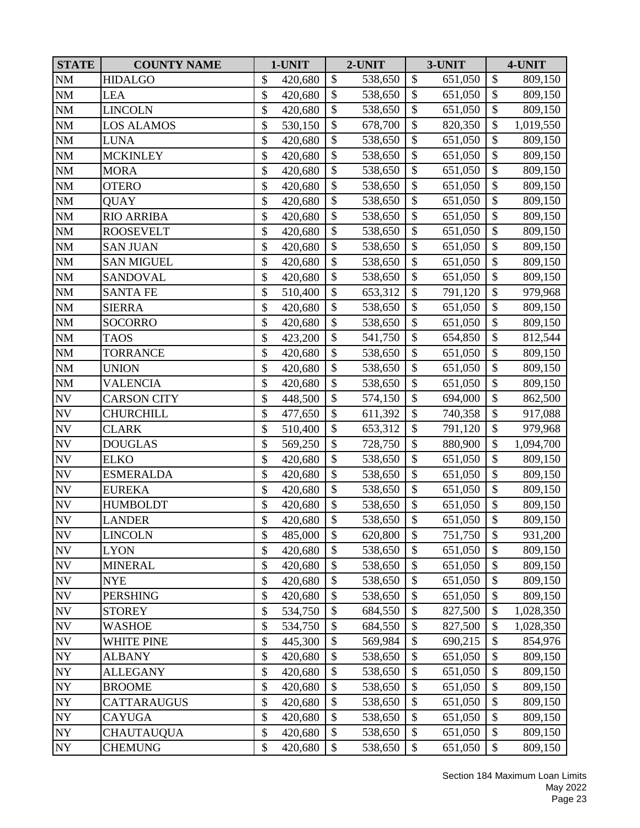| <b>STATE</b>             | <b>COUNTY NAME</b> | 1-UNIT        |                           | 2-UNIT  |                           | 3-UNIT  |                           | 4-UNIT    |
|--------------------------|--------------------|---------------|---------------------------|---------|---------------------------|---------|---------------------------|-----------|
| <b>NM</b>                | <b>HIDALGO</b>     | \$<br>420,680 | \$                        | 538,650 | $\boldsymbol{\mathsf{S}}$ | 651,050 | \$                        | 809,150   |
| $\rm{NM}$                | <b>LEA</b>         | \$<br>420,680 | $\mathbb{S}$              | 538,650 | $\mathcal{S}$             | 651,050 | \$                        | 809,150   |
| $\rm{NM}$                | <b>LINCOLN</b>     | \$<br>420,680 | \$                        | 538,650 | \$                        | 651,050 | \$                        | 809,150   |
| $\rm{NM}$                | LOS ALAMOS         | \$<br>530,150 | $\overline{\$}$           | 678,700 | \$                        | 820,350 | \$                        | 1,019,550 |
| NM                       | LUNA               | \$<br>420,680 | $\mathcal{S}$             | 538,650 | \$                        | 651,050 | $\mathcal{S}$             | 809,150   |
| <b>NM</b>                | <b>MCKINLEY</b>    | \$<br>420,680 | \$                        | 538,650 | $\mathcal{S}$             | 651,050 | \$                        | 809,150   |
| $\mathbf{NM}$            | <b>MORA</b>        | \$<br>420,680 | $\mathcal{S}$             | 538,650 | $\mathcal{S}$             | 651,050 | \$                        | 809,150   |
| $\rm{NM}$                | <b>OTERO</b>       | \$<br>420,680 | $\mathcal{S}$             | 538,650 | $\mathcal{S}$             | 651,050 | \$                        | 809,150   |
| $\mathbf{NM}$            | QUAY               | \$<br>420,680 | \$                        | 538,650 | $\mathcal{S}$             | 651,050 | \$                        | 809,150   |
| $\rm{NM}$                | <b>RIO ARRIBA</b>  | \$<br>420,680 | $\boldsymbol{\mathsf{S}}$ | 538,650 | $\mathcal{S}$             | 651,050 | \$                        | 809,150   |
| <b>NM</b>                | <b>ROOSEVELT</b>   | \$<br>420,680 | \$                        | 538,650 | \$                        | 651,050 | \$                        | 809,150   |
| $\rm{NM}$                | <b>SAN JUAN</b>    | \$<br>420,680 | $\mathcal{S}$             | 538,650 | $\mathcal{S}$             | 651,050 | \$                        | 809,150   |
| $\mathbf{NM}$            | <b>SAN MIGUEL</b>  | \$<br>420,680 | \$                        | 538,650 | $\mathcal{S}$             | 651,050 | $\boldsymbol{\$}$         | 809,150   |
| $\rm{NM}$                | <b>SANDOVAL</b>    | \$<br>420,680 | \$                        | 538,650 | \$                        | 651,050 | \$                        | 809,150   |
| $\mathbf{NM}$            | <b>SANTA FE</b>    | \$<br>510,400 | $\mathcal{S}$             | 653,312 | $\mathcal{S}$             | 791,120 | \$                        | 979,968   |
| $\rm{NM}$                | <b>SIERRA</b>      | \$<br>420,680 | \$                        | 538,650 | $\boldsymbol{\mathsf{S}}$ | 651,050 | \$                        | 809,150   |
| $\rm{NM}$                | <b>SOCORRO</b>     | \$<br>420,680 | \$                        | 538,650 | \$                        | 651,050 | $\mathcal{S}$             | 809,150   |
| $\rm{NM}$                | <b>TAOS</b>        | \$<br>423,200 | \$                        | 541,750 | $\mathcal{S}$             | 654,850 | $\overline{\$}$           | 812,544   |
| $\rm{NM}$                | <b>TORRANCE</b>    | \$<br>420,680 | \$                        | 538,650 | $\mathcal{S}$             | 651,050 | \$                        | 809,150   |
| <b>NM</b>                | <b>UNION</b>       | \$<br>420,680 | $\mathcal{S}$             | 538,650 | $\mathcal{S}$             | 651,050 | \$                        | 809,150   |
| <b>NM</b>                | <b>VALENCIA</b>    | \$<br>420,680 | $\mathbb{S}$              | 538,650 | $\mathcal{S}$             | 651,050 | $\overline{\$}$           | 809,150   |
| $\ensuremath{\text{NV}}$ | <b>CARSON CITY</b> | \$<br>448,500 | $\boldsymbol{\mathsf{S}}$ | 574,150 | $\mathcal{S}$             | 694,000 | \$                        | 862,500   |
| $\ensuremath{\text{NV}}$ | CHURCHILL          | \$<br>477,650 | \$                        | 611,392 | $\boldsymbol{\mathsf{S}}$ | 740,358 | \$                        | 917,088   |
| $\ensuremath{\text{NV}}$ | <b>CLARK</b>       | \$<br>510,400 | $\mathcal{S}$             | 653,312 | \$                        | 791,120 | $\mathcal{S}$             | 979,968   |
| <b>NV</b>                | <b>DOUGLAS</b>     | \$<br>569,250 | \$                        | 728,750 | $\mathcal{S}$             | 880,900 | \$                        | 1,094,700 |
| <b>NV</b>                | <b>ELKO</b>        | \$<br>420,680 | \$                        | 538,650 | $\mathcal{S}$             | 651,050 | \$                        | 809,150   |
| <b>NV</b>                | <b>ESMERALDA</b>   | \$<br>420,680 | $\mathbb{S}$              | 538,650 | $\mathcal{S}$             | 651,050 | \$                        | 809,150   |
| <b>NV</b>                | <b>EUREKA</b>      | \$<br>420,680 | $\mathcal{S}$             | 538,650 | $\mathcal{S}$             | 651,050 | $\overline{\$}$           | 809,150   |
| ${\rm NV}$               | <b>HUMBOLDT</b>    | \$<br>420,680 | $\mathcal{S}$             | 538,650 | $\mathcal{S}$             | 651,050 | \$                        | 809,150   |
| <b>NV</b>                | <b>LANDER</b>      | \$<br>420,680 | $\mathcal{S}$             | 538,650 | $\mathcal{S}$             | 651,050 | $\mathsf{\$}$             | 809,150   |
| $\ensuremath{\text{NV}}$ | <b>LINCOLN</b>     | \$<br>485,000 | $\$\$                     | 620,800 | \$                        | 751,750 | \$                        | 931,200   |
| $\ensuremath{\text{NV}}$ | <b>LYON</b>        | \$<br>420,680 | \$                        | 538,650 | \$                        | 651,050 | \$                        | 809,150   |
| $\ensuremath{\text{NV}}$ | <b>MINERAL</b>     | \$<br>420,680 | $\mathcal{S}$             | 538,650 | \$                        | 651,050 | \$                        | 809,150   |
| $\ensuremath{\text{NV}}$ | <b>NYE</b>         | \$<br>420,680 | \$                        | 538,650 | \$                        | 651,050 | \$                        | 809,150   |
| $\ensuremath{\text{NV}}$ | <b>PERSHING</b>    | \$<br>420,680 | \$                        | 538,650 | \$                        | 651,050 | \$                        | 809,150   |
| $\ensuremath{\text{NV}}$ | <b>STOREY</b>      | \$<br>534,750 | \$                        | 684,550 | \$                        | 827,500 | \$                        | 1,028,350 |
| <b>NV</b>                | WASHOE             | \$<br>534,750 | $\boldsymbol{\mathsf{S}}$ | 684,550 | $\mathcal{S}$             | 827,500 | \$                        | 1,028,350 |
| $\ensuremath{\text{NV}}$ | WHITE PINE         | \$<br>445,300 | \$                        | 569,984 | \$                        | 690,215 | \$                        | 854,976   |
| ${\rm NY}$               | <b>ALBANY</b>      | \$<br>420,680 | $\mathcal{S}$             | 538,650 | \$                        | 651,050 | \$                        | 809,150   |
| ${\rm NY}$               | <b>ALLEGANY</b>    | \$<br>420,680 | $\boldsymbol{\mathsf{S}}$ | 538,650 | \$                        | 651,050 | \$                        | 809,150   |
| $\ensuremath{\text{NY}}$ | <b>BROOME</b>      | \$<br>420,680 | \$                        | 538,650 | $\mathcal{S}$             | 651,050 | \$                        | 809,150   |
| ${\rm NY}$               | CATTARAUGUS        | \$<br>420,680 | \$                        | 538,650 | $\boldsymbol{\mathsf{S}}$ | 651,050 | $\boldsymbol{\$}$         | 809,150   |
| <b>NY</b>                | <b>CAYUGA</b>      | \$<br>420,680 | \$                        | 538,650 | \$                        | 651,050 | \$                        | 809,150   |
| NY                       | <b>CHAUTAUQUA</b>  | \$<br>420,680 | \$                        | 538,650 | $\mathcal{S}$             | 651,050 | $\boldsymbol{\$}$         | 809,150   |
| NY                       | CHEMUNG            | \$<br>420,680 | \$                        | 538,650 | \$                        | 651,050 | $\boldsymbol{\mathsf{S}}$ | 809,150   |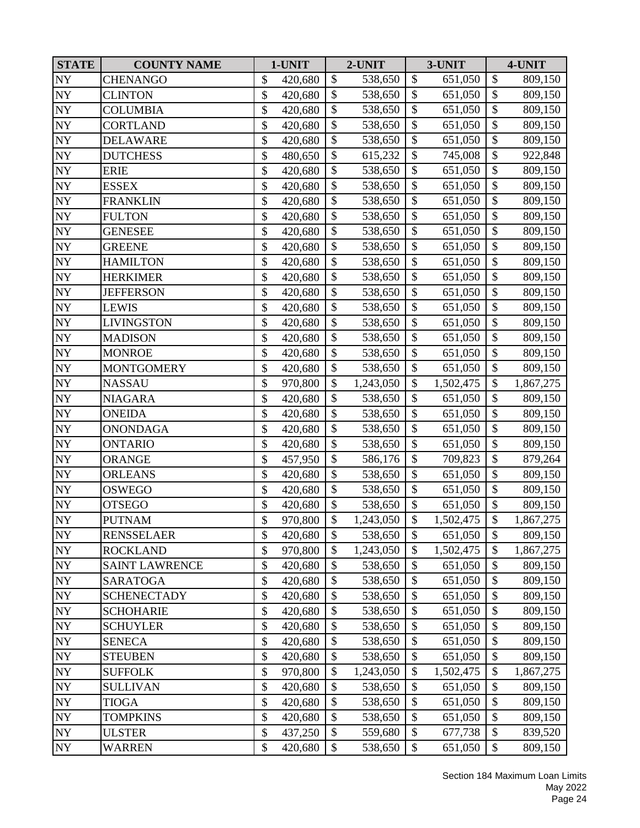| <b>STATE</b>               | <b>COUNTY NAME</b>    | 1-UNIT        |                           | 2-UNIT    |                           | 3-UNIT    |                           | 4-UNIT    |
|----------------------------|-----------------------|---------------|---------------------------|-----------|---------------------------|-----------|---------------------------|-----------|
| NY                         | <b>CHENANGO</b>       | \$<br>420,680 | \$                        | 538,650   | $\boldsymbol{\mathsf{S}}$ | 651,050   | $\boldsymbol{\$}$         | 809,150   |
| <b>NY</b>                  | <b>CLINTON</b>        | \$<br>420,680 | $\mathbb{S}$              | 538,650   | $\mathcal{S}$             | 651,050   | $\boldsymbol{\mathsf{S}}$ | 809,150   |
| <b>NY</b>                  | <b>COLUMBIA</b>       | \$<br>420,680 | $\mathcal{S}$             | 538,650   | \$                        | 651,050   | \$                        | 809,150   |
| $\ensuremath{\text{NY}}$   | <b>CORTLAND</b>       | \$<br>420,680 | \$                        | 538,650   | \$                        | 651,050   | \$                        | 809,150   |
| ${\rm NY}$                 | <b>DELAWARE</b>       | \$<br>420,680 | \$                        | 538,650   | $\mathcal{S}$             | 651,050   | \$                        | 809,150   |
| $\boldsymbol{\mathrm{NY}}$ | <b>DUTCHESS</b>       | \$<br>480,650 | \$                        | 615,232   | \$                        | 745,008   | $\boldsymbol{\$}$         | 922,848   |
| <b>NY</b>                  | <b>ERIE</b>           | \$<br>420,680 | $\mathcal{S}$             | 538,650   | $\mathcal{S}$             | 651,050   | $\boldsymbol{\$}$         | 809,150   |
| NY                         | <b>ESSEX</b>          | \$<br>420,680 | $\mathcal{S}$             | 538,650   | $\mathcal{S}$             | 651,050   | \$                        | 809,150   |
| $\bold{NY}$                | <b>FRANKLIN</b>       | \$<br>420,680 | \$                        | 538,650   | $\boldsymbol{\mathsf{S}}$ | 651,050   | $\overline{\$}$           | 809,150   |
| <b>NY</b>                  | <b>FULTON</b>         | \$<br>420,680 | $\mathcal{S}$             | 538,650   | $\mathcal{S}$             | 651,050   | \$                        | 809,150   |
| <b>NY</b>                  | <b>GENESEE</b>        | \$<br>420,680 | \$                        | 538,650   | $\boldsymbol{\mathsf{S}}$ | 651,050   | \$                        | 809,150   |
| <b>NY</b>                  | <b>GREENE</b>         | \$<br>420,680 | \$                        | 538,650   | $\boldsymbol{\mathsf{S}}$ | 651,050   | $\boldsymbol{\$}$         | 809,150   |
| $\ensuremath{\text{NY}}$   | <b>HAMILTON</b>       | \$<br>420,680 | \$                        | 538,650   | $\boldsymbol{\mathsf{S}}$ | 651,050   | \$                        | 809,150   |
| <b>NY</b>                  | <b>HERKIMER</b>       | \$<br>420,680 | \$                        | 538,650   | \$                        | 651,050   | \$                        | 809,150   |
| <b>NY</b>                  | <b>JEFFERSON</b>      | \$<br>420,680 | \$                        | 538,650   | $\mathcal{S}$             | 651,050   | \$                        | 809,150   |
| <b>NY</b>                  | <b>LEWIS</b>          | \$<br>420,680 | \$                        | 538,650   | $\boldsymbol{\mathsf{S}}$ | 651,050   | \$                        | 809,150   |
| ${\rm NY}$                 | <b>LIVINGSTON</b>     | \$<br>420,680 | \$                        | 538,650   | \$                        | 651,050   | $\mathcal{S}$             | 809,150   |
| NY <sub></sub>             | <b>MADISON</b>        | \$<br>420,680 | \$                        | 538,650   | $\boldsymbol{\mathsf{S}}$ | 651,050   | $\overline{\$}$           | 809,150   |
| <b>NY</b>                  | <b>MONROE</b>         | \$<br>420,680 | \$                        | 538,650   | $\boldsymbol{\mathsf{S}}$ | 651,050   | \$                        | 809,150   |
| <b>NY</b>                  | <b>MONTGOMERY</b>     | \$<br>420,680 | $\boldsymbol{\mathsf{S}}$ | 538,650   | $\mathcal{S}$             | 651,050   | \$                        | 809,150   |
| <b>NY</b>                  | <b>NASSAU</b>         | \$<br>970,800 | $\mathcal{S}$             | 1,243,050 | $\mathcal{S}$             | 1,502,475 | \$                        | 1,867,275 |
| <b>NY</b>                  | <b>NIAGARA</b>        | \$<br>420,680 | $\boldsymbol{\mathsf{S}}$ | 538,650   | \$                        | 651,050   | \$                        | 809,150   |
| $\ensuremath{\text{NY}}$   | <b>ONEIDA</b>         | \$<br>420,680 | \$                        | 538,650   | $\boldsymbol{\mathsf{S}}$ | 651,050   | \$                        | 809,150   |
| ${\rm NY}$                 | <b>ONONDAGA</b>       | \$<br>420,680 | $\boldsymbol{\mathsf{S}}$ | 538,650   | $\mathcal{S}$             | 651,050   | \$                        | 809,150   |
| $\boldsymbol{\mathrm{NY}}$ | <b>ONTARIO</b>        | \$<br>420,680 | \$                        | 538,650   | $\boldsymbol{\mathsf{S}}$ | 651,050   | \$                        | 809,150   |
| ${\rm NY}$                 | <b>ORANGE</b>         | \$<br>457,950 | $\mathcal{S}$             | 586,176   | $\mathcal{S}$             | 709,823   | \$                        | 879,264   |
| <b>NY</b>                  | <b>ORLEANS</b>        | \$<br>420,680 | $\mathbb{S}$              | 538,650   | $\mathcal{S}$             | 651,050   | \$                        | 809,150   |
| <b>NY</b>                  | OSWEGO                | \$<br>420,680 | \$                        | 538,650   | $\boldsymbol{\mathsf{S}}$ | 651,050   | $\overline{\$}$           | 809,150   |
| <b>NY</b>                  | <b>OTSEGO</b>         | \$<br>420,680 | $\mathcal{S}$             | 538,650   | $\boldsymbol{\mathsf{S}}$ | 651,050   | \$                        | 809,150   |
| <b>NY</b>                  | <b>PUTNAM</b>         | \$<br>970,800 | $\boldsymbol{\mathsf{S}}$ | 1,243,050 | $\mathcal{S}$             | 1,502,475 | $\overline{\$}$           | 1,867,275 |
| <b>NY</b>                  | <b>RENSSELAER</b>     | \$<br>420,680 | $\$\$                     | 538,650   | \$                        | 651,050   | \$                        | 809,150   |
| $\ensuremath{\text{NY}}$   | <b>ROCKLAND</b>       | \$<br>970,800 | \$                        | 1,243,050 | \$                        | 1,502,475 | \$                        | 1,867,275 |
| ${\rm NY}$                 | <b>SAINT LAWRENCE</b> | \$<br>420,680 | $\mathcal{S}$             | 538,650   | \$                        | 651,050   | \$                        | 809,150   |
| $\ensuremath{\text{NY}}$   | <b>SARATOGA</b>       | \$<br>420,680 | $\mathcal{S}$             | 538,650   | \$                        | 651,050   | \$                        | 809,150   |
| ${\rm NY}$                 | <b>SCHENECTADY</b>    | \$<br>420,680 | \$                        | 538,650   | \$                        | 651,050   | \$                        | 809,150   |
| NY                         | <b>SCHOHARIE</b>      | \$<br>420,680 | \$                        | 538,650   | \$                        | 651,050   | \$                        | 809,150   |
| $\bold{NY}$                | <b>SCHUYLER</b>       | \$<br>420,680 | \$                        | 538,650   | $\mathcal{S}$             | 651,050   | \$                        | 809,150   |
| ${\rm NY}$                 | <b>SENECA</b>         | \$<br>420,680 | \$                        | 538,650   | \$                        | 651,050   | \$                        | 809,150   |
| ${\rm NY}$                 | <b>STEUBEN</b>        | \$<br>420,680 | $\mathcal{S}$             | 538,650   | \$                        | 651,050   | \$                        | 809,150   |
| ${\rm NY}$                 | <b>SUFFOLK</b>        | \$<br>970,800 | \$                        | 1,243,050 | \$                        | 1,502,475 | \$                        | 1,867,275 |
| $\ensuremath{\text{NY}}$   | <b>SULLIVAN</b>       | \$<br>420,680 | \$                        | 538,650   | $\mathcal{S}$             | 651,050   | \$                        | 809,150   |
| ${\rm NY}$                 | TIOGA                 | \$<br>420,680 | \$                        | 538,650   | $\boldsymbol{\mathsf{S}}$ | 651,050   | $\boldsymbol{\$}$         | 809,150   |
| NY                         | <b>TOMPKINS</b>       | \$<br>420,680 | \$                        | 538,650   | \$                        | 651,050   | \$                        | 809,150   |
| <b>NY</b>                  | <b>ULSTER</b>         | \$<br>437,250 | $\mathcal{S}$             | 559,680   | \$                        | 677,738   | $\boldsymbol{\$}$         | 839,520   |
| <b>NY</b>                  | WARREN                | \$<br>420,680 | $\mathcal{S}$             | 538,650   | \$                        | 651,050   | $\boldsymbol{\mathsf{S}}$ | 809,150   |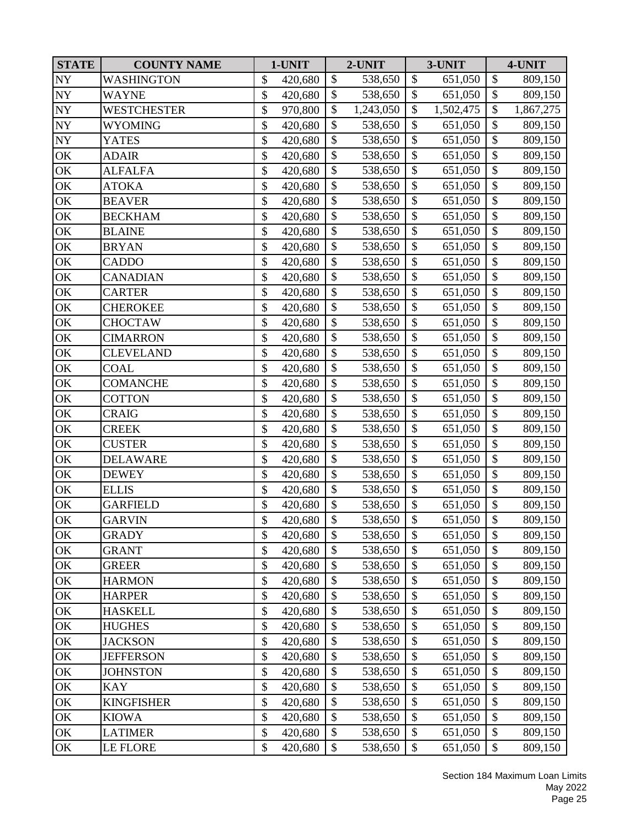| <b>STATE</b>             | <b>COUNTY NAME</b> | 1-UNIT        |                          | 2-UNIT    | 3-UNIT                    |           | 4-UNIT            |           |
|--------------------------|--------------------|---------------|--------------------------|-----------|---------------------------|-----------|-------------------|-----------|
| <b>NY</b>                | <b>WASHINGTON</b>  | \$<br>420,680 | $\mathcal{S}$            | 538,650   | \$                        | 651,050   | \$                | 809,150   |
| $\bold{NY}$              | <b>WAYNE</b>       | \$<br>420,680 | \$                       | 538,650   | \$                        | 651,050   | \$                | 809,150   |
| $\ensuremath{\text{NY}}$ | <b>WESTCHESTER</b> | \$<br>970,800 | $\mathcal{S}$            | 1,243,050 | \$                        | 1,502,475 | \$                | 1,867,275 |
| ${\rm NY}$               | <b>WYOMING</b>     | \$<br>420,680 | \$                       | 538,650   | \$                        | 651,050   | $\overline{\$}$   | 809,150   |
| ${\rm NY}$               | <b>YATES</b>       | \$<br>420,680 | \$                       | 538,650   | \$                        | 651,050   | $\boldsymbol{\$}$ | 809,150   |
| OK                       | <b>ADAIR</b>       | \$<br>420,680 | $\mathcal{S}$            | 538,650   | $\boldsymbol{\mathsf{S}}$ | 651,050   | \$                | 809,150   |
| OK                       | <b>ALFALFA</b>     | \$<br>420,680 | \$                       | 538,650   | \$                        | 651,050   | \$                | 809,150   |
| OK                       | <b>ATOKA</b>       | \$<br>420,680 | $\mathbb{S}$             | 538,650   | $\mathcal{S}$             | 651,050   | \$                | 809,150   |
| OK                       | <b>BEAVER</b>      | \$<br>420,680 | \$                       | 538,650   | $\boldsymbol{\mathsf{S}}$ | 651,050   | \$                | 809,150   |
| OK                       | <b>BECKHAM</b>     | \$<br>420,680 | \$                       | 538,650   | \$                        | 651,050   | \$                | 809,150   |
| OK                       | <b>BLAINE</b>      | \$<br>420,680 | $\overline{\$}$          | 538,650   | $\mathcal{S}$             | 651,050   | $\overline{\$}$   | 809,150   |
| OK                       | <b>BRYAN</b>       | \$<br>420,680 | \$                       | 538,650   | \$                        | 651,050   | \$                | 809,150   |
| $\mathrm{OK}$            | <b>CADDO</b>       | \$<br>420,680 | $\mathcal{S}$            | 538,650   | \$                        | 651,050   | \$                | 809,150   |
| OK                       | <b>CANADIAN</b>    | \$<br>420,680 | $\mathbb{S}$             | 538,650   | $\mathcal{S}$             | 651,050   | $\overline{\$}$   | 809,150   |
| OK                       | <b>CARTER</b>      | \$<br>420,680 | \$                       | 538,650   | \$                        | 651,050   | $\mathcal{S}$     | 809,150   |
| OK                       | <b>CHEROKEE</b>    | \$<br>420,680 | \$                       | 538,650   | $\boldsymbol{\mathsf{S}}$ | 651,050   | \$                | 809,150   |
| OK                       | <b>CHOCTAW</b>     | \$<br>420,680 | $\mathcal{S}$            | 538,650   | \$                        | 651,050   | \$                | 809,150   |
| $\mathbf{OK}$            | <b>CIMARRON</b>    | \$<br>420,680 | \$                       | 538,650   | $\mathcal{S}$             | 651,050   | \$                | 809,150   |
| OK                       | <b>CLEVELAND</b>   | \$<br>420,680 | \$                       | 538,650   | \$                        | 651,050   | $\boldsymbol{\$}$ | 809,150   |
| OK                       | <b>COAL</b>        | \$<br>420,680 | $\mathbb{S}$             | 538,650   | $\mathcal{S}$             | 651,050   | \$                | 809,150   |
| OK                       | <b>COMANCHE</b>    | \$<br>420,680 | \$                       | 538,650   | \$                        | 651,050   | \$                | 809,150   |
| OK                       | <b>COTTON</b>      | \$<br>420,680 | \$                       | 538,650   | \$                        | 651,050   | \$                | 809,150   |
| OK                       | <b>CRAIG</b>       | \$<br>420,680 | \$                       | 538,650   | $\boldsymbol{\mathsf{S}}$ | 651,050   | \$                | 809,150   |
| OK                       | <b>CREEK</b>       | \$<br>420,680 | \$                       | 538,650   | \$                        | 651,050   | $\boldsymbol{\$}$ | 809,150   |
| $\mathrm{OK}$            | <b>CUSTER</b>      | \$<br>420,680 | $\mathcal{S}$            | 538,650   | $\mathcal{S}$             | 651,050   | \$                | 809,150   |
| OK                       | <b>DELAWARE</b>    | \$<br>420,680 | \$                       | 538,650   | \$                        | 651,050   | \$                | 809,150   |
| OK                       | <b>DEWEY</b>       | \$<br>420,680 | \$                       | 538,650   | \$                        | 651,050   | \$                | 809,150   |
| OK                       | <b>ELLIS</b>       | \$<br>420,680 | \$                       | 538,650   | $\boldsymbol{\mathsf{S}}$ | 651,050   | $\overline{\$}$   | 809,150   |
| OK                       | <b>GARFIELD</b>    | \$<br>420,680 | \$                       | 538,650   | \$                        | 651,050   | $\mathcal{S}$     | 809,150   |
| OK                       | <b>GARVIN</b>      | \$<br>420,680 | $\overline{\mathcal{S}}$ | 538,650   | $\mathcal{S}$             | 651,050   | $\overline{\$}$   | 809,150   |
| OK                       | <b>GRADY</b>       | \$<br>420,680 | \$                       | 538,650   | \$                        | 651,050   | \$                | 809,150   |
| OK                       | <b>GRANT</b>       | \$<br>420,680 | \$                       | 538,650   | \$                        | 651,050   | \$                | 809,150   |
| OK                       | <b>GREER</b>       | \$<br>420,680 | \$                       | 538,650   | \$                        | 651,050   | \$                | 809,150   |
| OK                       | <b>HARMON</b>      | \$<br>420,680 | \$                       | 538,650   | \$                        | 651,050   | \$                | 809,150   |
| OK                       | <b>HARPER</b>      | \$<br>420,680 | \$                       | 538,650   | \$                        | 651,050   | $\boldsymbol{\$}$ | 809,150   |
| OK                       | <b>HASKELL</b>     | \$<br>420,680 | \$                       | 538,650   | \$                        | 651,050   | \$                | 809,150   |
| OK                       | <b>HUGHES</b>      | \$<br>420,680 | \$                       | 538,650   | \$                        | 651,050   | \$                | 809,150   |
| OK                       | <b>JACKSON</b>     | \$<br>420,680 | \$                       | 538,650   | \$                        | 651,050   | \$                | 809,150   |
| OK                       | <b>JEFFERSON</b>   | \$<br>420,680 | $\mathcal{S}$            | 538,650   | $\mathcal{S}$             | 651,050   | \$                | 809,150   |
| OK                       | <b>JOHNSTON</b>    | \$<br>420,680 | \$                       | 538,650   | \$                        | 651,050   | \$                | 809,150   |
| OK                       | <b>KAY</b>         | \$<br>420,680 | \$                       | 538,650   | \$                        | 651,050   | \$                | 809,150   |
| OK                       | <b>KINGFISHER</b>  | \$<br>420,680 | \$                       | 538,650   | \$                        | 651,050   | \$                | 809,150   |
| OK                       | <b>KIOWA</b>       | \$<br>420,680 | \$                       | 538,650   | \$                        | 651,050   | \$                | 809,150   |
| OK                       | <b>LATIMER</b>     | \$<br>420,680 | \$                       | 538,650   | \$                        | 651,050   | \$                | 809,150   |
| OK                       | <b>LE FLORE</b>    | \$<br>420,680 | \$                       | 538,650   | \$                        | 651,050   | \$                | 809,150   |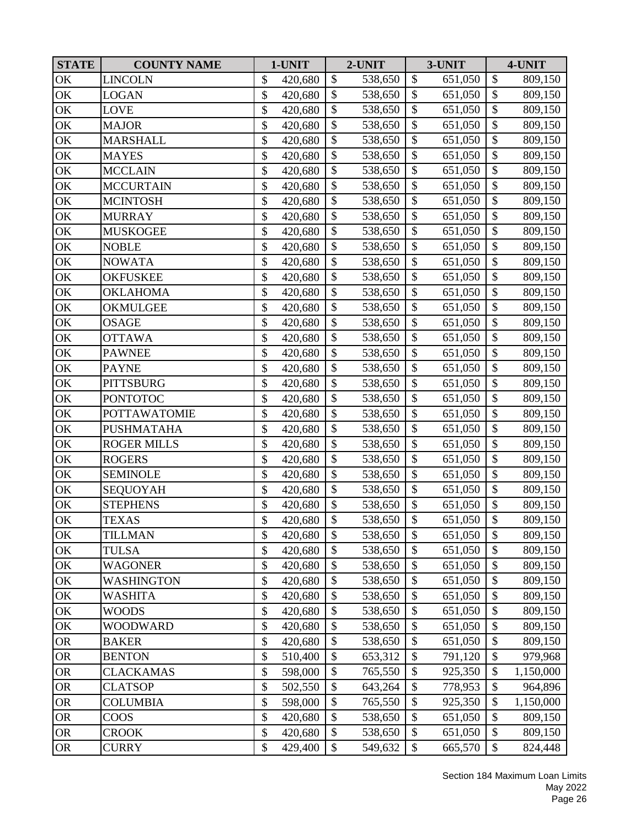| <b>STATE</b>  | <b>COUNTY NAME</b>  |              | 1-UNIT  |                           | 2-UNIT  |                           | 3-UNIT  |                   | 4-UNIT    |
|---------------|---------------------|--------------|---------|---------------------------|---------|---------------------------|---------|-------------------|-----------|
| OK            | <b>LINCOLN</b>      | \$           | 420,680 | \$                        | 538,650 | $\boldsymbol{\mathsf{S}}$ | 651,050 | $\boldsymbol{\$}$ | 809,150   |
| OK            | <b>LOGAN</b>        | $\mathbb{S}$ | 420,680 | $\mathcal{S}$             | 538,650 | $\mathcal{S}$             | 651,050 | \$                | 809,150   |
| OK            | <b>LOVE</b>         | \$           | 420,680 | \$                        | 538,650 | \$                        | 651,050 | \$                | 809,150   |
| OK            | <b>MAJOR</b>        | \$           | 420,680 | \$                        | 538,650 | \$                        | 651,050 | \$                | 809,150   |
| OK            | <b>MARSHALL</b>     | \$           | 420,680 | \$                        | 538,650 | $\mathcal{S}$             | 651,050 | $\mathcal{S}$     | 809,150   |
| OK            | <b>MAYES</b>        | \$           | 420,680 | \$                        | 538,650 | $\mathcal{S}$             | 651,050 | \$                | 809,150   |
| OK            | <b>MCCLAIN</b>      | \$           | 420,680 | \$                        | 538,650 | \$                        | 651,050 | $\boldsymbol{\$}$ | 809,150   |
| OK            | <b>MCCURTAIN</b>    | \$           | 420,680 | \$                        | 538,650 | \$                        | 651,050 | \$                | 809,150   |
| OK            | <b>MCINTOSH</b>     | \$           | 420,680 | \$                        | 538,650 | $\mathcal{S}$             | 651,050 | $\overline{\$}$   | 809,150   |
| OK            | <b>MURRAY</b>       | \$           | 420,680 | \$                        | 538,650 | $\mathcal{S}$             | 651,050 | \$                | 809,150   |
| OK            | <b>MUSKOGEE</b>     | \$           | 420,680 | \$                        | 538,650 | $\mathcal{S}$             | 651,050 | \$                | 809,150   |
| OK            | <b>NOBLE</b>        | \$           | 420,680 | \$                        | 538,650 | \$                        | 651,050 | \$                | 809,150   |
| OK            | <b>NOWATA</b>       | \$           | 420,680 | \$                        | 538,650 | \$                        | 651,050 | \$                | 809,150   |
| OK            | <b>OKFUSKEE</b>     | \$           | 420,680 | \$                        | 538,650 | \$                        | 651,050 | \$                | 809,150   |
| OK            | <b>OKLAHOMA</b>     | \$           | 420,680 | $\mathbb{S}$              | 538,650 | $\mathcal{S}$             | 651,050 | $\overline{\$}$   | 809,150   |
| OK            | OKMULGEE            | \$           | 420,680 | \$                        | 538,650 | $\mathcal{S}$             | 651,050 | \$                | 809,150   |
| OK            | <b>OSAGE</b>        | \$           | 420,680 | \$                        | 538,650 | \$                        | 651,050 | \$                | 809,150   |
| OK            | <b>OTTAWA</b>       | \$           | 420,680 | \$                        | 538,650 | $\mathcal{S}$             | 651,050 | $\overline{\$}$   | 809,150   |
| OK            | <b>PAWNEE</b>       | \$           | 420,680 | \$                        | 538,650 | $\mathcal{S}$             | 651,050 | $\boldsymbol{\$}$ | 809,150   |
| OK            | <b>PAYNE</b>        | \$           | 420,680 | \$                        | 538,650 | \$                        | 651,050 | \$                | 809,150   |
| OK            | <b>PITTSBURG</b>    | \$           | 420,680 | \$                        | 538,650 | $\mathcal{S}$             | 651,050 | \$                | 809,150   |
| OK            | <b>PONTOTOC</b>     | \$           | 420,680 | $\boldsymbol{\mathsf{S}}$ | 538,650 | $\mathcal{S}$             | 651,050 | \$                | 809,150   |
| OK            | <b>POTTAWATOMIE</b> | \$           | 420,680 | \$                        | 538,650 | $\mathcal{S}$             | 651,050 | \$                | 809,150   |
| OK            | <b>PUSHMATAHA</b>   | \$           | 420,680 | \$                        | 538,650 | $\mathcal{S}$             | 651,050 | \$                | 809,150   |
| $\mathbf{OK}$ | <b>ROGER MILLS</b>  | \$           | 420,680 | \$                        | 538,650 | \$                        | 651,050 | \$                | 809,150   |
| OK            | <b>ROGERS</b>       | \$           | 420,680 | \$                        | 538,650 | \$                        | 651,050 | $\boldsymbol{\$}$ | 809,150   |
| OK            | <b>SEMINOLE</b>     | \$           | 420,680 | $\mathbb{S}$              | 538,650 | $\mathcal{S}$             | 651,050 | \$                | 809,150   |
| OK            | <b>SEQUOYAH</b>     | \$           | 420,680 | \$                        | 538,650 | $\mathcal{S}$             | 651,050 | \$                | 809,150   |
| OK            | <b>STEPHENS</b>     | \$           | 420,680 | \$                        | 538,650 | $\mathcal{S}$             | 651,050 | $\mathcal{S}$     | 809,150   |
| OK            | <b>TEXAS</b>        | \$           | 420,680 | \$                        | 538,650 | \$                        | 651,050 | $\mathcal{S}$     | 809,150   |
| OK            | TILLMAN             | \$           | 420,680 | \$                        | 538,650 | $\mathcal{S}$             | 651,050 | \$                | 809,150   |
| OK            | <b>TULSA</b>        | \$           | 420,680 | \$                        | 538,650 | \$                        | 651,050 | \$                | 809,150   |
| OK            | <b>WAGONER</b>      | \$           | 420,680 | \$                        | 538,650 | \$                        | 651,050 | \$                | 809,150   |
| OK            | <b>WASHINGTON</b>   | \$           | 420,680 | \$                        | 538,650 | \$                        | 651,050 | \$                | 809,150   |
| OK            | WASHITA             | \$           | 420,680 | \$                        | 538,650 | \$                        | 651,050 | \$                | 809,150   |
| OK            | <b>WOODS</b>        | \$           | 420,680 | \$                        | 538,650 | \$                        | 651,050 | \$                | 809,150   |
| OK            | <b>WOODWARD</b>     | \$           | 420,680 | \$                        | 538,650 | $\mathcal{S}$             | 651,050 | \$                | 809,150   |
| <b>OR</b>     | <b>BAKER</b>        | \$           | 420,680 | \$                        | 538,650 | \$                        | 651,050 | \$                | 809,150   |
| ${\sf OR}$    | <b>BENTON</b>       | \$           | 510,400 | \$                        | 653,312 | \$                        | 791,120 | \$                | 979,968   |
| ${\sf OR}$    | <b>CLACKAMAS</b>    | \$           | 598,000 | \$                        | 765,550 | \$                        | 925,350 | \$                | 1,150,000 |
| <b>OR</b>     | <b>CLATSOP</b>      | \$           | 502,550 | \$                        | 643,264 | \$                        | 778,953 | \$                | 964,896   |
| <b>OR</b>     | <b>COLUMBIA</b>     | \$           | 598,000 | \$                        | 765,550 | \$                        | 925,350 | \$                | 1,150,000 |
| <b>OR</b>     | COOS                | \$           | 420,680 | \$                        | 538,650 | \$                        | 651,050 | \$                | 809,150   |
| ${\sf OR}$    | <b>CROOK</b>        | \$           | 420,680 | \$                        | 538,650 | \$                        | 651,050 | \$                | 809,150   |
| <b>OR</b>     | <b>CURRY</b>        | \$           | 429,400 | \$                        | 549,632 | \$                        | 665,570 | \$                | 824,448   |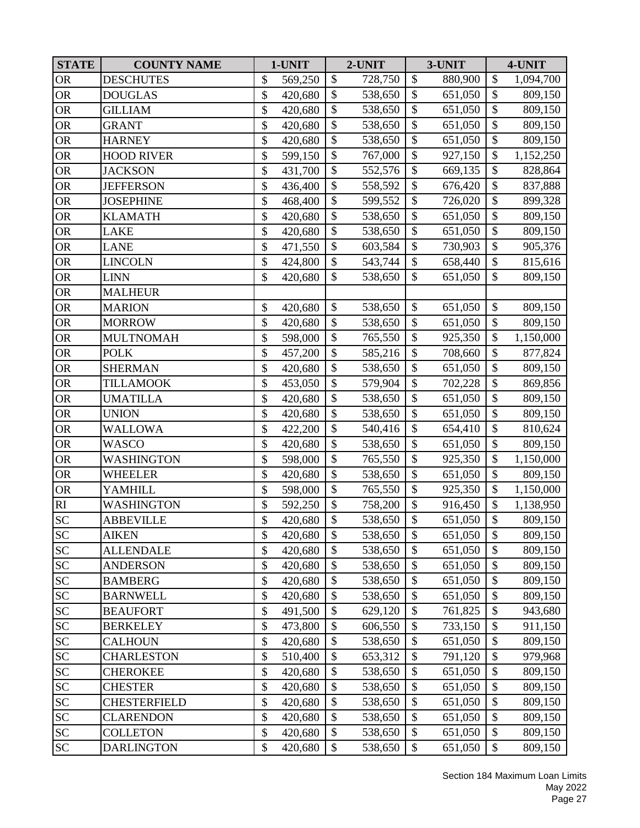| <b>STATE</b>               | <b>COUNTY NAME</b>  | 1-UNIT        |                           | 2-UNIT  |                           | 3-UNIT  | 4-UNIT                    |           |
|----------------------------|---------------------|---------------|---------------------------|---------|---------------------------|---------|---------------------------|-----------|
| <b>OR</b>                  | <b>DESCHUTES</b>    | \$<br>569,250 | \$                        | 728,750 | \$                        | 880,900 | \$                        | 1,094,700 |
| <b>OR</b>                  | <b>DOUGLAS</b>      | \$<br>420,680 | \$                        | 538,650 | \$                        | 651,050 | \$                        | 809,150   |
| <b>OR</b>                  | <b>GILLIAM</b>      | \$<br>420,680 | \$                        | 538,650 | \$                        | 651,050 | $\mathcal{S}$             | 809,150   |
| <b>OR</b>                  | <b>GRANT</b>        | \$<br>420,680 | \$                        | 538,650 | $\boldsymbol{\mathsf{S}}$ | 651,050 | \$                        | 809,150   |
| <b>OR</b>                  | <b>HARNEY</b>       | \$<br>420,680 | \$                        | 538,650 | \$                        | 651,050 | $\boldsymbol{\$}$         | 809,150   |
| ${\sf OR}$                 | <b>HOOD RIVER</b>   | \$<br>599,150 | $\boldsymbol{\mathsf{S}}$ | 767,000 | $\boldsymbol{\mathsf{S}}$ | 927,150 | \$                        | 1,152,250 |
| <b>OR</b>                  | <b>JACKSON</b>      | \$<br>431,700 | \$                        | 552,576 | \$                        | 669,135 | \$                        | 828,864   |
| <b>OR</b>                  | <b>JEFFERSON</b>    | \$<br>436,400 | $\mathbb{S}$              | 558,592 | $\mathcal{S}$             | 676,420 | \$                        | 837,888   |
| <b>OR</b>                  | <b>JOSEPHINE</b>    | \$<br>468,400 | \$                        | 599,552 | $\boldsymbol{\mathsf{S}}$ | 726,020 | $\overline{\$}$           | 899,328   |
| <b>OR</b>                  | <b>KLAMATH</b>      | \$<br>420,680 | \$                        | 538,650 | \$                        | 651,050 | \$                        | 809,150   |
| <b>OR</b>                  | <b>LAKE</b>         | \$<br>420,680 | $\overline{\$}$           | 538,650 | $\boldsymbol{\mathsf{S}}$ | 651,050 | $\overline{\$}$           | 809,150   |
| <b>OR</b>                  | <b>LANE</b>         | \$<br>471,550 | $\mathcal{S}$             | 603,584 | \$                        | 730,903 | $\boldsymbol{\$}$         | 905,376   |
| <b>OR</b>                  | <b>LINCOLN</b>      | \$<br>424,800 | $\mathcal{S}$             | 543,744 | $\mathcal{S}$             | 658,440 | $\boldsymbol{\mathsf{S}}$ | 815,616   |
| <b>OR</b>                  | <b>LINN</b>         | \$<br>420,680 | \$                        | 538,650 | $\mathcal{S}$             | 651,050 | $\overline{\$}$           | 809,150   |
| <b>OR</b>                  | <b>MALHEUR</b>      |               |                           |         |                           |         |                           |           |
| <b>OR</b>                  | <b>MARION</b>       | \$<br>420,680 | \$                        | 538,650 | $\boldsymbol{\mathsf{S}}$ | 651,050 | $\boldsymbol{\$}$         | 809,150   |
| <b>OR</b>                  | <b>MORROW</b>       | \$<br>420,680 | \$                        | 538,650 | \$                        | 651,050 | \$                        | 809,150   |
| <b>OR</b>                  | <b>MULTNOMAH</b>    | \$<br>598,000 | $\boldsymbol{\mathsf{S}}$ | 765,550 | $\boldsymbol{\mathsf{S}}$ | 925,350 | $\boldsymbol{\$}$         | 1,150,000 |
| <b>OR</b>                  | <b>POLK</b>         | \$<br>457,200 | \$                        | 585,216 | \$                        | 708,660 | $\boldsymbol{\$}$         | 877,824   |
| <b>OR</b>                  | <b>SHERMAN</b>      | \$<br>420,680 | $\mathbb{S}$              | 538,650 | $\mathcal{S}$             | 651,050 | \$                        | 809,150   |
| <b>OR</b>                  | <b>TILLAMOOK</b>    | \$<br>453,050 | \$                        | 579,904 | $\boldsymbol{\mathsf{S}}$ | 702,228 | $\overline{\$}$           | 869,856   |
| <b>OR</b>                  | <b>UMATILLA</b>     | \$<br>420,680 | \$                        | 538,650 | \$                        | 651,050 | \$                        | 809,150   |
| <b>OR</b>                  | <b>UNION</b>        | \$<br>420,680 | \$                        | 538,650 | $\boldsymbol{\mathsf{S}}$ | 651,050 | \$                        | 809,150   |
| <b>OR</b>                  | <b>WALLOWA</b>      | \$<br>422,200 | \$                        | 540,416 | \$                        | 654,410 | $\boldsymbol{\$}$         | 810,624   |
| ${\sf OR}$                 | <b>WASCO</b>        | \$<br>420,680 | $\boldsymbol{\mathsf{S}}$ | 538,650 | $\boldsymbol{\mathsf{S}}$ | 651,050 | \$                        | 809,150   |
| <b>OR</b>                  | <b>WASHINGTON</b>   | \$<br>598,000 | \$                        | 765,550 | \$                        | 925,350 | \$                        | 1,150,000 |
| <b>OR</b>                  | <b>WHEELER</b>      | \$<br>420,680 | \$                        | 538,650 | $\boldsymbol{\mathsf{S}}$ | 651,050 | \$                        | 809,150   |
| <b>OR</b>                  | <b>YAMHILL</b>      | \$<br>598,000 | \$                        | 765,550 | $\boldsymbol{\mathsf{S}}$ | 925,350 | \$                        | 1,150,000 |
| $\mathbf{R}\mathbf{I}$     | WASHINGTON          | \$<br>592,250 | \$                        | 758,200 | \$                        | 916,450 | $\mathcal{S}$             | 1,138,950 |
| SC                         | <b>ABBEVILLE</b>    | \$<br>420,680 | $\mathbb{S}$              | 538,650 | $\overline{\mathcal{S}}$  | 651,050 | $\overline{\$}$           | 809,150   |
| <b>SC</b>                  | <b>AIKEN</b>        | \$<br>420,680 | \$                        | 538,650 | \$                        | 651,050 | \$                        | 809,150   |
| ${\rm SC}$                 | <b>ALLENDALE</b>    | \$<br>420,680 | \$                        | 538,650 | \$                        | 651,050 | \$                        | 809,150   |
| SC                         | <b>ANDERSON</b>     | \$<br>420,680 | \$                        | 538,650 | \$                        | 651,050 | \$                        | 809,150   |
| ${\rm SC}$                 | <b>BAMBERG</b>      | \$<br>420,680 | \$                        | 538,650 | \$                        | 651,050 | \$                        | 809,150   |
| ${\rm SC}$                 | <b>BARNWELL</b>     | \$<br>420,680 | \$                        | 538,650 | \$                        | 651,050 | $\boldsymbol{\$}$         | 809,150   |
| SC                         | <b>BEAUFORT</b>     | \$<br>491,500 | \$                        | 629,120 | \$                        | 761,825 | \$                        | 943,680   |
| SC                         | <b>BERKELEY</b>     | \$<br>473,800 | \$                        | 606,550 | \$                        | 733,150 | \$                        | 911,150   |
| <b>SC</b>                  | <b>CALHOUN</b>      | \$<br>420,680 | \$                        | 538,650 | \$                        | 651,050 | \$                        | 809,150   |
| SC                         | <b>CHARLESTON</b>   | \$<br>510,400 | $\mathcal{S}$             | 653,312 | \$                        | 791,120 | \$                        | 979,968   |
| SC                         | <b>CHEROKEE</b>     | \$<br>420,680 | \$                        | 538,650 | \$                        | 651,050 | \$                        | 809,150   |
| SC                         | <b>CHESTER</b>      | \$<br>420,680 | \$                        | 538,650 | \$                        | 651,050 | \$                        | 809,150   |
| $\ensuremath{\mathbf{SC}}$ | <b>CHESTERFIELD</b> | \$<br>420,680 | \$                        | 538,650 | \$                        | 651,050 | \$                        | 809,150   |
| SC                         | <b>CLARENDON</b>    | \$<br>420,680 | \$                        | 538,650 | \$                        | 651,050 | \$                        | 809,150   |
| SC                         | <b>COLLETON</b>     | \$<br>420,680 | \$                        | 538,650 | \$                        | 651,050 | \$                        | 809,150   |
| SC                         | <b>DARLINGTON</b>   | \$<br>420,680 | \$                        | 538,650 | \$                        | 651,050 | \$                        | 809,150   |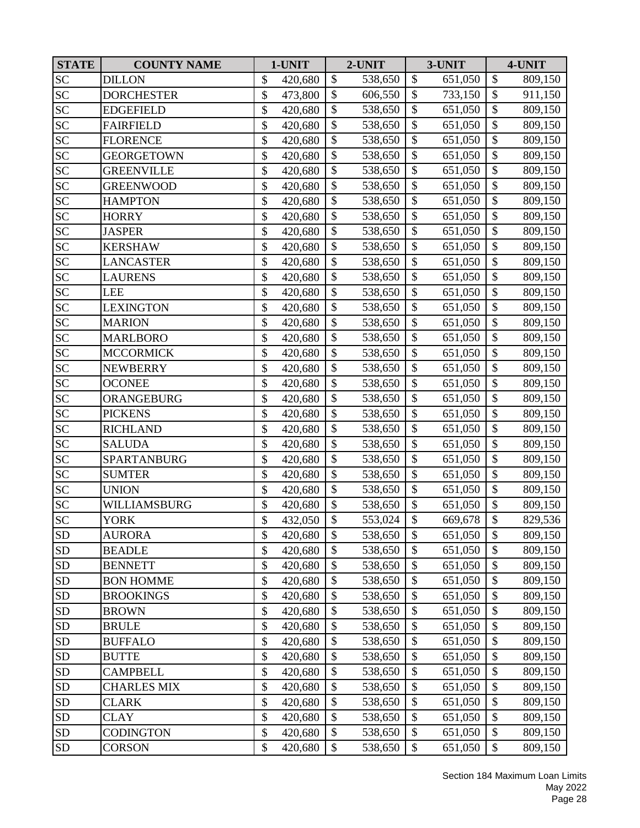| <b>STATE</b> | <b>COUNTY NAME</b> | 1-UNIT        |                           | 2-UNIT  |                           | 3-UNIT  | 4-UNIT                    |         |  |
|--------------|--------------------|---------------|---------------------------|---------|---------------------------|---------|---------------------------|---------|--|
| <b>SC</b>    | <b>DILLON</b>      | \$<br>420,680 | \$                        | 538,650 | $\boldsymbol{\mathsf{S}}$ | 651,050 | $\boldsymbol{\$}$         | 809,150 |  |
| <b>SC</b>    | <b>DORCHESTER</b>  | \$<br>473,800 | $\mathbb{S}$              | 606,550 | $\mathcal{S}$             | 733,150 | $\boldsymbol{\mathsf{S}}$ | 911,150 |  |
| <b>SC</b>    | <b>EDGEFIELD</b>   | \$<br>420,680 | \$                        | 538,650 | \$                        | 651,050 | \$                        | 809,150 |  |
| ${\rm SC}$   | <b>FAIRFIELD</b>   | \$<br>420,680 | \$                        | 538,650 | $\boldsymbol{\mathsf{S}}$ | 651,050 | \$                        | 809,150 |  |
| <b>SC</b>    | <b>FLORENCE</b>    | \$<br>420,680 | \$                        | 538,650 | $\mathcal{S}$             | 651,050 | \$                        | 809,150 |  |
| <b>SC</b>    | <b>GEORGETOWN</b>  | \$<br>420,680 | \$                        | 538,650 | \$                        | 651,050 | \$                        | 809,150 |  |
| <b>SC</b>    | <b>GREENVILLE</b>  | \$<br>420,680 | $\mathcal{S}$             | 538,650 | $\mathcal{S}$             | 651,050 | $\boldsymbol{\$}$         | 809,150 |  |
| <b>SC</b>    | <b>GREENWOOD</b>   | \$<br>420,680 | $\mathcal{S}$             | 538,650 | $\mathcal{S}$             | 651,050 | \$                        | 809,150 |  |
| <b>SC</b>    | <b>HAMPTON</b>     | \$<br>420,680 | \$                        | 538,650 | \$                        | 651,050 | \$                        | 809,150 |  |
| <b>SC</b>    | <b>HORRY</b>       | \$<br>420,680 | $\mathcal{S}$             | 538,650 | \$                        | 651,050 | \$                        | 809,150 |  |
| <b>SC</b>    | <b>JASPER</b>      | \$<br>420,680 | \$                        | 538,650 | \$                        | 651,050 | \$                        | 809,150 |  |
| <b>SC</b>    | <b>KERSHAW</b>     | \$<br>420,680 | \$                        | 538,650 | $\boldsymbol{\mathsf{S}}$ | 651,050 | $\boldsymbol{\$}$         | 809,150 |  |
| <b>SC</b>    | <b>LANCASTER</b>   | \$<br>420,680 | \$                        | 538,650 | \$                        | 651,050 | \$                        | 809,150 |  |
| <b>SC</b>    | <b>LAURENS</b>     | \$<br>420,680 | \$                        | 538,650 | \$                        | 651,050 | $\boldsymbol{\$}$         | 809,150 |  |
| SC           | LEE                | \$<br>420,680 | \$                        | 538,650 | $\mathcal{S}$             | 651,050 | \$                        | 809,150 |  |
| SC           | <b>LEXINGTON</b>   | \$<br>420,680 | \$                        | 538,650 | $\boldsymbol{\mathsf{S}}$ | 651,050 | \$                        | 809,150 |  |
| SC           | <b>MARION</b>      | \$<br>420,680 | \$                        | 538,650 | \$                        | 651,050 | \$                        | 809,150 |  |
| <b>SC</b>    | <b>MARLBORO</b>    | \$<br>420,680 | \$                        | 538,650 | $\boldsymbol{\mathsf{S}}$ | 651,050 | $\overline{\$}$           | 809,150 |  |
| <b>SC</b>    | <b>MCCORMICK</b>   | \$<br>420,680 | \$                        | 538,650 | $\boldsymbol{\mathsf{S}}$ | 651,050 | \$                        | 809,150 |  |
| <b>SC</b>    | <b>NEWBERRY</b>    | \$<br>420,680 | $\mathcal{S}$             | 538,650 | $\mathcal{S}$             | 651,050 | \$                        | 809,150 |  |
| SC           | <b>OCONEE</b>      | \$<br>420,680 | $\mathbb{S}$              | 538,650 | $\mathcal{S}$             | 651,050 | $\overline{\$}$           | 809,150 |  |
| <b>SC</b>    | ORANGEBURG         | \$<br>420,680 | $\mathcal{S}$             | 538,650 | \$                        | 651,050 | \$                        | 809,150 |  |
| <b>SC</b>    | <b>PICKENS</b>     | \$<br>420,680 | \$                        | 538,650 | \$                        | 651,050 | \$                        | 809,150 |  |
| <b>SC</b>    | <b>RICHLAND</b>    | \$<br>420,680 | $\mathcal{S}$             | 538,650 | $\mathcal{S}$             | 651,050 | \$                        | 809,150 |  |
| SC           | <b>SALUDA</b>      | \$<br>420,680 | \$                        | 538,650 | \$                        | 651,050 | \$                        | 809,150 |  |
| <b>SC</b>    | SPARTANBURG        | \$<br>420,680 | $\mathcal{S}$             | 538,650 | $\mathcal{S}$             | 651,050 | \$                        | 809,150 |  |
| <b>SC</b>    | <b>SUMTER</b>      | \$<br>420,680 | $\mathbb{S}$              | 538,650 | $\mathcal{S}$             | 651,050 | $\boldsymbol{\mathsf{S}}$ | 809,150 |  |
| <b>SC</b>    | <b>UNION</b>       | \$<br>420,680 | $\mathcal{S}$             | 538,650 | $\boldsymbol{\mathsf{S}}$ | 651,050 | $\overline{\$}$           | 809,150 |  |
| SC           | WILLIAMSBURG       | \$<br>420,680 | $\mathcal{S}$             | 538,650 | $\mathcal{S}$             | 651,050 | \$                        | 809,150 |  |
| <b>SC</b>    | <b>YORK</b>        | \$<br>432,050 | $\boldsymbol{\mathsf{S}}$ | 553,024 | $\mathcal{S}$             | 669,678 | \$                        | 829,536 |  |
| SD           | <b>AURORA</b>      | \$<br>420,680 | \$                        | 538,650 | \$                        | 651,050 | \$                        | 809,150 |  |
| <b>SD</b>    | <b>BEADLE</b>      | \$<br>420,680 | \$                        | 538,650 | \$                        | 651,050 | \$                        | 809,150 |  |
| <b>SD</b>    | <b>BENNETT</b>     | \$<br>420,680 | \$                        | 538,650 | \$                        | 651,050 | \$                        | 809,150 |  |
| SD           | <b>BON HOMME</b>   | \$<br>420,680 | \$                        | 538,650 | $\mathcal{S}$             | 651,050 | \$                        | 809,150 |  |
| SD           | <b>BROOKINGS</b>   | \$<br>420,680 | \$                        | 538,650 | \$                        | 651,050 | \$                        | 809,150 |  |
| <b>SD</b>    | <b>BROWN</b>       | \$<br>420,680 | \$                        | 538,650 | \$                        | 651,050 | \$                        | 809,150 |  |
| SD           | <b>BRULE</b>       | \$<br>420,680 | \$                        | 538,650 | $\mathcal{S}$             | 651,050 | \$                        | 809,150 |  |
| <b>SD</b>    | <b>BUFFALO</b>     | \$<br>420,680 | \$                        | 538,650 | \$                        | 651,050 | \$                        | 809,150 |  |
| <b>SD</b>    | <b>BUTTE</b>       | \$<br>420,680 | $\mathcal{S}$             | 538,650 | \$                        | 651,050 | \$                        | 809,150 |  |
| SD           | <b>CAMPBELL</b>    | \$<br>420,680 | $\mathcal{S}$             | 538,650 | \$                        | 651,050 | \$                        | 809,150 |  |
| <b>SD</b>    | <b>CHARLES MIX</b> | \$<br>420,680 | \$                        | 538,650 | $\mathcal{S}$             | 651,050 | \$                        | 809,150 |  |
| SD           | CLARK              | \$<br>420,680 | \$                        | 538,650 | \$                        | 651,050 | $\boldsymbol{\$}$         | 809,150 |  |
| <b>SD</b>    | CLAY               | \$<br>420,680 | \$                        | 538,650 | \$                        | 651,050 | \$                        | 809,150 |  |
| ${\rm SD}$   | <b>CODINGTON</b>   | \$<br>420,680 | \$                        | 538,650 | \$                        | 651,050 | $\boldsymbol{\$}$         | 809,150 |  |
| ${\rm SD}$   | <b>CORSON</b>      | \$<br>420,680 | \$                        | 538,650 | \$                        | 651,050 | \$                        | 809,150 |  |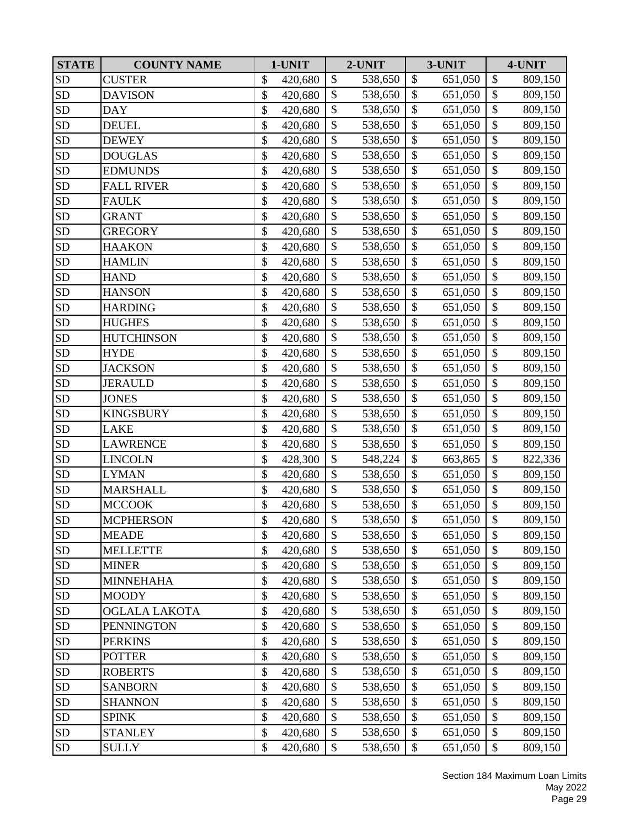| <b>STATE</b> | <b>COUNTY NAME</b> | 1-UNIT        |                           | 2-UNIT  |                           | 3-UNIT  |                   | 4-UNIT  |
|--------------|--------------------|---------------|---------------------------|---------|---------------------------|---------|-------------------|---------|
| <b>SD</b>    | <b>CUSTER</b>      | \$<br>420,680 | $\mathbb{S}$              | 538,650 | $\mathcal{S}$             | 651,050 | \$                | 809,150 |
| <b>SD</b>    | <b>DAVISON</b>     | \$<br>420,680 | \$                        | 538,650 | $\mathcal{S}$             | 651,050 | \$                | 809,150 |
| <b>SD</b>    | <b>DAY</b>         | \$<br>420,680 | $\boldsymbol{\mathsf{S}}$ | 538,650 | $\boldsymbol{\mathsf{S}}$ | 651,050 | \$                | 809,150 |
| <b>SD</b>    | <b>DEUEL</b>       | \$<br>420,680 | \$                        | 538,650 | $\boldsymbol{\mathsf{S}}$ | 651,050 | \$                | 809,150 |
| <b>SD</b>    | <b>DEWEY</b>       | \$<br>420,680 | \$                        | 538,650 | $\boldsymbol{\mathsf{S}}$ | 651,050 | $\boldsymbol{\$}$ | 809,150 |
| <b>SD</b>    | <b>DOUGLAS</b>     | \$<br>420,680 | \$                        | 538,650 | $\boldsymbol{\mathsf{S}}$ | 651,050 | \$                | 809,150 |
| <b>SD</b>    | <b>EDMUNDS</b>     | \$<br>420,680 | \$                        | 538,650 | $\mathcal{S}$             | 651,050 | \$                | 809,150 |
| <b>SD</b>    | <b>FALL RIVER</b>  | \$<br>420,680 | \$                        | 538,650 | $\mathcal{S}$             | 651,050 | \$                | 809,150 |
| <b>SD</b>    | <b>FAULK</b>       | \$<br>420,680 | \$                        | 538,650 | $\boldsymbol{\mathsf{S}}$ | 651,050 | $\overline{\$}$   | 809,150 |
| <b>SD</b>    | <b>GRANT</b>       | \$<br>420,680 | \$                        | 538,650 | $\mathcal{S}$             | 651,050 | \$                | 809,150 |
| SD           | <b>GREGORY</b>     | \$<br>420,680 | \$                        | 538,650 | $\mathcal{S}$             | 651,050 | $\overline{\$}$   | 809,150 |
| <b>SD</b>    | <b>HAAKON</b>      | \$<br>420,680 | \$                        | 538,650 | $\mathcal{S}$             | 651,050 | $\boldsymbol{\$}$ | 809,150 |
| <b>SD</b>    | <b>HAMLIN</b>      | \$<br>420,680 | \$                        | 538,650 | \$                        | 651,050 | \$                | 809,150 |
| <b>SD</b>    | <b>HAND</b>        | \$<br>420,680 | $\mathcal{S}$             | 538,650 | $\mathcal{S}$             | 651,050 | $\overline{\$}$   | 809,150 |
| <b>SD</b>    | <b>HANSON</b>      | \$<br>420,680 | $\mathcal{S}$             | 538,650 | $\mathcal{S}$             | 651,050 | \$                | 809,150 |
| <b>SD</b>    | <b>HARDING</b>     | \$<br>420,680 | \$                        | 538,650 | \$                        | 651,050 | \$                | 809,150 |
| <b>SD</b>    | <b>HUGHES</b>      | \$<br>420,680 | $\mathcal{S}$             | 538,650 | \$                        | 651,050 | \$                | 809,150 |
| <b>SD</b>    | <b>HUTCHINSON</b>  | \$<br>420,680 | \$                        | 538,650 | \$                        | 651,050 | $\boldsymbol{\$}$ | 809,150 |
| <b>SD</b>    | <b>HYDE</b>        | \$<br>420,680 | \$                        | 538,650 | $\mathcal{S}$             | 651,050 | $\boldsymbol{\$}$ | 809,150 |
| <b>SD</b>    | <b>JACKSON</b>     | \$<br>420,680 | $\mathbb{S}$              | 538,650 | $\mathcal{S}$             | 651,050 | $\overline{\$}$   | 809,150 |
| <b>SD</b>    | <b>JERAULD</b>     | \$<br>420,680 | \$                        | 538,650 | $\mathcal{S}$             | 651,050 | \$                | 809,150 |
| <b>SD</b>    | <b>JONES</b>       | \$<br>420,680 | \$                        | 538,650 | $\boldsymbol{\mathsf{S}}$ | 651,050 | \$                | 809,150 |
| <b>SD</b>    | <b>KINGSBURY</b>   | \$<br>420,680 | \$                        | 538,650 | $\boldsymbol{\mathsf{S}}$ | 651,050 | $\overline{\$}$   | 809,150 |
| <b>SD</b>    | LAKE               | \$<br>420,680 | \$                        | 538,650 | $\boldsymbol{\mathsf{S}}$ | 651,050 | $\boldsymbol{\$}$ | 809,150 |
| <b>SD</b>    | <b>LAWRENCE</b>    | \$<br>420,680 | \$                        | 538,650 | \$                        | 651,050 | $\boldsymbol{\$}$ | 809,150 |
| <b>SD</b>    | <b>LINCOLN</b>     | \$<br>428,300 | \$                        | 548,224 | $\mathcal{S}$             | 663,865 | \$                | 822,336 |
| <b>SD</b>    | <b>LYMAN</b>       | \$<br>420,680 | $\mathcal{S}$             | 538,650 | \$                        | 651,050 | \$                | 809,150 |
| <b>SD</b>    | <b>MARSHALL</b>    | \$<br>420,680 | \$                        | 538,650 | $\boldsymbol{\mathsf{S}}$ | 651,050 | $\overline{\$}$   | 809,150 |
| <b>SD</b>    | <b>MCCOOK</b>      | \$<br>420,680 | \$                        | 538,650 | $\mathcal{S}$             | 651,050 | \$                | 809,150 |
| <b>SD</b>    | <b>MCPHERSON</b>   | \$<br>420,680 | $\mathcal{S}$             | 538,650 | $\mathcal{S}$             | 651,050 | $\overline{\$}$   | 809,150 |
| <b>SD</b>    | <b>MEADE</b>       | \$<br>420,680 | \$                        | 538,650 | \$                        | 651,050 | \$                | 809,150 |
| SD           | <b>MELLETTE</b>    | \$<br>420,680 | $\mathcal{S}$             | 538,650 | \$                        | 651,050 | \$                | 809,150 |
| ${\rm SD}$   | <b>MINER</b>       | \$<br>420,680 | $\mathcal{S}$             | 538,650 | \$                        | 651,050 | \$                | 809,150 |
| SD           | <b>MINNEHAHA</b>   | \$<br>420,680 | \$                        | 538,650 | $\mathcal{S}$             | 651,050 | \$                | 809,150 |
| ${\rm SD}$   | <b>MOODY</b>       | \$<br>420,680 | \$                        | 538,650 | \$                        | 651,050 | $\boldsymbol{\$}$ | 809,150 |
| ${\rm SD}$   | OGLALA LAKOTA      | \$<br>420,680 | \$                        | 538,650 | \$                        | 651,050 | \$                | 809,150 |
| <b>SD</b>    | <b>PENNINGTON</b>  | \$<br>420,680 | $\mathcal{S}$             | 538,650 | $\mathcal{S}$             | 651,050 | $\boldsymbol{\$}$ | 809,150 |
| SD           | <b>PERKINS</b>     | \$<br>420,680 | $\mathcal{S}$             | 538,650 | \$                        | 651,050 | \$                | 809,150 |
| <b>SD</b>    | <b>POTTER</b>      | \$<br>420,680 | $\mathcal{S}$             | 538,650 | $\mathcal{S}$             | 651,050 | \$                | 809,150 |
| ${\rm SD}$   | <b>ROBERTS</b>     | \$<br>420,680 | \$                        | 538,650 | \$                        | 651,050 | \$                | 809,150 |
| SD           | <b>SANBORN</b>     | \$<br>420,680 | \$                        | 538,650 | $\mathcal{S}$             | 651,050 | \$                | 809,150 |
| SD           | <b>SHANNON</b>     | \$<br>420,680 | $\mathcal{S}$             | 538,650 | \$                        | 651,050 | \$                | 809,150 |
| <b>SD</b>    | <b>SPINK</b>       | \$<br>420,680 | \$                        | 538,650 | \$                        | 651,050 | \$                | 809,150 |
| ${\rm SD}$   | <b>STANLEY</b>     | \$<br>420,680 | \$                        | 538,650 | \$                        | 651,050 | \$                | 809,150 |
| ${\rm SD}$   | <b>SULLY</b>       | \$<br>420,680 | $\mathcal{S}$             | 538,650 | $\mathcal{S}$             | 651,050 | \$                | 809,150 |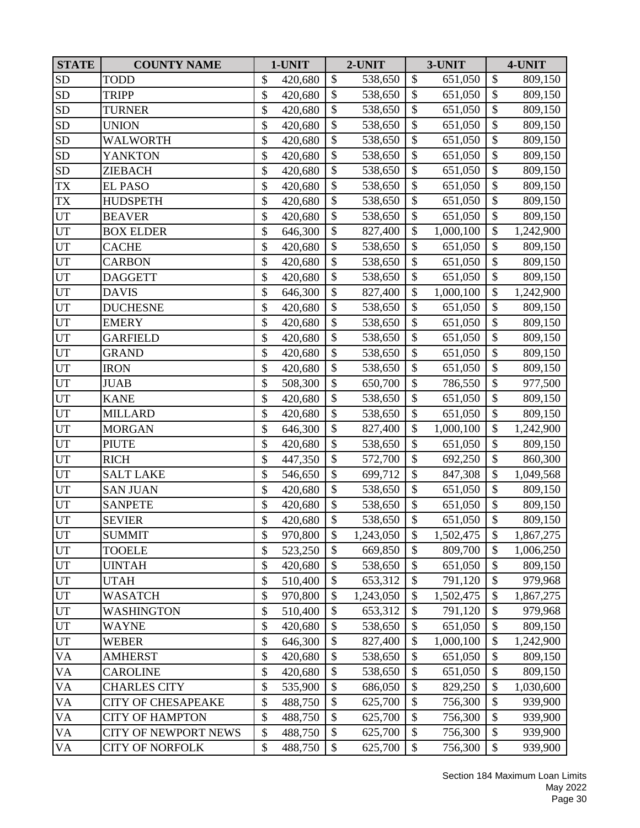| <b>STATE</b>               | <b>COUNTY NAME</b>          | 1-UNIT        |                           | 2-UNIT    | 3-UNIT                    |           | 4-UNIT                    |           |
|----------------------------|-----------------------------|---------------|---------------------------|-----------|---------------------------|-----------|---------------------------|-----------|
| <b>SD</b>                  | <b>TODD</b>                 | \$<br>420,680 | \$                        | 538,650   | \$                        | 651,050   | \$                        | 809,150   |
| <b>SD</b>                  | <b>TRIPP</b>                | \$<br>420,680 | \$                        | 538,650   | \$                        | 651,050   | \$                        | 809,150   |
| <b>SD</b>                  | <b>TURNER</b>               | \$<br>420,680 | \$                        | 538,650   | \$                        | 651,050   | \$                        | 809,150   |
| <b>SD</b>                  | <b>UNION</b>                | \$<br>420,680 | \$                        | 538,650   | \$                        | 651,050   | \$                        | 809,150   |
| <b>SD</b>                  | WALWORTH                    | \$<br>420,680 | \$                        | 538,650   | \$                        | 651,050   | $\boldsymbol{\$}$         | 809,150   |
| <b>SD</b>                  | <b>YANKTON</b>              | \$<br>420,680 | \$                        | 538,650   | \$                        | 651,050   | \$                        | 809,150   |
| <b>SD</b>                  | <b>ZIEBACH</b>              | \$<br>420,680 | \$                        | 538,650   | \$                        | 651,050   | \$                        | 809,150   |
| <b>TX</b>                  | <b>EL PASO</b>              | \$<br>420,680 | $\mathbb{S}$              | 538,650   | $\mathcal{S}$             | 651,050   | \$                        | 809,150   |
| <b>TX</b>                  | <b>HUDSPETH</b>             | \$<br>420,680 | \$                        | 538,650   | $\boldsymbol{\mathsf{S}}$ | 651,050   | \$                        | 809,150   |
| UT                         | <b>BEAVER</b>               | \$<br>420,680 | \$                        | 538,650   | \$                        | 651,050   | \$                        | 809,150   |
| $\ensuremath{\mathrm{UT}}$ | <b>BOX ELDER</b>            | \$<br>646,300 | $\overline{\$}$           | 827,400   | $\mathcal{S}$             | 1,000,100 | $\overline{\$}$           | 1,242,900 |
| UT                         | <b>CACHE</b>                | \$<br>420,680 | \$                        | 538,650   | \$                        | 651,050   | $\boldsymbol{\$}$         | 809,150   |
| UT                         | <b>CARBON</b>               | \$<br>420,680 | $\mathcal{S}$             | 538,650   | \$                        | 651,050   | \$                        | 809,150   |
| UT                         | <b>DAGGETT</b>              | \$<br>420,680 | \$                        | 538,650   | \$                        | 651,050   | $\overline{\$}$           | 809,150   |
| UT                         | <b>DAVIS</b>                | \$<br>646,300 | $\boldsymbol{\mathsf{S}}$ | 827,400   | \$                        | 1,000,100 | \$                        | 1,242,900 |
| UT                         | <b>DUCHESNE</b>             | \$<br>420,680 | \$                        | 538,650   | \$                        | 651,050   | $\overline{\$}$           | 809,150   |
| UT                         | <b>EMERY</b>                | \$<br>420,680 | \$                        | 538,650   | \$                        | 651,050   | \$                        | 809,150   |
| UT                         | <b>GARFIELD</b>             | \$<br>420,680 | \$                        | 538,650   | $\boldsymbol{\mathsf{S}}$ | 651,050   | $\boldsymbol{\$}$         | 809,150   |
| UT                         | <b>GRAND</b>                | \$<br>420,680 | \$                        | 538,650   | \$                        | 651,050   | $\boldsymbol{\$}$         | 809,150   |
| UT                         | <b>IRON</b>                 | \$<br>420,680 | $\mathbb{S}$              | 538,650   | $\mathcal{S}$             | 651,050   | $\overline{\$}$           | 809,150   |
| UT                         | <b>JUAB</b>                 | \$<br>508,300 | \$                        | 650,700   | $\mathcal{S}$             | 786,550   | \$                        | 977,500   |
| UT                         | <b>KANE</b>                 | \$<br>420,680 | \$                        | 538,650   | \$                        | 651,050   | \$                        | 809,150   |
| UT                         | <b>MILLARD</b>              | \$<br>420,680 | \$                        | 538,650   | $\boldsymbol{\mathsf{S}}$ | 651,050   | \$                        | 809,150   |
| UT                         | <b>MORGAN</b>               | \$<br>646,300 | \$                        | 827,400   | \$                        | 1,000,100 | \$                        | 1,242,900 |
| UT                         | <b>PIUTE</b>                | \$<br>420,680 | $\boldsymbol{\mathsf{S}}$ | 538,650   | \$                        | 651,050   | \$                        | 809,150   |
| UT                         | <b>RICH</b>                 | \$<br>447,350 | \$                        | 572,700   | \$                        | 692,250   | \$                        | 860,300   |
| UT                         | <b>SALT LAKE</b>            | \$<br>546,650 | $\boldsymbol{\mathsf{S}}$ | 699,712   | \$                        | 847,308   | \$                        | 1,049,568 |
| UT                         | <b>SAN JUAN</b>             | \$<br>420,680 | \$                        | 538,650   | $\boldsymbol{\mathsf{S}}$ | 651,050   | $\overline{\$}$           | 809,150   |
| UT                         | <b>SANPETE</b>              | \$<br>420,680 | \$                        | 538,650   | \$                        | 651,050   | \$                        | 809,150   |
| UT                         | <b>SEVIER</b>               | \$<br>420,680 | $\mathbb{S}$              | 538,650   | $\mathcal{S}$             | 651,050   | $\overline{\$}$           | 809,150   |
| UT                         | <b>SUMMIT</b>               | \$<br>970,800 | $\mathcal{S}$             | 1,243,050 | \$                        | 1,502,475 | \$                        | 1,867,275 |
| UT                         | <b>TOOELE</b>               | \$<br>523,250 | $\mathcal{S}$             | 669,850   | \$                        | 809,700   | \$                        | 1,006,250 |
| UT                         | <b>UINTAH</b>               | \$<br>420,680 | \$                        | 538,650   | $\mathcal{S}$             | 651,050   | \$                        | 809,150   |
| UT                         | <b>UTAH</b>                 | \$<br>510,400 | \$                        | 653,312   | \$                        | 791,120   | \$                        | 979,968   |
| UT                         | <b>WASATCH</b>              | \$<br>970,800 | \$                        | 1,243,050 | \$                        | 1,502,475 | $\boldsymbol{\$}$         | 1,867,275 |
| $\ensuremath{\mathrm{UT}}$ | <b>WASHINGTON</b>           | \$<br>510,400 | \$                        | 653,312   | \$                        | 791,120   | \$                        | 979,968   |
| UT                         | <b>WAYNE</b>                | \$<br>420,680 | \$                        | 538,650   | \$                        | 651,050   | \$                        | 809,150   |
| UT                         | <b>WEBER</b>                | \$<br>646,300 | \$                        | 827,400   | \$                        | 1,000,100 | \$                        | 1,242,900 |
| <b>VA</b>                  | <b>AMHERST</b>              | \$<br>420,680 | $\mathcal{S}$             | 538,650   | $\mathcal{S}$             | 651,050   | \$                        | 809,150   |
| VA                         | <b>CAROLINE</b>             | \$<br>420,680 | \$                        | 538,650   | \$                        | 651,050   | \$                        | 809,150   |
| VA                         | <b>CHARLES CITY</b>         | \$<br>535,900 | \$                        | 686,050   | \$                        | 829,250   | \$                        | 1,030,600 |
| VA                         | <b>CITY OF CHESAPEAKE</b>   | \$<br>488,750 | \$                        | 625,700   | \$                        | 756,300   | \$                        | 939,900   |
| VA                         | <b>CITY OF HAMPTON</b>      | \$<br>488,750 | \$                        | 625,700   | \$                        | 756,300   | \$                        | 939,900   |
| VA                         | <b>CITY OF NEWPORT NEWS</b> | \$<br>488,750 | \$                        | 625,700   | \$                        | 756,300   | $\boldsymbol{\mathsf{S}}$ | 939,900   |
| VA                         | <b>CITY OF NORFOLK</b>      | \$<br>488,750 | \$                        | 625,700   | \$                        | 756,300   | $\boldsymbol{\mathsf{S}}$ | 939,900   |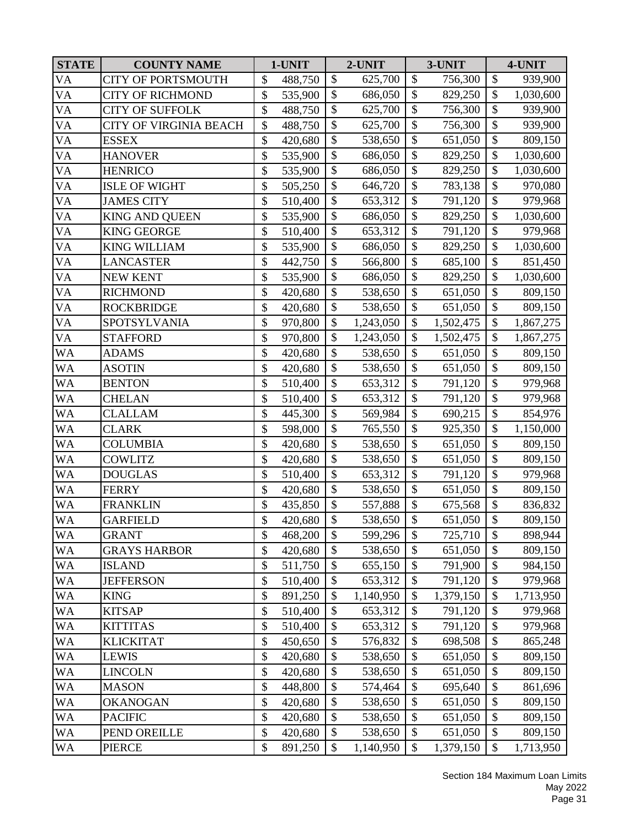| <b>STATE</b> | <b>COUNTY NAME</b>        | 1-UNIT        |                           | 2-UNIT    |                           | 3-UNIT    |                           | 4-UNIT    |  |  |
|--------------|---------------------------|---------------|---------------------------|-----------|---------------------------|-----------|---------------------------|-----------|--|--|
| <b>VA</b>    | <b>CITY OF PORTSMOUTH</b> | \$<br>488,750 | \$                        | 625,700   | $\boldsymbol{\mathsf{S}}$ | 756,300   | \$                        | 939,900   |  |  |
| <b>VA</b>    | <b>CITY OF RICHMOND</b>   | \$<br>535,900 | $\mathcal{S}$             | 686,050   | $\mathcal{S}$             | 829,250   | $\mathcal{S}$             | 1,030,600 |  |  |
| <b>VA</b>    | <b>CITY OF SUFFOLK</b>    | \$<br>488,750 | \$                        | 625,700   | \$                        | 756,300   | \$                        | 939,900   |  |  |
| <b>VA</b>    | CITY OF VIRGINIA BEACH    | \$<br>488,750 | \$                        | 625,700   | \$                        | 756,300   | \$                        | 939,900   |  |  |
| VA           | <b>ESSEX</b>              | \$<br>420,680 | \$                        | 538,650   | $\mathcal{S}$             | 651,050   | \$                        | 809,150   |  |  |
| <b>VA</b>    | <b>HANOVER</b>            | \$<br>535,900 | \$                        | 686,050   | \$                        | 829,250   | \$                        | 1,030,600 |  |  |
| <b>VA</b>    | <b>HENRICO</b>            | \$<br>535,900 | $\mathcal{S}$             | 686,050   | $\mathcal{S}$             | 829,250   | \$                        | 1,030,600 |  |  |
| <b>VA</b>    | <b>ISLE OF WIGHT</b>      | \$<br>505,250 | $\mathcal{S}$             | 646,720   | $\mathcal{S}$             | 783,138   | \$                        | 970,080   |  |  |
| <b>VA</b>    | <b>JAMES CITY</b>         | \$<br>510,400 | \$                        | 653,312   | \$                        | 791,120   | $\overline{\$}$           | 979,968   |  |  |
| <b>VA</b>    | <b>KING AND QUEEN</b>     | \$<br>535,900 | $\boldsymbol{\mathsf{S}}$ | 686,050   | $\mathcal{S}$             | 829,250   | \$                        | 1,030,600 |  |  |
| <b>VA</b>    | <b>KING GEORGE</b>        | \$<br>510,400 | $\boldsymbol{\mathsf{S}}$ | 653,312   | \$                        | 791,120   | $\overline{\$}$           | 979,968   |  |  |
| <b>VA</b>    | <b>KING WILLIAM</b>       | \$<br>535,900 | \$                        | 686,050   | $\boldsymbol{\mathsf{S}}$ | 829,250   | \$                        | 1,030,600 |  |  |
| <b>VA</b>    | <b>LANCASTER</b>          | \$<br>442,750 | \$                        | 566,800   | \$                        | 685,100   | \$                        | 851,450   |  |  |
| <b>VA</b>    | <b>NEW KENT</b>           | \$<br>535,900 | \$                        | 686,050   | \$                        | 829,250   | \$                        | 1,030,600 |  |  |
| <b>VA</b>    | <b>RICHMOND</b>           | \$<br>420,680 | \$                        | 538,650   | $\mathcal{S}$             | 651,050   | \$                        | 809,150   |  |  |
| <b>VA</b>    | <b>ROCKBRIDGE</b>         | \$<br>420,680 | \$                        | 538,650   | $\boldsymbol{\mathsf{S}}$ | 651,050   | \$                        | 809,150   |  |  |
| <b>VA</b>    | SPOTSYLVANIA              | \$<br>970,800 | \$                        | 1,243,050 | \$                        | 1,502,475 | $\mathcal{S}$             | 1,867,275 |  |  |
| VA           | <b>STAFFORD</b>           | \$<br>970,800 | $\boldsymbol{\mathsf{S}}$ | 1,243,050 | $\boldsymbol{\mathsf{S}}$ | 1,502,475 | $\overline{\$}$           | 1,867,275 |  |  |
| <b>WA</b>    | <b>ADAMS</b>              | \$<br>420,680 | \$                        | 538,650   | $\boldsymbol{\mathsf{S}}$ | 651,050   | \$                        | 809,150   |  |  |
| <b>WA</b>    | <b>ASOTIN</b>             | \$<br>420,680 | $\boldsymbol{\mathsf{S}}$ | 538,650   | $\mathcal{S}$             | 651,050   | $\boldsymbol{\$}$         | 809,150   |  |  |
| <b>WA</b>    | <b>BENTON</b>             | \$<br>510,400 | $\mathbb{S}$              | 653,312   | $\mathcal{S}$             | 791,120   | $\overline{\$}$           | 979,968   |  |  |
| <b>WA</b>    | <b>CHELAN</b>             | \$<br>510,400 | $\mathcal{S}$             | 653,312   | $\mathcal{S}$             | 791,120   | \$                        | 979,968   |  |  |
| <b>WA</b>    | CLALLAM                   | \$<br>445,300 | \$                        | 569,984   | \$                        | 690,215   | $\overline{\$}$           | 854,976   |  |  |
| <b>WA</b>    | <b>CLARK</b>              | \$<br>598,000 | \$                        | 765,550   | $\mathcal{S}$             | 925,350   | $\mathcal{S}$             | 1,150,000 |  |  |
| <b>WA</b>    | <b>COLUMBIA</b>           | \$<br>420,680 | \$                        | 538,650   | \$                        | 651,050   | \$                        | 809,150   |  |  |
| WA           | <b>COWLITZ</b>            | \$<br>420,680 | $\mathcal{S}$             | 538,650   | $\mathcal{S}$             | 651,050   | \$                        | 809,150   |  |  |
| <b>WA</b>    | <b>DOUGLAS</b>            | \$<br>510,400 | $\mathbb{S}$              | 653,312   | $\mathcal{S}$             | 791,120   | \$                        | 979,968   |  |  |
| <b>WA</b>    | <b>FERRY</b>              | \$<br>420,680 | \$                        | 538,650   | \$                        | 651,050   | $\overline{\$}$           | 809,150   |  |  |
| <b>WA</b>    | <b>FRANKLIN</b>           | \$<br>435,850 | $\mathcal{S}$             | 557,888   | $\boldsymbol{\mathsf{S}}$ | 675,568   | \$                        | 836,832   |  |  |
| <b>WA</b>    | <b>GARFIELD</b>           | \$<br>420,680 | $\boldsymbol{\mathsf{S}}$ | 538,650   | $\mathcal{S}$             | 651,050   | \$                        | 809,150   |  |  |
| <b>WA</b>    | <b>GRANT</b>              | \$<br>468,200 | $\$\$                     | 599,296   | \$                        | 725,710   | \$                        | 898,944   |  |  |
| <b>WA</b>    | <b>GRAYS HARBOR</b>       | \$<br>420,680 | $\mathcal{S}$             | 538,650   | \$                        | 651,050   | \$                        | 809,150   |  |  |
| <b>WA</b>    | <b>ISLAND</b>             | \$<br>511,750 | $\mathcal{S}$             | 655,150   | \$                        | 791,900   | \$                        | 984,150   |  |  |
| <b>WA</b>    | <b>JEFFERSON</b>          | \$<br>510,400 | \$                        | 653,312   | \$                        | 791,120   | \$                        | 979,968   |  |  |
| <b>WA</b>    | <b>KING</b>               | \$<br>891,250 | \$                        | 1,140,950 | \$                        | 1,379,150 | \$                        | 1,713,950 |  |  |
| <b>WA</b>    | <b>KITSAP</b>             | \$<br>510,400 | \$                        | 653,312   | \$                        | 791,120   | \$                        | 979,968   |  |  |
| <b>WA</b>    | <b>KITTITAS</b>           | \$<br>510,400 | \$                        | 653,312   | $\mathcal{S}$             | 791,120   | \$                        | 979,968   |  |  |
| <b>WA</b>    | <b>KLICKITAT</b>          | \$<br>450,650 | $\mathcal{S}$             | 576,832   | $\mathcal{S}$             | 698,508   | \$                        | 865,248   |  |  |
| <b>WA</b>    | <b>LEWIS</b>              | \$<br>420,680 | $\mathcal{S}$             | 538,650   | \$                        | 651,050   | \$                        | 809,150   |  |  |
| <b>WA</b>    | <b>LINCOLN</b>            | \$<br>420,680 | $\boldsymbol{\mathsf{S}}$ | 538,650   | $\mathcal{S}$             | 651,050   | $\boldsymbol{\mathsf{S}}$ | 809,150   |  |  |
| <b>WA</b>    | <b>MASON</b>              | \$<br>448,800 | \$                        | 574,464   | $\mathcal{S}$             | 695,640   | \$                        | 861,696   |  |  |
| <b>WA</b>    | <b>OKANOGAN</b>           | \$<br>420,680 | \$                        | 538,650   | $\boldsymbol{\mathsf{S}}$ | 651,050   | $\boldsymbol{\$}$         | 809,150   |  |  |
| <b>WA</b>    | <b>PACIFIC</b>            | \$<br>420,680 | $\mathcal{S}$             | 538,650   | \$                        | 651,050   | \$                        | 809,150   |  |  |
| <b>WA</b>    | PEND OREILLE              | \$<br>420,680 | \$                        | 538,650   | $\mathcal{S}$             | 651,050   | $\boldsymbol{\$}$         | 809,150   |  |  |
| <b>WA</b>    | <b>PIERCE</b>             | \$<br>891,250 | $\mathcal{S}$             | 1,140,950 | \$                        | 1,379,150 | \$                        | 1,713,950 |  |  |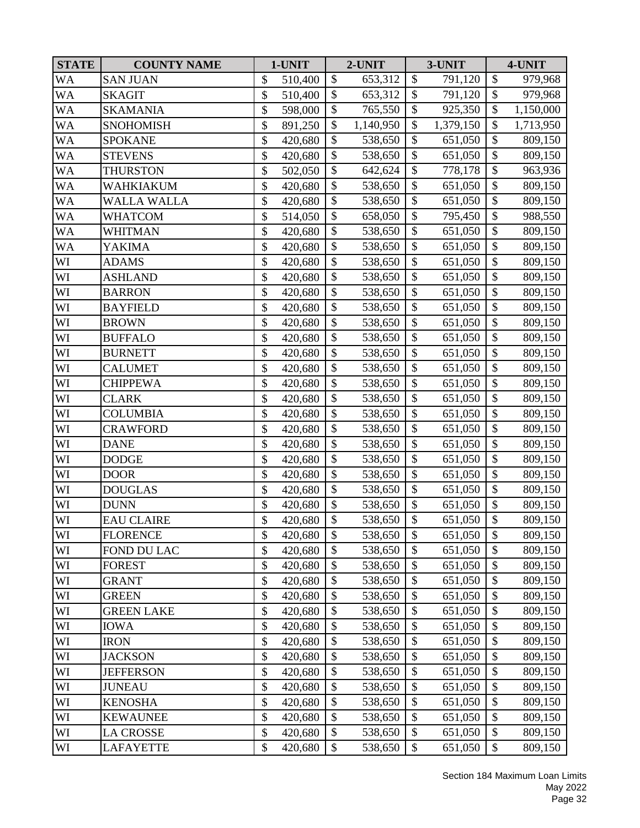| <b>STATE</b> | <b>COUNTY NAME</b> | 1-UNIT        |               | 2-UNIT    |                           | 3-UNIT    |                           | 4-UNIT    |
|--------------|--------------------|---------------|---------------|-----------|---------------------------|-----------|---------------------------|-----------|
| WA           | <b>SAN JUAN</b>    | \$<br>510,400 | \$            | 653,312   | $\boldsymbol{\mathsf{S}}$ | 791,120   | \$                        | 979,968   |
| <b>WA</b>    | <b>SKAGIT</b>      | \$<br>510,400 | $\mathbb{S}$  | 653,312   | $\mathcal{S}$             | 791,120   | $\mathcal{S}$             | 979,968   |
| WA           | <b>SKAMANIA</b>    | \$<br>598,000 | \$            | 765,550   | \$                        | 925,350   | \$                        | 1,150,000 |
| WA           | <b>SNOHOMISH</b>   | \$<br>891,250 | \$            | 1,140,950 | \$                        | 1,379,150 | \$                        | 1,713,950 |
| WA           | <b>SPOKANE</b>     | \$<br>420,680 | $\mathcal{S}$ | 538,650   | \$                        | 651,050   | \$                        | 809,150   |
| WA           | <b>STEVENS</b>     | \$<br>420,680 | \$            | 538,650   | $\mathcal{S}$             | 651,050   | \$                        | 809,150   |
| WA           | <b>THURSTON</b>    | \$<br>502,050 | \$            | 642,624   | \$                        | 778,178   | $\boldsymbol{\$}$         | 963,936   |
| WA           | WAHKIAKUM          | \$<br>420,680 | $\mathcal{S}$ | 538,650   | \$                        | 651,050   | \$                        | 809,150   |
| WA           | <b>WALLA WALLA</b> | \$<br>420,680 | \$            | 538,650   | $\boldsymbol{\mathsf{S}}$ | 651,050   | $\overline{\$}$           | 809,150   |
| WA           | <b>WHATCOM</b>     | \$<br>514,050 | \$            | 658,050   | \$                        | 795,450   | \$                        | 988,550   |
| WA           | <b>WHITMAN</b>     | \$<br>420,680 | \$            | 538,650   | $\mathcal{S}$             | 651,050   | \$                        | 809,150   |
| WA           | <b>YAKIMA</b>      | \$<br>420,680 | \$            | 538,650   | \$                        | 651,050   | $\boldsymbol{\$}$         | 809,150   |
| WI           | <b>ADAMS</b>       | \$<br>420,680 | $\mathcal{S}$ | 538,650   | \$                        | 651,050   | $\boldsymbol{\$}$         | 809,150   |
| WI           | <b>ASHLAND</b>     | \$<br>420,680 | \$            | 538,650   | \$                        | 651,050   | \$                        | 809,150   |
| WI           | <b>BARRON</b>      | \$<br>420,680 | $\mathbb{S}$  | 538,650   | $\mathcal{S}$             | 651,050   | $\overline{\$}$           | 809,150   |
| WI           | <b>BAYFIELD</b>    | \$<br>420,680 | \$            | 538,650   | $\boldsymbol{\mathsf{S}}$ | 651,050   | $\overline{\$}$           | 809,150   |
| WI           | <b>BROWN</b>       | \$<br>420,680 | \$            | 538,650   | \$                        | 651,050   | \$                        | 809,150   |
| WI           | <b>BUFFALO</b>     | \$<br>420,680 | \$            | 538,650   | $\boldsymbol{\mathsf{S}}$ | 651,050   | $\overline{\$}$           | 809,150   |
| WI           | <b>BURNETT</b>     | \$<br>420,680 | \$            | 538,650   | \$                        | 651,050   | $\boldsymbol{\$}$         | 809,150   |
| WI           | <b>CALUMET</b>     | \$<br>420,680 | \$            | 538,650   | \$                        | 651,050   | \$                        | 809,150   |
| WI           | <b>CHIPPEWA</b>    | \$<br>420,680 | \$            | 538,650   | $\mathcal{S}$             | 651,050   | \$                        | 809,150   |
| WI           | <b>CLARK</b>       | \$<br>420,680 | $\mathcal{S}$ | 538,650   | \$                        | 651,050   | \$                        | 809,150   |
| WI           | <b>COLUMBIA</b>    | \$<br>420,680 | \$            | 538,650   | \$                        | 651,050   | \$                        | 809,150   |
| WI           | <b>CRAWFORD</b>    | \$<br>420,680 | \$            | 538,650   | $\mathcal{S}$             | 651,050   | \$                        | 809,150   |
| WI           | <b>DANE</b>        | \$<br>420,680 | \$            | 538,650   | $\mathcal{S}$             | 651,050   | \$                        | 809,150   |
| WI           | <b>DODGE</b>       | \$<br>420,680 | $\mathcal{S}$ | 538,650   | \$                        | 651,050   | \$                        | 809,150   |
| WI           | <b>DOOR</b>        | \$<br>420,680 | $\mathbb{S}$  | 538,650   | $\mathcal{S}$             | 651,050   | \$                        | 809,150   |
| WI           | <b>DOUGLAS</b>     | \$<br>420,680 | \$            | 538,650   | $\mathcal{S}$             | 651,050   | \$                        | 809,150   |
| WI           | <b>DUNN</b>        | \$<br>420,680 | \$            | 538,650   | \$                        | 651,050   | \$                        | 809,150   |
| WI           | <b>EAU CLAIRE</b>  | \$<br>420,680 | \$            | 538,650   | \$                        | 651,050   | \$                        | 809,150   |
| WI           | <b>FLORENCE</b>    | \$<br>420,680 | \$            | 538,650   | \$                        | 651,050   | \$                        | 809,150   |
| WI           | <b>FOND DU LAC</b> | \$<br>420,680 | \$            | 538,650   | \$                        | 651,050   | \$                        | 809,150   |
| WI           | <b>FOREST</b>      | \$<br>420,680 | \$            | 538,650   | \$                        | 651,050   | \$                        | 809,150   |
| WI           | <b>GRANT</b>       | \$<br>420,680 | \$            | 538,650   | \$                        | 651,050   | \$                        | 809,150   |
| WI           | <b>GREEN</b>       | \$<br>420,680 | \$            | 538,650   | \$                        | 651,050   | $\boldsymbol{\$}$         | 809,150   |
| WI           | <b>GREEN LAKE</b>  | \$<br>420,680 | \$            | 538,650   | \$                        | 651,050   | \$                        | 809,150   |
| WI           | <b>IOWA</b>        | \$<br>420,680 | $\mathcal{S}$ | 538,650   | $\boldsymbol{\mathsf{S}}$ | 651,050   | \$                        | 809,150   |
| WI           | <b>IRON</b>        | \$<br>420,680 | \$            | 538,650   | \$                        | 651,050   | \$                        | 809,150   |
| WI           | <b>JACKSON</b>     | \$<br>420,680 | $\mathcal{S}$ | 538,650   | \$                        | 651,050   | \$                        | 809,150   |
| WI           | <b>JEFFERSON</b>   | \$<br>420,680 | \$            | 538,650   | \$                        | 651,050   | \$                        | 809,150   |
| WI           | <b>JUNEAU</b>      | \$<br>420,680 | \$            | 538,650   | \$                        | 651,050   | \$                        | 809,150   |
| WI           | <b>KENOSHA</b>     | \$<br>420,680 | \$            | 538,650   | \$                        | 651,050   | $\boldsymbol{\$}$         | 809,150   |
| WI           | <b>KEWAUNEE</b>    | \$<br>420,680 | \$            | 538,650   | \$                        | 651,050   | \$                        | 809,150   |
| WI           | <b>LA CROSSE</b>   | \$<br>420,680 | \$            | 538,650   | \$                        | 651,050   | $\boldsymbol{\$}$         | 809,150   |
| WI           | <b>LAFAYETTE</b>   | \$<br>420,680 | \$            | 538,650   | \$                        | 651,050   | $\boldsymbol{\mathsf{S}}$ | 809,150   |